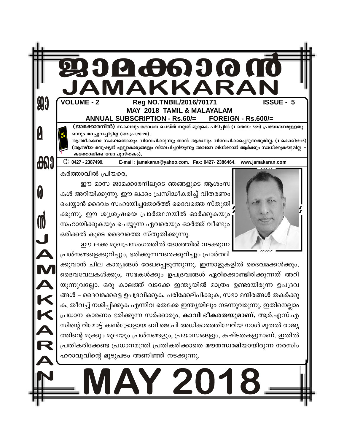| <b>99</b>  | <b>VOLUME - 2</b><br><b>ISSUE - 5</b><br>Reg NO.TNBIL/2016/70171<br><b>MAY 2018 TAMIL &amp; MALAYALAM</b><br><b>ANNUAL SUBSCRIPTION - Rs.60/=</b><br><b>FOREIGN - Rs.600/=</b>                                                                                                                                                                                                                                                                                                                                                                                                                                                                                                                                                                                                                                                                                                                                                                                                                                                                                         |
|------------|------------------------------------------------------------------------------------------------------------------------------------------------------------------------------------------------------------------------------------------------------------------------------------------------------------------------------------------------------------------------------------------------------------------------------------------------------------------------------------------------------------------------------------------------------------------------------------------------------------------------------------------------------------------------------------------------------------------------------------------------------------------------------------------------------------------------------------------------------------------------------------------------------------------------------------------------------------------------------------------------------------------------------------------------------------------------|
|            | (ജാമക്കാരനിൽ) സകലവും ശോധന ചെയ്ത് നല്ലത് മുറുകെ പിടിപ്പിൻ (1 തെസ: 5:21) പ്രയോജനമുള്ളതു<br>ഒന്നും മറച്ചുവച്ചിട്ടില്ല (അ.പ്ര.20:20).<br>ആത്മീകനോ സകലത്തെയും വിവേചിക്കുന്നു; താൻ ആരാലും വിവേചിക്കപ്പെടുന്നതുമില്ല. (1 കൊരി:2:15)<br>(ആത്മീയ മനുഷ്യൻ എല്ലാകാര്യങ്ങളും വിവേചിച്ചറിയുന്നു; അവനെ വിധിക്കാൻ ആർക്കും സാധിക്കുകയുമില്ല<br>കത്തോലിക്ക വേദപുസ്തകം).                                                                                                                                                                                                                                                                                                                                                                                                                                                                                                                                                                                                                                                                                                                 |
| <b>COO</b> | $①$ 0427 - 2387499.<br>E-mail: jamakaran@yahoo.com. Fax: 0427-2386464. www.jamakaran.com                                                                                                                                                                                                                                                                                                                                                                                                                                                                                                                                                                                                                                                                                                                                                                                                                                                                                                                                                                               |
|            | ഈ മാസ ജാമക്കാരനിലൂടെ ഞങ്ങളുടെ ആശംസ<br>കൾ അറിയിക്കുന്നു. ഈ ലക്കം പ്രസിദ്ധീകരിച്ച് വിതരണം<br>ചെയ്യാൻ ദൈവം സഹായിച്ചതോർത്ത് ദൈവത്തെ സ്തുതി<br>ക്കുന്നു. ഈ ശുശ്രൂഷയെ പ്രാർത്ഥനയിൽ ഓർക്കുകയും<br>സഹായിക്കുകയും ചെയ്യുന്ന ഏവരെയും ഓർത്ത് വീണ്ടും<br>ഒരിക്കൽ കൂടെ ദൈവത്തെ സ്തുതിക്കുന്നു.<br>ഈ ലക്ക മുഖപ്രസംഗത്തിൽ ദേശത്തിൽ നടക്കുന്ന<br>പ്രശ്നങ്ങളെക്കുറിച്ചും, ഭരിക്കുന്നവരെക്കുറിച്ചും പ്രാർത്ഥി<br>ക്കുവാൻ ചില കാര്യങ്ങൾ രേഖപ്പെടുത്തുന്നു. ഇന്നാളുകളിൽ ദൈവമക്കൾക്കും,<br>ദൈവവേലകൾക്കും, സഭകൾക്കും ഉപദ്രവങ്ങൾ ഏറിക്കൊണ്ടിരിക്കുന്നത് അറി<br>യുന്നുവല്ലോ. ഒരു കാലത്ത് വടക്കേ ഇന്ത്യയിൽ മാത്രം ഉണ്ടായിരുന്ന ഉപദ്രവ<br>ങ്ങൾ – ദൈവമക്കളെ ഉപദ്രവിക്കുക, പരിക്കേല്പിക്കുക, സഭാ മന്ദിരങ്ങൾ തകർക്കു<br>ക, തീവച്ച് നശിപ്പിക്കുക എന്നിവ തെക്കേ ഇന്ത്യയിലും നടന്നുവരുന്നു. ഇതിനെല്ലാം<br>പ്രധാന കാരണം ഭരിക്കുന്ന സർക്കാരും, <b>കാവി ഭീകരതയുമാണ്.</b> ആർ.എസ്.എ<br>സിന്റെ റിമോട്ട് കൺട്രോളായ ബി.ജെ.പി അധികാരത്തിലേറിയ നാൾ മുതൽ രാജ്യ<br>ത്തിന്റെ മുക്കും മൂലയും പ്രശ്നങ്ങളും, പ്രയാസങ്ങളും, കഷ്ടതകളുമാണ്. ഇതിൽ<br>പ്രതികരിക്കേണ്ട പ്രധാനമന്ത്രി പ്രതികരിക്കാതെ മൗനസ്വാമിയായിരുന്ന നരസിം |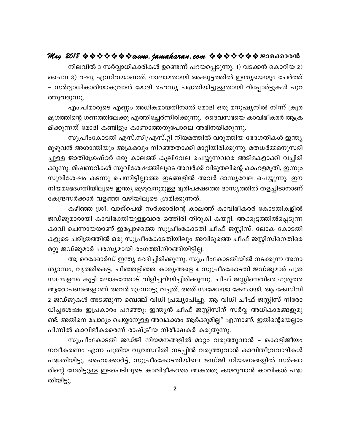നിലവിൽ 3 സർവ്വാധികാരികൾ ഉണ്ടെന്ന് പറയപ്പെടുന്നു. 1) വടക്കൻ കൊറിയ 2) ചൈന 3) റഷ്യ എന്നിവയാണത്. നാലാമതായി അക്കുട്ടത്തിൽ ഇന്ത്യയെയും ചേർത്ത് – സർവ്വാധികാരിയാകുവാൻ മോദി രഹസ്യ പദ്ധതിയിട്ടുള്ളതായി റിപ്പോർട്ടുകൾ പുറ ത്തുവരുന്നു.

എം.പിമാരുടെ എണ്ണം അധികമായതിനാൽ മോദി ഒരു മനുഷ്യനിൽ നിന്ന് ക്രൂര മൃഗത്തിന്റെ ഗണത്തിലേക്കു എത്തിച്ചേർന്നിരിക്കുന്നു. ദൈവസഭയെ കാവിഭീകരർ ആക്ര മിക്കുന്നത് മോദി കണ്ടിട്ടും കാണാത്തതുപോലെ അഭിനയിക്കുന്നു.

സുപ്രീംകോടതി എസ്.സി/എസ്.റ്റി നിയമത്തിൽ വരുത്തിയ ഭേദഗതികൾ ഇന്ത്യ മുഴുവൻ അശാന്തിയും അക്രമവും നിറഞ്ഞതാക്കി മാറ്റിയിരിക്കുന്നു. മതധർമ്മമനുസരി ച്ചുള്ള ജാതിശ്രേഷ്ഠർ ഒരു കാലത്ത് കൂലിവേല ചെയ്യുന്നവരെ അടിമകളാക്കി വച്ചിരി ക്കുന്നു. മിഷണറികൾ സുവിശേഷത്തിലൂടെ അവർക്ക് വിടുതലിന്റെ കാഹളമൂതി, ഇന്നും സുവിശേഷം കടന്നു ചെന്നിട്ടില്ലാത്ത ഇടങ്ങളിൽ അവർ ദാസ്യവേല ചെയ്യുന്നു. ഈ നിയമഭേദഗതിയിലൂടെ ഇന്ത്യ മുഴുവനുമുള്ള ഭൂരിപക്ഷത്തെ ദാസ്യത്തിൽ തളച്ചിടാനാണ് കേന്ദ്രസർക്കാർ വളഞ്ഞ വഴിയിലൂടെ ശ്രമിക്കുന്നത്.

കഴിഞ്ഞ ശ്രീ. വാജ്പെയ് സർക്കാരിന്റെ കാലത്ത് കാവിഭീകരർ കോടതികളിൽ ജഡ്ജുമാരായി കാവിഭക്തിയുള്ളവരെ ഒത്തിരി തിരുകി കയറ്റി. അക്കൂട്ടത്തിൽപ്പെടുന്ന കാവി ചെന്നായയാണ് ഇപ്പോഴത്തെ സുപ്രീംകോടതി ചീഫ് ജസ്റ്റിസ്. ലോക കോടതി കളുടെ ചരിത്രത്തിൽ ഒരു സുപ്രീംകോടതിയിലും അവിടുത്തെ ചീഫ് ജസ്റ്റിസിനെതിരെ മറ്റു ജഡ്ജുമാർ പരസ്യമായി രംഗത്തിനിറങ്ങിയിട്ടില്ല.

ആ റെക്കോർഡ് ഇന്ത്യ ഭേദിച്ചിരിക്കുന്നു. സുപ്രീംകോടതിയിൽ നടക്കുന്ന അനാ ശ്യാസം, വൃത്തികെട്ട, ചീഞ്ഞളിഞ്ഞ കാര്യങ്ങളെ 4 സുപ്രീംകോടതി ജഡ്ജുമാർ പത്ര സമ്മേളനം കൂട്ടി ലോകത്തോട് വിളിച്ചറിയിച്ചിരിക്കുന്നു. ചീഫ് ജസ്റ്റിനെതിരെ ഗുരുതര ആരോപണങ്ങളാണ് അവർ മുന്നോട്ടു വച്ചത്. അത് സ്വമേധയാ കേസായി. ആ കേസിനി 2 ജഡ്ജുകൾ അടങ്ങുന്ന ബെഞ്ച് വിധി പ്രഖ്യാപിച്ചു. ആ വിധി ചീഫ് ജസ്റ്റിസ് നിരോ ധിച്ചശേഷം ഇപ്രകാരം പറഞ്ഞു: ഇന്ത്യൻ ചീഫ് ജസ്റ്റിസിന് സർവ്വ അധികാരങ്ങളുമു ണ്ട്. അതിനെ ചോദ്യം ചെയ്യാനുള്ള അവകാശം ആർക്കുമില്ല" എന്നാണ്. ഇതിന്റെയെല്ലാം പിന്നിൽ കാവിഭീകരരെന്ന് രാഷ്ട്രീയ നിരീക്ഷകർ കരുതുന്നു.

സുപ്രീംകോടതി ജഡ്ജി നിയമനങ്ങളിൽ മാറ്റം വരുത്തുവാൻ – കൊളിജീയം നവീകരണം എന്ന പുതിയ വ്യവസ്ഥിതി നടപ്പിൽ വരുത്തുവാൻ കാവിതീവ്രവാദികൾ പദ്ധതിയിട്ടു. ഹൈക്കോർട്ട്, സുപ്രീംകോടതിയിലെ ജഡ്ജി നിയമനങ്ങളിൽ സർക്കാ രിന്റെ നേരിട്ടുള്ള ഇടപെടിലൂടെ കാവിഭീകരരെ അകത്തു കയറുവാൻ കാവികൾ പദ്ധ തിയിട്ടു.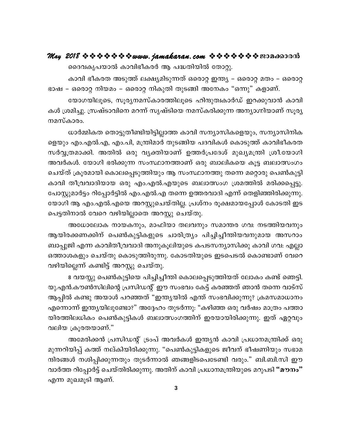ദൈവകൃപയാൽ കാവിഭീകരർ ആ പദ്ധതിയിൽ തോറ്റു.

കാവി ഭീകരത അടുത്ത് ലക്ഷ്യമിടുന്നത് ഒരൊറ്റ ഇന്ത്യ – ഒരൊറ്റ മതം – ഒരൊറ്റ ഭാഷ – ഒരൊറ്റ നിയമം – ഒരൊറ്റ നികുതി തുടങ്ങി അനേകം "ഒന്നു" കളാണ്.

യോഗയിലൂടെ, സൂര്യനമസ്കാരത്തിലൂടെ ഹിന്ദുത്വകാർഡ് ഇറക്കുവാൻ കാവി കൾ ശ്രമിച്ചു. സ്രഷ്ടാവിനെ മറന്ന് സൃഷ്ടിയെ നമസ്കരിക്കുന്ന അന്യാഗ്നിയാണ് സൂര്യ നമസ്കാരം.

ധാർമ്മികത തൊട്ടുതീണ്ടിയിട്ടില്ലാത്ത കാവി സന്യാസികളെയും, സന്യാസിനിക ളെയും എം.എൽ.എ, എം.പി, മന്ത്രിമാർ തുടങ്ങിയ പദവികൾ കൊടുത്ത് കാവിഭീകരത സർവ്വത്രമാക്കി. അതിൽ ഒരു വ്യക്തിയാണ് ഉത്തർപ്രദേശ് മുഖ്യമന്ത്രി ശ്രീ.യോഗി അവർകൾ. യോഗി ഭരിക്കുന്ന സംസ്ഥാനത്താണ് ഒരു ബാലികയെ കൂട്ട ബലാത്സംഗം ചെയ്ത് ക്രൂരമായി കൊലപ്പെടുത്തിയും ആ സംസ്ഥാനത്തു തന്നെ മറ്റൊരു പെൺകുട്ടി കാവി തീവ്രവാദിയായ ഒരു എം.എൽ.എയുടെ ബലാത്സംഗ ശ്രമത്തിൽ മരിക്കപ്പെട്ടു. പോസ്റ്റുമാർട്ടം റിപ്പോർട്ടിൽ എം.എൽ.എ തന്നെ ഉത്തരവാദി എന്ന് തെളിഞ്ഞിരിക്കുന്നു. യോഗി ആ എം.എൽ.എയെ അറസ്റ്റുചെയ്തില്ല. പ്രശ്നം രൂക്ഷമായപ്പോൾ കോടതി ഇട പെട്ടതിനാൽ വേറെ വഴിയില്ലാതെ അറസ്റ്റു ചെയ്തു.

അധോലോക നായകനും, മാഫിയാ തലവനും സമാന്തര ഗവ: നടത്തിയവനും ആയിരക്കണക്കിന് പെൺകുട്ടികളുടെ ചാരിത്ര്യം പിച്ചിച്ചീന്തിയവനുമായ അസറാം ബാപ്പുജി എന്ന കാവിതീവ്രവാദി അനുകൂലിയുടെ കപടസന്യാസിക്കു കാവി ഗവ: എല്ലാ ഒത്താശകളും ചെയ്തു കൊടുത്തിരുന്നു. കോടതിയുടെ ഇടപെടൽ കൊണ്ടാണ് വേറെ വഴിയില്ലെന്ന് കണ്ടിട്ട് അറസ്റ്റു ചെയ്തു.

8 വയസ്സു പെൺകുട്ടിയെ പിച്ചിച്ചീന്തി കൊലപ്പെടുത്തിയത് ലോകം കണ്ട് ഞെട്ടി. യു.എൻ.കൗൺസിലിന്റെ പ്രസിഡന്റ് ഈ സംഭവം കേട്ട് കരഞ്ഞത് ഞാൻ തന്നെ വാട്സ് ആപ്പിൽ കണ്ടു അയാൾ പറഞ്ഞത് "ഇന്ത്യയിൽ എന്ത് സംഭവിക്കുന്നു? ക്രമസമാധാനം എന്നൊന്ന് ഇന്ത്യയിലുണ്ടോ?" അദ്ദേഹം തുടർന്നു: "കഴിഞ്ഞ ഒരു വർഷം മാത്രം പത്താ യിരത്തിലധികം പെൺകുട്ടികൾ ബലാത്സംഗത്തിന് ഇരയായിരിക്കുന്നു. ഇത് ഏറ്റവും വലിയ ക്രൂരതയാണ്."

അമേരിക്കൻ പ്രസിഡന്റ് ട്രംപ് അവർകൾ ഇന്ത്യൻ കാവി പ്രധാനമന്ത്രിക്ക് ഒരു മുന്നറിയിപ്പ് കത്ത് നല്കിയിരിക്കുന്നു. "പെൺകുട്ടികളുടെ ജീവന് ഭീഷണിയും സഭാമ ന്ദിരങ്ങൾ നശിപ്പിക്കുന്നതും തുടർന്നാൽ ഞങ്ങളിടപെടേണ്ടി വരും." ബി.ബി.സി ഈ വാർത്ത റിപ്പോർട്ട് ചെയ്തിരിക്കുന്നു. അതിന് കാവി പ്രധാനമന്ത്രിയുടെ മറുപടി "മൗനം" എന്ന മുഖമൂടി ആണ്.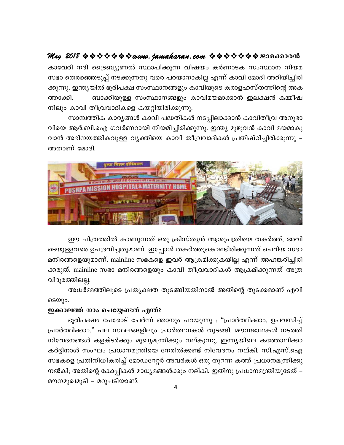## May 2018 \* \* \* \* \* \* \* www.jamakaran.com \* \* \* \* \* \* \* \* 2010 00000

കാവേരി നദി ട്രൈബ്യൂണൽ സ്ഥാപിക്കുന്ന വിഷയം കർണാടക സംസ്ഥാന നിയമ സഭാ തെരഞ്ഞെടുപ്പ് നടക്കുന്നതു വരെ പറയാനാകില്ല എന്ന് കാവി മോദി അറിയിച്ചിരി ക്കുന്നു. ഇന്ത്യയിൽ ഭൂരിപക്ഷ സംസ്ഥാനങ്ങളും കാവിയുടെ കരാളഹസ്തത്തിന്റെ അക ബാക്കിയുള്ള സംസ്ഥാനങ്ങളും കാവിമയമാക്കാൻ ഇലക്ഷൻ കമ്മീഷ ത്താക്കി. നിലും കാവി തീവ്രവാദികളെ കയറ്റിയിരിക്കുന്നു.

സാമ്പത്തിക കാര്യങ്ങൾ കാവി പദ്ധതികൾ നടപ്പിലാക്കാൻ കാവിതീവ്ര അനുഭാ വിയെ ആർ.ബി.ഐ ഗവർണറായി നിയമിച്ചിരിക്കുന്നു. ഇന്ത്യ മുഴുവൻ കാവി മയമാകു വാൻ അഭിനയത്തികവുള്ള വ്യക്തിയെ കാവി തീവ്രവാദികൾ പ്രതിഷ്ഠിച്ചിരിക്കുന്നു – അതാണ് മോദി.



ഈ ചിത്രത്തിൽ കാണുന്നത് ഒരു ക്രിസ്ത്യൻ ആശുപത്രിയെ തകർത്ത്, അവി ടെയുള്ളവരെ ഉപദ്രവിച്ചതുമാണ്. ഇപ്പോൾ തകർത്തുകൊണ്ടിരിക്കുന്നത് ചെറിയ സഭാ മന്ദിരങ്ങളെയുമാണ്. mainline സഭകളെ ഇവർ ആക്രമിക്കുകയില്ല എന്ന് അഹങ്കരിച്ചിരി ക്കരുത്. mainline സഭാ മന്ദിരങ്ങളെയും കാവി തീവ്രവാദികൾ ആക്രമിക്കുന്നത് അത്ര വിദുരത്തിലല്ല.

അധർമ്മത്തിലൂടെ പ്രത്യക്ഷത തുടങ്ങിയതിനാൽ അതിന്റെ തുടക്കമാണ് എവി ടെയും.

#### ഇക്കാലത്ത് നാം ചെയ്യേണ്ടത് എന്ത്?

ഭൂരിപക്ഷം പേരോട് ചേർന്ന് ഞാനും പറയുന്നു : "പ്രാർത്ഥിക്കാം, ഉപവസിച്ച് പ്രാർത്ഥിക്കാം." പല സ്ഥലങ്ങളിലും പ്രാർത്ഥനകൾ തുടങ്ങി. മൗനജാഥകൾ നടത്തി നിവേദനങ്ങൾ കളക്ടർക്കും മുഖ്യമന്ത്രിക്കും നല്കുന്നു. ഇന്ത്യയിലെ കത്തോലിക്കാ കർദ്ദിനാൾ സംഘം പ്രധാനമന്ത്രിയെ നേരിൽക്കണ്ട് നിവേദനം നല്കി. സി.എസ്.ഐ സഭകളെ പ്രതിനിധീകരിച്ച് മോഡറേറ്റർ അവർകൾ ഒരു തുറന്ന കത്ത് പ്രധാനമന്ത്രിക്കു നൽകി; അതിന്റെ കോപ്പികൾ മാധ്യമങ്ങൾക്കും നല്കി. ഇതിനു പ്രധാനമന്ത്രിയുടേത് – മൗനമുഖമൂടി – മറുപടിയാണ്.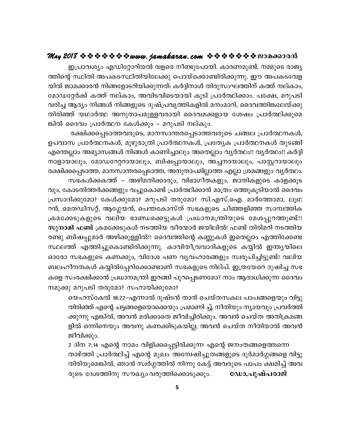## **May 2018 www.jamakaran.com Pma¡mc³**

C{]m-hiyw FUn -täm-dn -b hfsc \op-t]m-bn. Imc-W-ap-v. \½psS cmPy- ¯nsâ ØnXn A]-I-S-Øn -Xn -bn -te¡p s]mbvs¡m-n -cn -¡p-¶p. Cu A]-I-S-th -f-യിൽ ജാമക്കാരൻ നിങ്ങളോടറിയിക്കുന്നത്: കർദ്ദിനാൾ തിരുസംഘത്തിന് കത്ത് നല്കാം, tamU -täÀ¡v I¯v \evImw, Ahn -S-hn -sS-bmbn IqSn {]mÀ°n -¡mw. ]t£, adp-]Sn ഇപ്രാവശ്യം എഡിറ്റോറിയൽ വളരെ നീണ്ടുപോയി. കാരണമുണ്ട്. നമ്മുടെ രാജ്യ<br>ത്തിന്റെ സ്ഥിതി അപകടസ്ഥിതിയിലേക്കു പൊയ്ക്കൊണ്ടിരിക്കുന്നു. ഈ അപകടവേള<br>യിൽ ജാമക്കാരൻ നിങ്ങളോടറിയിക്കുന്നത്: കർദ്ദിനാൾ തിരുസംഘത്തിന് കത്ത് നല്കാം,<br>മോഡറ്റേർക്ക ത്തിന്റെ സ്ഥിതി അപകടസ്ഥിതിയിലേക്കു പൊയ്ക്കൊണ്ടിരിക്കുന്നു. ഈ അപകടവേള<br>യിൽ ജാമക്കാരൻ നിങ്ങളോടറിയിക്കുന്നത്: കർദ്ദിനാൾ തിരുസംഘത്തിന് കത്ത് നല്കാം,<br>മോഡറ്റേർക്ക് കത്ത് നല്കാം, അവിടവിടെയായി കൂടി പ്രാർത്ഥിക്കാം. പക്ഷേ, മറുപടി<br>വര ങ്കിൽ ദൈവം പ്രാർത്ഥന കേൾക്കും – മറുപടി നല്കും. ദുർക്ക് കത്ത് നല്കാം, അവിടവിടെയായി കൂടി പ്രാർത്ഥിക്കാം. പക്ഷേ, മറുപടി<br>ആദ്യം നിങ്ങൾ നിങ്ങളുടെ ദുഷ്പ്രവൃത്തികളിൽ മനംമാറി, ദൈവത്തിങ്കലേയ്ക്കു<br>ഞ് യഥാർത്ഥ അനുതാപമുള്ളവരായി ദൈവമക്കളായ ശേഷം പ്രാർത്ഥിക്കുമെ<br>ദൈവം പ്രാർത്ഥന കേൾക്കു

വരിച്ച ആദ്യം നിങ്ങൾ നിങ്ങളുടെ ദുഷ്പ്രവൃത്തികളിൽ മനംമാറി, ദൈവത്തിങ്കലേയ്ക്കു<br>തിരിഞ്ഞ് യഥാർത്ഥ അനുതാപമുള്ളവരായി ദൈവമക്കളായ ശേഷം പ്രാർത്ഥിക്കുമെ<br>ങിൽ ദൈവം പ്രാർത്ഥന കേൾക്കും – മറുപടി നല്കും.<br>\_\_\_\_\_\_\_\_\_\_\_\_\_\_\_\_\_\_\_\_\_\_\_\_\_\_\_\_\_ എന്തെല്ലാം അഭ്യാസങ്ങൾ നിങ്ങൾ കാണിച്ചാലും അതെല്ലാം വ്യർത്ഥം!! വ്യർത്ഥം!! കർദ്ദി \m-fm-bm-epw, tamU -td-ä-dm-bm-epw, \_nj -¸m-bm-epw, A¨-\m-bm-epw, ]mÌ -dm-bmepw രക്ഷിക്കപ്പെടാത്ത, മാനസാന്തരപ്പെടാത്ത, അനുതാപമില്ലാത്ത എല്ലാ ശ്രമങ്ങളും വൃർത്ഥം. സ പ്രാർത്ഥനകൾ, മുഴുരാത്രി പ്രാർത്ഥനകൾ, പ്രത്യേക പ്രാർത്ഥനകൾ തുടങ്ങി<br>ല്ലാം അഭ്യാസങ്ങൾ നിങ്ങൾ കാണിച്ചാലും അതെല്ലാം വ്യർത്ഥം!! വ്യർത്ഥം!! കർദ്ദി<br>മാലും, മോഡറേറ്ററായാലും, ബിഷപ്പായാലും, അച്ചനായാലും, പാസ്റ്ററായാലും<br>പ്പൈടാത്ത, മാ വും, കോടതിത്തർക്കങ്ങളും വച്ചുകൊണ്ട് പ്രാർത്ഥിക്കാൻ മാത്രം ഒത്തുകൂടിയാൽ ദൈവം നാളായാലും, മോഡറേറ്ററായാലും, ബിഷപ്പായാലും, അച്ചനായാലും, പാസ്റ്ററായാലും<br>രക്ഷിക്കപ്പെടാത്ത, മാനസാന്തരപ്പെടാത്ത, അനുതാപമില്ലാത്ത എല്ലാ ശ്രമങ്ങളും വൃർത്ഥം.<br>സഭകൾക്കകത്ത് – അഴിമതിക്കാരും, വിഭാഗീതകളും, ജാതികളുടെ കാളക്കൂട<br>വും, കോട സഭകൾക്കകത്ത് – അഴിമതിക്കാരും, വിഭാഗീതകളും, ജാതികളുടെ കാളക്കൂട<br>വും, കോടതിത്തർക്കങ്ങളും വച്ചുകൊണ്ട് പ്രാർത്ഥിക്കാൻ മാത്രം ഒത്തുകൂടിയാൽ ദൈവം<br>പ്രസാദിക്കുമോ? കേൾക്കുമോ? മറുപടി തരുമോ? സി.എസ്.ഐ. മാർത്തോമാ, ലൂഥ<br>റൻ, മെതഡിസറ്റ്, ആഗ സഭകൾക്കകത്ത് – അഴിമതിക്കാരും, വിഭാഗീതകളും, ജാതികളുടെ കാളക്കൂട<br>വും, കോടതിത്തർക്കങ്ങളും വച്ചുകൊണ്ട് പ്രാർത്ഥിക്കാൻ മാത്രം ഒത്തുകൂടിയാൽ ദൈവം<br>പ്രസാദിക്കുമോ? കേൾക്കുമോ? മറുപടി തരുമോ? സി.എസ്.ഐ. മാർത്തോമാ, ലൂഥ<br>റൻ, മെതഡിസറ്റ്, ആഗ വും, കോടതിത്തർക്കങ്ങളും വച്ചുകൊണ്ട് പ്രാർത്ഥിക്കാൻ മാത്രം ഒത്തുകൂടിയാൽ ദൈവം<br>പ്രസാദിക്കുമോ? കേൾക്കുമോ? മറുപടി തരുമോ? സി.എസ്.ഐ. മാർത്തോമാ, ലൂഥ<br>റൻ, മെതഡിസറ്റ്, ആഗ്ലേയൻ, പെന്തകോസ്ത് സഭകളുടെ ചീഞ്ഞളിഞ്ഞ സാമ്പത്തിക<br>ക്രമക്കേടുകളു പ്രസാദിക്കുമോ? കേൾക്കുമോ? മറുപടി തരുമോ? സി.എസ്.ഐ. മാർത്തോമാ, ലൂഥ<br>റൻ, മെതഡിസറ്റ്, ആഗ്ലേയൻ, പെന്തകോസ്ത് സഭകളുടെ ചീഞ്ഞളിഞ്ഞ സാമ്പത്തിക<br>ക്രമക്കേടുകളുടെ വലിയ ഭാണ്ഡക്കെട്ടുകൾ പ്രധാനമന്ത്രിയുടെ മേശപ്പുറത്തുണ്ട്!!<br>സുനാമി ഫണ്ട് ക് റൻ, മെതഡിസറ്റ്, ആഗ്ലേയൻ, പെന്തകോസ്ത് സഭകളുടെ ചീഞ്ഞളിഞ്ഞ സാമ്പത്തിക<br>ക്രമക്കേടുകളുടെ വലിയ ഭാണ്ഡക്കെട്ടുകൾ പ്രധാനമന്ത്രിയുടെ മേശപ്പുറത്തുണ്ട്!!<br>സുനാമി ഫണ്ട് ക്രമക്കേടുകൾ നടത്തിയ വീരന്മാർ ജയിലിൽ! ഫണ്ട് തിരിമറി നടത്തിയ<br>രണ്ടു ബ ക്രമക്കേടുകളുടെ വലിയ ഭാണ്ഡക്കെട്ടുകൾ പ്രധാനമന്ത്രിയുടെ മേശപ്പുറത്തുണ്ട്!!<br>സുനാമി ഫണ്ട് ക്രമക്കേടുകൾ നടത്തിയ വീരന്മാർ ജയിലിൽ! ഫണ്ട് തിരിമറി നടത്തിയ<br>രണ്ടു ബിഷപ്പുമാർ അഴിക്കുള്ളിൽ!! ദൈവത്തിന്റെ കണ്ണുകൾ ഇതെല്ലാം എത്തിക്കേണ്ട<br> സു**നാമി ഫണ്ട** ക്രമക്കേടുകൾ നടത്തിയ വീരന്മാർ ജയിലിൽ! ഫണ്ട തിരിമറി നടത്തിയ<br>രണ്ടു ബിഷപ്പുമാർ അഴിക്കുള്ളിൽ!! ദൈവത്തിന്റെ കണ്ണുകൾ ഇതെല്ലാം എത്തിക്കേണ്ട<br>സ്ഥലത്ത് എത്തിച്ചുകൊണ്ടിരിക്കുന്നു. കാവിതീവ്രവാദികളുടെ കയ്യിൽ ഇന്ത്യയി

കളെ സംരക്ഷിക്കാൻ പ്രധാനമന്ത്രി ഇറങ്ങി പുറപ്പെടണമോ? നാം ആരാധിക്കുന്ന ദൈവം സ്ഥലത്ത് എത്തിച്ചുകൊണ്ടിരിക്കുന്നു. കാവിതീവ്രവാദികളുടെ കയ്യിൽ ഇന്ത്യയിലെ<br>ഓരോ സഭകളുടെ കണക്കും, വിദേശ പണ വ്യവഹാരങ്ങളും സ്വരൂപിച്ചിട്ടുണ്ട്! വലിയ<br>ബലഹീനതകൾ കയ്യിൽപ്പേറിക്കൊണ്ടാണ് സഭകളുടെ നില്പ്. ഇത്രയേറെ ദുഷിച്ച സഭ<br>കളെ സംരക്ഷ

യെഹസ്കേൽ 18:22–എന്നാൽ ദുഷ്ടൻ താൻ ചെയ്തസകല പാപങ്ങളെയും വിട്ടു തിരിഞ്ഞ് എന്റെ ചട്ടങ്ങളെയൊക്കെയും പ്രമാണി ച്ച്, നീതിയും ന്യായവും പ്രവർത്തി ക്കുന്നു എങ്കിൽ, അവൻ മരിക്കാതെ ജീവിച്ചിരിക്കും. അവൻ ചെയ്ത അതിക്രമങ്ങ ളിൽ ഒന്നിനെയും അവനു കണക്കിടുകയില്ല; അവൻ ചെയ്ത നീതിയാൽ അവൻ ജീവിക്കും. തിരിഞ്ഞ് എന്റെ ചട്ടങ്ങളെയൊക്കെയും പ്രമാണി ച്ച്, നീതിയും ന്യായവും പ്രവർത്തി<br>ക്കുന്നു എങ്കിൽ, അവൻ മരിക്കാതെ ജീവിച്ചിരിക്കും. അവൻ ചെയ്ത അതിക്രമങ്ങ<br>ളിൽ ഒന്നിനെയും അവനു കണക്കിടുകയില്ല; അവൻ ചെയ്ത നീതിയാൽ അവൻ<br>ജീവിക്കും.<br>രാഴ്ത്തി

താഴ്ത്തി പ്രാർത്ഥിച്ച് എന്റെ മുഖം അന്വേഷിച്ചുതങ്ങളുടെ ദുർമാർഗ്ഗങ്ങളെ വിട്ടു ളിൽ ഒന്നിനെയും അവനു കണക്കിടുകയില്ല; അവൻ ചെയ്ത നീതിയാൽ അവൻ<br>ജീവിക്കും.<br>2 ദിന 7:14 എന്റെ നാമം വിളിക്കപ്പെട്ടിരിക്കുന്ന എന്റെ ജനംതങ്ങളെത്തന്നെ<br>താഴ്ത്തി പ്രാർത്ഥിച്ച് എന്റെ മുഖം അന്വേഷിച്ചുതങ്ങളുടെ ദുർമാർഗ്ഗങ്ങളെ വിട്ടു<br>തിരിയു 2 ദിന 7:14 എന്റെ നാമം വിളിക്കപ്പെട്ടിരിക്കുന്ന എന്റെ ജനംതങ്ങളെത്തന്നെ<br>താഴ്ത്തി പ്രാർത്ഥിച്ച് എന്റെ മുഖം അന്വേഷിച്ചുതങ്ങളുടെ ദുർമാർഗ്ഗങ്ങളെ വിട്ടു<br>തിരിയുമെങ്കിൽ, ഞാൻ സ്വർഗ്ഗത്തിക്കൊടുക്കും. **ഡോ.പുഷ്പരാജ്**<br>രുടെ ദേശത്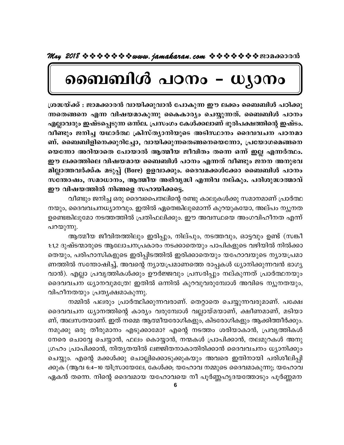# ബൈബിൾ പഠനം – ധ്യാനം

ശ്രദ്ധയ്ക്ക് : ജാമക്കാരൻ വായിക്കുവാൻ പോകുന്ന ഈ ലക്കം ബൈബിൾ പഠിക്കു ന്നതെങ്ങനെ എന്ന വിഷയമാകുന്നു കൈകാര്യം ചെയ്യുന്നത്. ബൈബിൾ പഠനം എല്ലാവരും ഇഷ്ടപെടുന്ന ഒന്നല. പ്രസംഗം കേൾക്കലാണ് ഭൂരിപക്ഷത്തിന്റെ ഇഷ്ടം. വീണ്ടും ജനിച്ച യഥാർത്ഥ ക്രിസ്ത്യാനിയുടെ അടിസ്ഥാനം ദൈവവചന പഠനമാ ണ്. ബൈബിളിനെക്കുറിച്ചോ, വായിക്കുന്നതെങ്ങനെയെന്നോ, പ്രയോഗമെങ്ങനെ യെന്നോ അറിയാതെ പോയാൽ ആത്മീയ ജീവിതം തന്നെ ഒന്ന് ഇല്ല എന്നർത്ഥം. ഈ ലക്കത്തിലെ വിഷയമായ ബൈബിൾ പഠനം എന്നത് വീണ്ടും ജനന അനുഭവ മില്ലാത്തവർക്ക്ക മടുപ്പ് (Bore) ഉളവാക്കും. ദൈവമക്കൾക്കോ ബൈബിൾ പഠനം സതോഷം, സമാധാനം, ആത്മീയ അഭിവൃദ്ധി എന്നിവ നല്കും. പരിശുദ്ധാത്മാവ് ഈ വിഷയത്തിൽ നിങ്ങളെ സഹായിക്കട്ടെ.

വീണ്ടും ജനിച്ച ഒരു ദൈവപൈതലിന്റെ രണ്ടു കാലുകൾക്കു സമാനമാണ് പ്രാർത്ഥ നയും, ദൈവവചനധ്യാനവും. ഇതിൽ ഏതെങ്കിലുമൊന്ന് കുറയുകയോ, അല്പം ന്യൂനത ഉണ്ടെങ്കിലുമോ നടത്തത്തിൽ പ്രതിഫലിക്കും. ഈ അവസ്ഥയെ അംഗവിഹീനത എന്ന് പറയുന്നു.

ആത്മീയ ജീവിതത്തിലും ഇരിപ്പും, നില്പും, നടത്തവും, ഓട്ടവും ഉണ്ട് (സങ്കീ 1:1,2 ദുഷ്ടന്മാരുടെ ആലോചനപ്രകാരം നടക്കാതെയും പാപികളുടെ വഴിയിൽ നിൽക്കാ തെയും, പരിഹാസികളുടെ ഇരിപ്പിടത്തിൽ ഇരിക്കാതെയും യഹോവയുടെ നൃായപ്രമാ ണത്തിൽ സന്തോഷിച്ച്, അവന്റെ ന്യായപ്രമാണത്തെ രാപ്പകൾ ധ്യാനിക്കുന്നവൻ ഭാഗ്യ വാൻ). എല്ലാ പ്രവൃത്തികൾക്കും ഊർജ്ജവും പ്രസരിപ്പും നല്കുന്നത് പ്രാർത്ഥനയും ദൈവവചന ധ്യാനവുമത്രേ! ഇതിൽ ഒന്നിൽ കുറവുവരുമ്പോൾ അവിടെ ന്യൂനതയും, വിഹീനതയും പ്രതൃക്ഷമാകുന്നു.

നമ്മിൽ പലരും പ്രാർത്ഥിക്കുന്നവരാണ്. തെറ്റാതെ ചെയ്യുന്നവരുമാണ്. പക്ഷേ ദൈവവചന ധ്യാനത്തിന്റെ കാര്യം വരുമ്പോൾ വല്ലായ്മയാണ്, ക്ഷീണമാണ്, മടിയാ ണ്, അലസതയാണ്. ഇത് നമ്മെ ആത്മീയരോഗികളും, കിടരോഗികളും ആക്കിത്തീർക്കും. നമുക്കു ഒരു തീരുമാനം എടുക്കാമോ? എന്റെ നടത്തം ശരിയാകാൻ, പ്രവൃത്തികൾ നേരെ ചൊവ്വേ ചെയ്യാൻ, ഫലം കൊയ്യാൻ, നന്മകൾ പ്രാപിക്കാൻ, തലമുറകൾ അനു ഗ്രഹം പ്രാപിക്കാൻ, നിതൃതയിൽ ലജ്ജിതനാകാതിരിക്കാൻ ദൈവവചനം ധ്യാനിക്കും ചെയ്യും. എന്റെ മക്കൾക്കു ചൊല്ലിക്കൊടുക്കുകയും അവരെ ഇതിനായി പരിശീലിപ്പി ക്കുക (ആവ 6:4–10 യിസ്രായേലേ, കേൾക്ക; യഹോവ നമ്മുടെ ദൈവമാകുന്നു; യഹോവ ഏകൻ തന്നെ. നിന്റെ ദൈവമായ യഹോവയെ നീ പൂർണ്ണഹൃദയത്തോടും പൂർണ്ണമന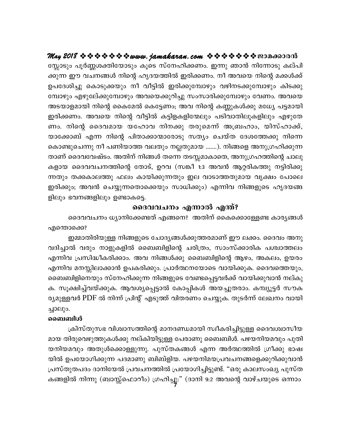സ്സോടും പൂർണ്ണശക്തിയോടും കൂടെ സ്നേഹിക്കണം. ഇന്നു ഞാൻ നിന്നോടു കല്പി ക്കുന്ന ഈ വചനങ്ങൾ നിന്റെ ഹൃദയത്തിൽ ഇരിക്കണം. നീ അവയെ നിന്റെ മക്കൾക്ക് ഉപദേശിച്ചു കൊടുക്കയും നീ വീട്ടിൽ ഇരിക്കുമ്പോഴും വഴിനടക്കുമ്പോഴും കിടക്കു മ്പോഴും എഴുലേ്ക്കുമ്പോഴും അവയെക്കുറിച്ചു സംസാരിക്കുമ്പോഴും വേണം. അവയെ അടയാളമായി നിന്റെ കൈമേൽ കെട്ടേണം; അവ നിന്റെ കണ്ണുകൾക്കു മധ്യേ പട്ടമായി ഇരിക്കണം. അവയെ നിന്റെ വീട്ടിൽ കട്ടിളകളിന്മേലും പടിവാതിലുകളിലും എഴുതേ ണം. നിന്റെ ദൈവമായ യഹോവ നിനക്കു തരുമെന്ന് അബ്രഹാം, യിസ്ഹാക്ക്, യാക്കോബ് എന്ന നിന്റെ പിതാക്കാന്മാരോടു സത്യം ചെയ്ത ദേശത്തേക്കു നിന്നെ കൊണ്ടുചെന്നു നീ പണിയാത്ത വലതും നല്ലതുമായ .......). നിങ്ങളെ അനുഗ്രഹിക്കുന്ന താണ് ദൈവവേഷ്ടം. അതിന് നിങ്ങൾ തന്നെ തടസ്സമാകാതെ, അനുഗ്രഹത്തിന്റെ ചാലു കളായ ദൈവവചനത്തിന്റെ തോട്, ഉറവ (സങ്കീ 1:3 അവൻ ആറ്റരികത്തു നട്ടിരിക്കു ന്നതും തക്കകാലത്തു ഫലം കായിക്കുന്നതും ഇല വാടാത്തതുമായ വൃക്ഷം പോലെ ഇരിക്കും; അവൻ ചെയ്യുന്നതൊക്കെയും സാധിക്കും) എന്നിവ നിങ്ങളുടെ ഹൃദയങ്ങ ളിലും ഭവനങ്ങളിലും ഉണ്ടാകട്ടെ.

#### ദൈവവചനം എന്നാൽ എന്ത്?

ദൈവവചനം ധ്യാനിക്കേണ്ടത് എങ്ങനെ? അതിന് കൈക്കൊള്ളേണ്ട കാര്യങ്ങൾ എന്തൊക്കെ?

ഇമ്മാതിരിയുള്ള നിങ്ങളുടെ ചോദൃങ്ങൾക്കുത്തരമാണ് ഈ ലക്കം. ദൈവം അനു വദിച്ചാൽ വരും നാളുകളിൽ ബൈബിളിന്റെ ചരിത്രം, സാംസ്ക്കാരിക പശ്ചാത്തലം എന്നിവ പ്രസിദ്ധീകരിക്കാം. അവ നിങ്ങൾക്കു ബൈബിളിന്റെ ആഴം, അകലം, ഉയരം എന്നിവ മനസ്സിലാക്കാൻ ഉപകരിക്കും. പ്രാർത്ഥനയോടെ വായിക്കുക. ദൈവത്തെയും, ബൈബിളിനെയും സ്നേഹിക്കുന്ന നിങ്ങളുടെ വേണ്ടപ്പെട്ടവർക്ക് വായിക്കുവാൻ നല്കു ക. സൂക്ഷിച്ച്വയ്ക്കുക. ആവശ്യപ്പെട്ടാൽ കോപ്പികൾ അയച്ചുതരാം. കമ്പ്യൂട്ടർ സൗക ര്യമുള്ളവർ PDF ൽ നിന്ന് പ്രിന്റ് എടുത്ത് വിതരണം ചെയ്യുക. തുടർന്ന് ലേഖനം വായി ച്ചാലും.

#### ബൈബിൾ

ക്രിസ്തുസഭ വിശ്വാസത്തിന്റെ മാനദണ്ഡമായി സ്വീകരിച്ചിട്ടുള്ള ദൈവശ്വാസീയ മായ തിരുവെഴുത്തുകൾക്കു നല്കിയിട്ടുള്ള പേരാണു ബൈബിൾ. പഴയനിയമവും പുതി യനിയമവും അതുൾക്കൊള്ളുന്നു. പുസ്തകങ്ങൾ എന്ന അർത്ഥത്തിൽ ഗ്രീക്കു ഭാഷ യിൽ ഉപയോഗിക്കുന്ന പദമാണു ബിബ്ളിയ. പഴയനിമയപ്രവചനങ്ങളെക്കുറിക്കുവാൻ പ്രസ്തുതപദം ദാനിയേൽ പ്രവചനത്തിൽ പ്രയോഗിച്ചിട്ടുണ്ട്. "ഒരു കാലസംഖ്യ പുസ്ത കങ്ങളിൽ നിന്നു (ബാസ്സ്ഫൊറീം) ഗ്രഹിച്ചൂ:" (ദാനി 9:2 അവന്റെ വാഴ്ചയുടെ ഒന്നാം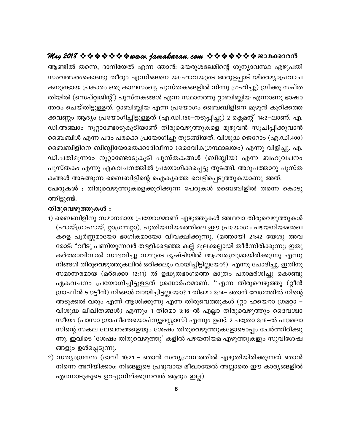ആണ്ടിൽ തന്നെ, ദാനിയേൽ എന്ന ഞാൻ: യെരുശലേമിന്റെ ശൂന്യാവസ്ഥ എഴുപതി സംവത്സരംകൊണ്ടു തീരും എന്നിങ്ങനെ യഹോവയുടെ അരുളപ്പാട് യിരെമ്യാപ്രവാച കനുണ്ടായ പ്രകാരം ഒരു കാലസംഖ്യ പുസ്തകങ്ങളിൽ നിന്നു ഗ്രഹിച്ചു) ഗ്രീക്കു സപ്ത തിയിൽ (സെപ്റ്റ്വജിന്റ്) പുസ്തകങ്ങൾ എന്ന സ്ഥാനത്തു റ്റാബിബ്ലിയ എന്നാണു ഭാഷാ ന്തരം ചെയ്തിട്ടുള്ളത്. റ്റാബിബ്ലിയ എന്ന പ്രയോഗം ബൈബിളിനെ മുഴുൻ കുറിക്കത്ത ക്കവണ്ണം ആദ്യം പ്രയോഗിച്ചിട്ടുള്ളത് (എ.ഡി.150–നടുപ്പിച്ചു) 2 ക്ലെമന്റ് 14:2–ലാണ്. എ. ഡി.അഞ്ചാം നൂറ്റാണ്ടോടുകൂടിയാണ് തിരുവെഴുത്തുകളെ മുഴുവൻ സൂചിപ്പിക്കുവാൻ ബൈബിൾ എന്ന പദം പരക്കെ പ്രയോഗിച്ചു തുടങ്ങിയത്. വിശുദ്ധ ജെറോം (എ.ഡി.400) ബൈബിളിനെ ബിബ്ലിയോതെക്കാദിവീനാ (ദൈവികഗ്രന്ഥാലയം) എന്നു വിളിച്ചു. എ. ഡി.പതിമൂന്നാം നൂറ്റാണ്ടോടുകൂടി പുസ്തകങ്ങൾ (ബിബ്ലിയ) എന്ന ബഹുവചനം പുസ്തകം എന്നു ഏകവചനത്തിൽ പ്രയോഗിക്കപ്പെട്ടു തുടങ്ങി. അറുപത്താറു പുസ്ത കങ്ങൾ അടങ്ങുന്ന ബൈബിളിന്റെ ഐക്യത്തെ വെളിപ്പെടുത്തുകയാണു അത്.

പേരുകൾ : തിരുവെഴുത്തുകളെക്കുറിക്കുന്ന പേരുകൾ ബൈബിളിൽ തന്നെ കൊടു ത്തിട്ടുണ്ട്.

#### തിരുവെഴുത്തുകൾ :

- 1) ബൈബിളിനു സമാനമായ പ്രയോഗമാണ് എഴുത്തുകൾ അഥവാ തിരുവെഴുത്തുകൾ (ഹായ്ഗ്രാഫായ്, റ്റാഗ്രമ്മറ്റാ). പുതിയനിയമത്തിലെ ഈ പ്രയോഗം പഴയനിയമരേഖ കളെ പൂർണ്ണമായോ ഭാഗികമായോ വിവക്ഷിക്കുന്നു. (മത്തായി 21:42 യേശു അവ രോട്: "വീടു പണിയുന്നവർ തള്ളിക്കളഞ്ഞ കല്ല് മൂലക്കല്ലായി തീർന്നിരിക്കുന്നു; ഇതു കർത്താവിനാൽ സംഭവിച്ചു നമ്മുടെ ദൃഷ്ടിയിൽ ആശ്ചര്യവുമായിരിക്കുന്നു എന്നു നിങ്ങൾ തിരുവെഴുത്തുകലിൽ ഒരിക്കലും വായിച്ചിട്ടില്ലയോ?) എന്നു ചോദിച്ചു. ഇതിനു സമാന്തരമായ (മർക്കൊ 12:11) ൽ ഉദ്ധൃതഭാഗത്തെ മാത്രം പരാമർശിച്ചു കൊണ്ടു ഏകവചനം പ്രയോഗിച്ചിട്ടുള്ളത് ശ്രദ്ധാർഹമാണ്. "എന്ന തിരുവെഴുത്തു (റ്റീൻ ഗ്രാഫീൻ ടൗട്ടീൻ) നിങ്ങൾ വായിച്ചിട്ടല്ലയോ? 1 തിമൊ 3:14– ഞാൻ വേഗത്തിൽ നിന്റെ അടുക്കൽ വരും എന്ന് ആശിക്കുന്നു എന്ന തിരുവെത്തുകൾ (റ്റാ ഹയെറാ ഗ്രമറ്റാ – വിശുദ്ധ ലിഖിതങ്ങൾ) എന്നും 1 തിമൊ 3:16–ൽ എല്ലാ തിരുവെഴുത്തും ദൈവശ്വാ സീയം (പാസാ ഗ്രാഫീതെയൊപ്ന്യൂസ്റ്റൊസ്) എന്നും ഉണ്ട്. 2 പത്രോ 3:16–ൽ പൗലൊ സിന്റെ സകല ലേഖനങ്ങളെയും ശേഷം തിരുവെഴുത്തുകളോടൊപ്പം ചേർത്തിരിക്കു ന്നു. ഇവിടെ 'ശേഷം തിരുവെഴുത്തു' കളിൽ പഴയനിയമ എഴുത്തുകളും സുവിശേഷ ങ്ങളും ഉൾപ്പെടുന്നു.
- 2) സത്യംഗ്രന്ഥം (ദാനീ 10:21 ഞാൻ സത്യഗ്രന്ഥത്തിൽ എഴുതിയിരിക്കുന്നത് ഞാൻ നിന്നെ അറിയിക്കാം: നിങ്ങളുടെ പ്രഭുവായ മീഖായേൽ അല്ലാതെ ഈ കാര്യങ്ങളിൽ എന്നോടുകൂടെ ഉറച്ചുനില്ക്കുന്നവൻ ആരും ഇല്ല).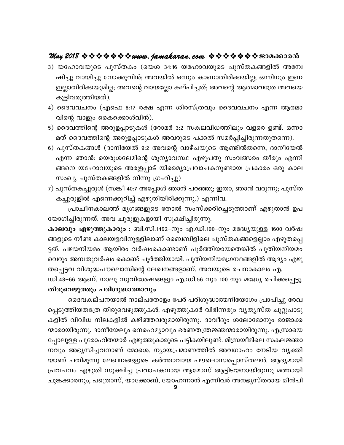- 3) യഹോവയുടെ പുസ്തകം (യെശ 34:16 യഹോവയുടെ പുസ്തകങ്ങളിൽ അന്വേ ഷിച്ചു വായിച്ചു നോക്കുവിൻ; അവയിൽ ഒന്നും കാണാതിരിക്കയില്ല; ഒന്നിനും ഇണ ഇല്ലാതിരിക്കയുമില്ല; അവന്റെ വായല്ലോ കല്പിച്ചത്; അവന്റെ ആത്മാവത്രേ അവയെ കൂട്ടിവരുത്തിയത്).
- 4) ദൈവവചനം (എഫെ 6:17 രക്ഷ എന്ന ശിരസ്ത്രവും ദൈവവചനം എന്ന ആത്മാ വിന്റെ വാളും കൈക്കൊൾവിൻ).
- 5) ദൈവത്തിന്റെ അരുളപ്പാടുകൾ (റോമർ 3:2 സകലവിധത്തിലും വളരെ ഉണ്ട്. ഒന്നാ മത് ദൈവത്തിന്റെ അരുളപ്പാടുകൾ അവരുടെ പക്കൽ സമർപ്പിച്ചിരുന്നതുതന്നെ).
- 6) പുസ്തകങ്ങൾ (ദാനിയേൽ 9:2 അവന്റെ വാഴ്ചയുടെ ആണ്ടിൽതന്നെ, ദാനീയേൽ എന്ന ഞാൻ: യെരുശലേമിന്റെ ശൂന്യാവസ്ഥ എഴുപതു സംവത്സരം തീരും എന്നി ങ്ങനെ യഹോവയുടെ അരള്ളപ്പാട് യിരെമ്യാപ്രവാചകനുണ്ടായ പ്രകാരം ഒരു കാല സംഖ്യ പുസ്തകങ്ങളിൽ നിന്നു ഗ്രഹിച്ചു)
- 7) പുസ്തകച്ചുരുൾ (സങ്കീ 40:7 അപ്പോൾ ഞാൻ പറഞ്ഞു; ഇതാ, ഞാൻ വരുന്നു; പുസ്ത കച്ചുരുളിൽ എന്നെക്കുറിച്ച് എഴുതിയിരിക്കുന്നു.) എന്നിവ.

പ്രാചീനകാലത്ത് മൃഗങ്ങളുടെ തോൽ സംസ്ക്കരിച്ചെടുത്താണ് എഴുതാൻ ഉപ യോഗിച്ചിരുന്നത്. അവ ചുരുളുകളായി സൂക്ഷിച്ചിരുന്നു.

കാലവും എഴുത്തുകാരും : ബി.സി.1492–നും എ.ഡി.100–നും മദ്ധ്യേയുള്ള 1600 വർഷ ങ്ങളുടെ നീണ്ട കാലയളവിനുള്ളിലാണ് ബൈബിളിലെ പുസ്തകങ്ങളെല്ലാം എഴുതപ്പെ ട്ടത്. പഴയനിയമം ആയിരം വർഷംകൊണ്ടാണ് പൂർത്തിയായതെങ്കിൽ പുതിയനിയമം വെറും അമ്പതുവർഷം കൊണ്ട് പൂർത്തിയായി. പുതിയനിയമഗ്രന്ഥങ്ങളിൽ ആദ്യം എഴു തപ്പെട്ടവ വിശുദ്ധപൗലൊസിന്റെ ലേഖനങ്ങളാണ്. അവയുടെ രചനാകാലം എ.

ഡി.48–66 ആണ്. നാലു സുവിശേഷങ്ങളും എ.ഡി.56 നും 100 നും മദ്ധ്യേ രചിക്കപ്പെട്ടു. തിരുവെഴുത്തും പരിശുദ്ധാത്മാവും

ദൈവകല്പനയാൽ നാല്പതോളം പേർ പരിശുദ്ധാത്മനിയോഗം പ്രാപിച്ചു രേഖ പ്പെടുത്തിയതത്രേ തിരുവെഴുത്തുകൾ. എഴുത്തുകാർ വിഭിന്നരും വൃതൃസ്ത ചുറ്റുപാടു കളിൽ വിവിധ നിലകളിൽ കഴിഞ്ഞവരുമായിരുന്നു. ദാവീദും ശലോമോനും രാജാക്ക ന്മാരായിരുന്നു. ദാനീയേലും നെഹെമ്യാവും ഭരണതന്ത്രജ്ഞന്മാരായിരുന്നു. എസ്രായെ പ്പോലുള്ള പുരോഹിതന്മാർ എഴുത്തുകാരുടെ പട്ടികയിലുണ്ട്. മിസ്രയീമിലെ സകലജ്ഞാ നവും അഭൃസിച്ചവനാണ് മോശെ. ന്യായപ്രമാണത്തിൽ അവഗാഹം നേടിയ വൃക്തി യാണ് പതിമൂന്നു ലേഖനങ്ങളുടെ കർത്താവായ പൗലൊസപ്പൊസ്തലൻ. ആദ്യമായി പ്രവചനം എഴുതി സൂക്ഷിച്ച പ്രവാചകനായ ആമോസ് ആട്ടിടയനായിരുന്നു മത്തായി ചുങ്കക്കാരനും, പത്രൊസ്, യാക്കോബ്, യോഹന്നാൻ എന്നിവർ അനഭൃസ്തരായ മീൻപി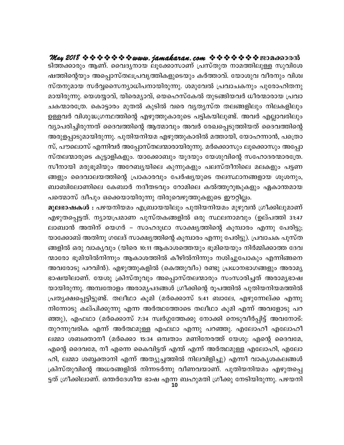$M$ ay 2018  $\Leftrightarrow$   $\Leftrightarrow$   $\Leftrightarrow$   $\Leftrightarrow$   $\Leftrightarrow$  www.jamakaran.com  $\Leftrightarrow$   $\Leftrightarrow$   $\Leftrightarrow$   $\Leftrightarrow$   $\Leftrightarrow$   $\cong$   $\cong$   $\Box$   $\Box$   $\Box$   $\Box$   $\Box$   $\Box$ ടിത്തക്കാരും ആണ്. വൈദ്യനായ ലൂക്കോസാണ് പ്രസ്തുത നാമത്തിലുള്ള സുവിശേ<br>ഷത്തിന്റെയും അപ്പൊസ്തലപ്രവൃത്തികളുടെയും കർത്താവ്. യോശുവ വീരനും വിശ്വ<br>സ്തനുമായ സർവ്വസൈന്യാധിപനായിരുന്നു. ശമുവേൽ പ്രവാചകനും പുരോഹിതനു j -¯n -sâbpw As¸m-kvX -e -{]-hr -¯n -I-fp-sSbpw IÀ¯m-hv. tbmiph hoc\pw hnizkvX -\p-amb kÀÆ -ssk -\ym-[n -]-\m-bn -cp-¶p. iap-th {]hm-N-I\pw ]ptcm-ln -X -\pam-bn -cp-¶p. sbi-¿m-hv, bnsc -aym-hv, sbsl-kvtIÂ XpS-§n -b -hÀ [oc -·m-cmb {]hm-ടത്തക്കാരും ആണ. വൈദ്യനായ ലൂക്കോസാണ പ്രസതുത നാമത്തിലുള്ള സുവിശേ<br>ഷത്തിന്റെയും അപ്പൊസ്തലപ്രവൃത്തികളുടെയും കർത്താവ്. യോശുവ വീരനും വിശ്വ<br>സ്തനുമായ സർവ്വസൈന്യാധിപനായിരുന്നു. ശമുവേൽ പ്രവാചകനും പുരോഹിതനു<br>മായിരുന്നു. യെശയ്യാവ്, യിര ഷരത്തര്യയും അപ്പൊസതലപ്രവൃരത്തകളുടെയും കരര്താവ്. യോശുവ വിരനും വിശ<br>സ്തനുമായ സർവ്വസൈന്യാധിപനായിരുന്നു. ശമുവേൽ പ്രവാചകനും പുരോഹിതനു<br>മായിരുന്നു. യെശയ്യാവ്, യിരെമ്യാവ്, യെഹെസ്കേൽ തുടങ്ങിയവർ ധീരന്മാരായ പ്രവാ<br>ചകന്മാരത്രേ. കൊട്ടാര സതനുമായ സരവ്വസൈന്യാധിപനായിരുന്നു. ശമുവേരാ പ്രവാചകനും പുരോഹിതനു<br>മായിരുന്നു. യെശയ്യാവ്, യിരെമ്യാവ്, യെഹെസ്കേൽ തുടങ്ങിയവർ ധീരന്മാരായ പ്രവാ<br>ചകന്മാരത്രേ. കൊട്ടാരം മുതൽ കുടിൽ വരെ വ്യത്യസ്ത തലങ്ങളിലും നിലകളിലും<br>ഉള്ളവർ വിശുദ്ധഗ്ര മായരുന്നു. യെശയ്യാവ, യരെമ്യാവ, യെഹെസകേരാ തുടങ്ങിയവര ധിരന്മാരായ പ്രവാ<br>ചകന്മാരത്രേ. കൊട്ടാരം മുതൽ കുടിൽ വരെ വ്യത്യസ്ത തലങ്ങളിലും നിലകളിലും<br>ഉള്ളവർ വിശുദ്ധഗ്രന്ഥത്തിന്റെ എഴുത്തുകാരുടെ പട്ടികയിലുണ്ട്. അവർ എല്ലാവരിലും<br>വ്യാപരിച് സ്, പൗലൊസ് എന്നിവർ അപ്പോസ്തലന്മാരായിരുന്നു. മർക്കൊസും ലൂക്കൊസും അപ്പോ ഉള്ളവര വിശുദ്ധഗ്രസ്ഥര്തിന്റെ എഴുര്തുകാരുടെ പട്ടികയിലുണ്ട്. അവര എല്ലാവരിലും<br>വ്യാപരിച്ചിരുന്നത് ദൈവത്തിന്റെ ആത്മാവും അവർ രേഖപ്പെടുത്തിയത് ദൈവത്തിന്റെ<br>അരുളപ്പാടുമായിരുന്നു. പുതിയനിയമ എഴുത്തുകാരിൽ മത്തായി, യോഹന്നാൻ, പത്രൊ<br>സ്, വ്യാപരിച്ചിരുന്നത ദൈവത്തിന്റെ ആര്മാവും അവര് രേഖപ്പെടുത്തിയത ദൈവത്തിന്റെ<br>അരുളപ്പാടുമായിരുന്നു. പുതിയനിയമ എഴുത്തുകാരിൽ മത്തായി, യോഹന്നാൻ, പത്രൊ<br>സ്, പൗലൊസ് എന്നിവർ അപ്പോസ്തലന്മാരായിരുന്നു. മർക്കൊസും ലൂക്കൊസും അപ്പോ<br>സ്തലന്മാര അരുളപ്പാടുമായരുന്നു. പുത്വയനിയമ എഴുത്തുകാത്ത മത്തായി, യോഹന്നാര, പത്രൊ<br>സ്, പൗലൊസ് എന്നിവർ അപ്പോസ്തലന്മാരായിരുന്നു. മർക്കൊസും ലൂക്കൊസും അപ്പോ<br>സ്തലന്മാരുടെ കൂട്ടാളികളും. യാക്കോബും യൂദയും യേശുവിന്റെ സഹോദരന്മാരത്രേ.<br>സീനായി മരു സ, പൗലൊസ എന്നവര അപ്പോസരലന്മാരായതുന്നു. മരക്കൊസും ലൂക്കൊസും അപ്പോ<br>സ്തലന്മാരുടെ കൂട്ടാളികളും. യാക്കോബും യൂദയും യേശുവിന്റെ സഹോദരന്മാരത്രേ.<br>സീനായി മരുഭൂമിയും അറേബ്യയിലെ കുന്നുകളും പലസ്തീനിലെ മലകളും പട്ടണ<br>ങ്ങളും ദൈവാലയത്തിന്റെ സതലന്മാരുടെ കൂട്ടാളികളും. യാക്കോബും യൂദയും യേശുവിന്റെ സഹോദരന്മാരത്രേ.<br>സീനായി മരുഭൂമിയും അറേബ്യയിലെ കുന്നുകളും പലസ്തീനിലെ മലകളും പട്ടണ<br>ങ്ങളും ദൈവാലയത്തിന്റെ പ്രാകാരവും പേർഷ്യയുടെ തലസ്ഥാനങ്ങളായ ശൂശനും,<br>ബാബിലോണിലെ കേബാർ നദീത സ്ഥായി മരുഭൂമിയും അറേബൃയിലെ കുന്നുകളും പലസത്വനിലെ മലകളും പട്ടണ<br>ങ്ങളും ദൈവാലയത്തിന്റെ പ്രാകാരവും പേർഷ്യയുടെ തലസ്ഥാനങ്ങളായ ശൂശനും,<br>ബാബിലോണിലെ കേബാർ നദീതടവും റോമിലെ കൽത്തൂറുങ്കുകളും ഏകാന്തമായ<br>പത്മൊസ് ദീപും ഒക്കെയായിരുന്നു തി

**10** ങ്ങളും ദൈവാലയത്തിന്റെ പ്രാകാരവും പേര്ഷ്യയുടെ തലസ്ഥാനങ്ങളായ ശൂശനും,<br>ബാബിലോണിലെ കേബാർ നദീതടവും റോമിലെ കൽത്തൂറുങ്കുകളും ഏകാന്തമായ<br>പത്മൊസ് ദ്വീപും ഒക്കെയായിരുന്നു തിരുവെഴുത്തുകളുടെ ഈറ്റില്ലം.<br>മൂലഭാഷകൾ : പഴയനിയമം എബ്രായയിലും പ ലാബാൻ അതിന് യെഗർ – സാഹദൂഥാ സാക്ഷ്യത്തിന്റെ കൂമ്പാരം എന്നു പേരിട്ടു; യാക്കോബ് അതിനു ഗലേദ് സാക്ഷ്യത്തിന്റെ കൂമ്പാരം എന്നു പേരിട്ടു). പ്രവാചക പുസ്ത മൂലഭാഷകശ : പഴയനിയമം എബ്രായയിലും പുതിയനിയമം മുഴുവൻ ഗ്രിക്കിലുമാണ<br>എഴുതപ്പെട്ടത്. ന്യായപ്രമാണ പുസ്തകങ്ങളിൽ ഒരു സ്ഥലനാമവും (ഉല്പത്തി 31:47<br>ലാബാൻ അതിന് യെഗർ – സാഹദൂഥാ സാക്ഷ്യത്തിന്റെ കൂമ്പാരം എന്നു പേരിട്ടു;<br>യാക്കോബ് അതിനു ഗലേ എഴുതപ്പെട്ടത. ന്യായപ്രമാണ പുസ്തകങ്ങളിൽ ഒരു സ്ഥലനാമവും (ഉലപത്തി 31:47<br>ലാബാൻ അതിന് യെഗർ – സാഹദൂഥാ സാക്ഷ്യത്തിന്റെ കൂമ്പാരം എന്നു പേരിട്ടു;<br>യാക്കോബ് അതിനു ഗലേദ് സാക്ഷ്യത്തിന്റെ കൂമ്പാരം എന്നു പേരിട്ടു). പ്രവാചക പുസ്ത<br>ങ്ങളിൽ ലാബാന അതിന യെഗര – സാഹദൃഥാ സാക്ഷ്യത്തന്റെ കൂമ്പാരാ എന്നു പേരിട്ടു;<br>യാക്കോബ് അതിനു ഗലേദ് സാക്ഷ്യത്തിന്റെ കൂമ്പാരാ എന്നു പേരിട്ടു). പ്രവാചക പുസ്ത<br>ങ്ങളിൽ ഒരു വാക്യവും (യിരെ 10:11 ആകാശത്തെയും ഭൂമിയെയും നിർമ്മിക്കാത്ത ദേവ<br>ന്മാര യാക്കോബ അതിനു ഗലേദ സാക്ഷ്യത്തിന്റെ കൂമ്പാരം എന്നു പേരിട്ടു). പ്രവാചക പുസത<br>ങ്ങളിൽ ഒരു വാക്യവും (യിരെ 10:11 ആകാശത്തെയും ഭൂമിയെയും നിർമ്മിക്കാത്ത ദേവ<br>ന്മാരോ ഭൂമിയിൽനിന്നും ആകാശത്തിൽ കീഴിൽനിന്നും നശിച്ചുപോകും എന്നിങ്ങനെ<br>അവരോട ങ്ങളിരാ ഒരു വാകൃവും (യിരെ 10:11 ആകാശത്തെയും ഭൂമിയെയും നിരമ്മിക്കാരത ദേവ<br>ന്മാരോ ഭൂമിയിൽനിന്നും ആകാശത്തിൽ കീഴിൽനിന്നും നശിച്ചുപോകും എന്നിങ്ങനെ<br>അവരോടു പറവിൻ). എഴുത്തുകളിൽ (കെത്തുവീം) രണ്ടു പ്രധാനഭാഗങ്ങളും അരാമൃ<br>ഭാഷയിലാണ്. യേ ന്മാരോ ഭൂമയത്തന്നും ആകാശത്തത കിഴിതനിനും നശിച്ചുപോകും എന്നിങ്ങനെ<br>അവരോടു പറവിൻ). എഴുത്തുകളിൽ (കെത്തുവീം) രണ്ടു പ്രധാനഭാഗങ്ങളും അരാമൃ<br>ഭാഷയിലാണ്. യേശു ക്രിസ്തുവും അപ്പൊസ്തലന്മാരും സംസാരിച്ചത് അരാമൃഭാഷ<br>യായിരുന്നു. അമ്പതോളം അരാ അവരോടു പറവിന്ത). എഴുത്തുകളിത്ര (കെത്തുവിറ) രണ്ടു പ്രധാനഭാഗങ്ങളും അരാമൃ<br>ഭാഷയിലാണ്. യേശു ക്രിസ്തുവും അപ്പൊസ്തലന്മാരും സംസാരിച്ചത് അരാമൃഭാഷ<br>യായിരുന്നു. അമ്പതോളം അരാമൃപദങ്ങൾ ഗ്രീക്കിന്റെ രൂപത്തിൽ പുതിയനിയമത്തിൽ<br>പ്രതൃക്ഷപ്പെട് ഭാഷയലാണ. യേശു ക്രസ്തുവും അപ്പൊസ്തലയാരും സംസാരിച്ചത അാമൃദോഷ<br>യായിരുന്നു. അമ്പതോളം അരാമൃപദങ്ങൾ ഗ്രീക്കിന്റെ രൂപത്തിൽ പുതിയനിയമത്തിൽ<br>പ്രതൃക്ഷപ്പെട്ടിട്ടുണ്ട്. തലീഥാ കൂമി (മർക്കൊസ് 5:41 ബാലേ, എഴുന്നേല്ക്ക എന്നു<br>നിന്നോടു കല്പിക യായിരുന്നു. അമ്പതോളം അരാമൃപദങ്ങൾ ഗ്രീക്കിന്റെ രൂപത്തിൽ പുതിയനിയമത്തിൽ<br>പ്രതൃക്ഷപ്പെട്ടിട്ടുണ്ട്. തലീഥാ കൂമി (മർക്കൊസ് 5:41 ബാലേ, എഴുന്നേല്ക്ക എന്നു<br>നിന്നോടു കല്പിക്കുന്നു എന്ന അർത്ഥത്തോടെ തലീഥാ കൂമി എന്ന് അവളോടു പറ<br>ഞ്ഞു), പ്രത്യക്ഷപ്പെട്ടുട്ടുണ്ട. തലസാ കൂമ്പ (മരക്കൊസ 5:41 ബാലേ, എഴുന്നേലക്ക എന്നു<br>നിന്നോടു കല്പിക്കുന്നു എന്ന അർത്ഥത്തോടെ തലീഥാ കൂമി എന്ന് അവളോടു പറ<br>ഞ്ഞു), എഫഥാ (മർക്കൊസ് 7:34 സ്വർഗ്ഗത്തേക്കു നോക്കി നെടുവീർപ്പിട്ട് അവനോട്:<br>തുറന് നിന്നോടു കല്പിക്കുന്നു എന്ന അരത്ഥത്തോടെ തലിഥാ കൂമി എന്ന അവളോടു പറ<br>ഞ്ഞു), എഫഥാ (മർക്കൊസ് 7:34 സ്വർഗ്ഗത്തേക്കു നോക്കി നെടുവീർപ്പിട്ട് അവനോട്:<br>തുറന്നുവരിക എന്ന് അർത്ഥമുള്ള എഫഥാ എന്നു പറഞ്ഞു. എലോഹീ എലോഹീ<br>ലമ്മാ ശബക്താനീ (മർക്ക ഞ്ഞു), എഫ്ഥാ (മരക്കൊസ 7:34 സ്വര്ഗ്ഗത്തേക്കു നോക്കി നെടുവിരപ്പിട്ട അവനോട:<br>തുറന്നുവരിക എന്ന് അർത്ഥമുള്ള എഫ്ഥാ എന്നു പറഞ്ഞു. എലോഹീ എലോഹീ<br>ലമ്മാ ശബക്താനീ (മർക്കൊ 15:34 ഒമ്പതാം മണിനേരത്ത് യേശു: എന്റെ ദൈവമേ,<br>എന്റെ ദൈവമേ, നീ എന്ന തുറന്നുവരിക എന്ന അരത്ഥമുള്ള എഫ്ഥാ എന്നു പറഞ്ഞു. എലോഹി എലോഹി<br>ലമ്മാ ശബക്താനീ (മർക്കൊ 15:34 ഒമ്പതാം മണിനേരത്ത് യേശു: എന്റെ ദൈവമേ,<br>എന്റെ ദൈവമേ, നീ എന്നെ കൈവിട്ടത് എന്ത് എന്ന് അർത്ഥമുള്ള എലോഹി, എലോ<br>ഹി, ലമ്മാ ശബ്ബക്താനി എന്ന് അ ലമ്മാ ശബക്താന് (മരക്കൊ 15:34 ഒമ്പരാം മണഭനരത്ത യേശു: എന്റെ ദൈവമേ,<br>എന്റെ ദൈവമേ, നീ എന്നെ കൈവിട്ടത് എന്ത് എന്ന് അർത്ഥമുള്ള എലോഹി, എലോ<br>ഹി, ലമ്മാ ശബ്ബക്താനി എന്ന് അത്യുച്ചത്തിൽ നിലവിളിച്ചു) എന്നീ വാകൃശകലങ്ങൾ<br>ക്രിസ്തുവിന്റെ അധര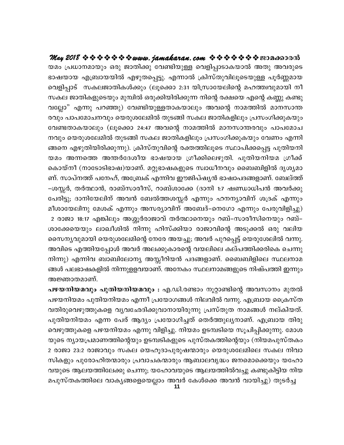**May 2018 www.jamakaran.com Pma¡mc³** baw {][m-\ -ambpw Hcp PmXn¡p thn -bpÅ shfn -¸m-Sm-I-bm AXp Ah -cpsS `mj -bmb F{\_m-b -bn Fgp-X -s¸-«p. F¶m {InkvXp-hn -eq-sS-bpÅ ]qÀ®-amb shfn -¸mSv kIePmXn -IÄ¡pw (eqs¡m 2:31 bn{km-tb -ensâ al-¯z-hp-ambn \o സകല ജാതികളുടെയും മുമ്പിൽ ഒരുക്കിയിരിക്കുന്ന നിന്റെ രക്ഷയെ എന്റെ കണ്ണു കണ്ടു യമം പ്രധാനമായും ഒരു ജാതിക്കു വേണ്ടിയുള്ള വെളിപ്പാടാകയാൽ അതു അവരുടെ<br>ഭാഷയായ എബ്രായയിൽ എഴുതപ്പെട്ടു. എന്നാൽ ക്രിസ്തുവിലൂടെയുള്ള പൂർണ്ണമായ<br>വെളിപ്പാട് സകലജാതികൾക്കും (ലൂക്കൊ 2:31 യിസ്രായേലിന്റെ മഹത്തിവുമായി നീ<br>സകല ജാതികളുടെയു രവും പാപമോചനവും യെരുശലേമിൽ തുടങ്ങി സകല ജാതികളിലും പ്രസംഗിക്കുകയും വെളിപ്പാട" സകലജാതികശക്കും (ലൂക്കൊ 2:31 യിസ്രായേലിന്റെ മഹത്തിവുമായി നി<br>സകല ജാതികളുടെയും മുമ്പിൽ ഒരുക്കിയിരിക്കുന്ന നിന്റെ രക്ഷയെ എന്റെ കണ്ണു കണ്ടു<br>വല്ലോ" എന്നു പറഞ്ഞു) വേണ്ടിയുള്ളതാകയാലും അവന്റെ നാമത്തിൽ മാനസാന്ത<br>രവും പാപമ സകല ജാതികളുടെയും മുമ്പിത ഒരുക്കിയിരിക്കുന്ന നിന്റെ രക്ഷയെ എന്റെ കണ്ണു കണ്ടു<br>വല്ലോ" എന്നു പറഞ്ഞു) വേണ്ടിയുള്ളതാകയാലും അവന്റെ നാമത്തിൽ മാനസാന്ത<br>രവും പാപമോചനവും യെരുശലേമിൽ തുടങ്ങി സകല ജാതികളിലും പ്രസംഗിക്കുകയും<br>വേണ്ടതാക വല്ലോ എന്നു പറഞ്ഞു) വേണ്ടിയുള്ളതാകയാലും അവന്റെ നാമത്തിരാ മാനസാന്ത<br>രവും പാപമോചനവും യെരുശലേമിൽ തുടങ്ങി സകല ജാതികളിലും പ്രസംഗിക്കുകയും<br>വേണ്ടതാകയാലും (ലൂക്കൊ 24:47 അവന്റെ നാമത്തിൽ മാനസാന്തരവും പാപമോച<br>നവും യെരുശലേമിൽ തുടങ്ങി സ രവും പാപമോചനവും യെരുശലേമിരാ തുടങ്ങി സകല ജാതികളിലും പ്രസംഗിക്കുകയും<br>വേണ്ടതാകയാലും (ലൂക്കൊ 24:47 അവന്റെ നാമത്തിൽ മാനസാന്തരവും പാപമോച<br>നവും യെരുശലേമിൽ തുടങ്ങി സകല ജാതികളിലും പ്രസംഗിക്കുകയും വേണം എന്നി<br>ങ്ങനെ എഴുതിയിരിക്കുന്നു) വേണ്ടതാകയാലും (ലൂക്കൊ 24:47 അവന്റെ നാമത്തിരാ മാനസാന്തരവും പാപമോച<br>നവും യെരുശലേമിൽ തുടങ്ങി സകല ജാതികളിലും പ്രസംഗിക്കുകയും വേണം എന്നി<br>ങ്ങനെ എഴുതിയിരിക്കുന്നു). ക്രിസ്തുവിന്റെ രക്തത്തിലൂടെ സ്ഥാപിക്കപ്പെട്ട പുതിയനി<br>യമം അന്നത് ണ്. സാപ്നത്ത് പനേഹ്, അബ്രേക് എന്നിവ ഈജിപ്ഷ്യൻ ഭാഷാപദങ്ങളാണ്. ബേല്ത്ത് ങ്ങനെ എഴുതിയിരിക്കുന്നു). ക്രിസ്തുവിന്റെ രക്തത്തിലൂടെ സ്ഥാപിക്കപ്പെട്ട പുതിയനി<br>യമം അന്നത്തെ അന്തർദേശീയ ഭാഷയായ ഗ്രീക്കിലെഴുതി. പുതിയനിയമ ഗ്രീക്ക്<br>കൊയ്നീ (നാടോടിഭാഷ)യാണ്. മറ്റുഭാഷകളുടെ സ്വാധീനവും ബൈബിളിൽ ദൃശ്യമാ<br>ണ്. സ യമം അന്നത്തെ അന്തരദേശിയ ഭാഷയായ ഗ്രിക്കിലെഴുതി. പുതിയനിയമ ഗ്രിക്ക<br>കൊയ്നീ (നാടോടിഭാഷ)യാണ്. മറ്റുഭാഷകളുടെ സ്വാധീനവും ബൈബിളിൽ ദൃശ്യമാ<br>ണ്. സാപ്നത്ത് പനേഹ്, അബ്രേക് എന്നിവ ഈജിപ്ഷൃൻ ഭാഷാപദങ്ങളാണ്. ബേല്ത്ത്<br>–ശസ്സർ, തർത്ഥാൻ, രാബ്സ കൊയന് (നാടോടിഭാഷ്)യാണ. മറ്റുഭാഷകളുടെ സാധിനവും ബൈബ്ല്വരാ ദൃശ്യമാ<br>ണ്. സാപ്നത്ത് പനേഹ്, അബ്രേക് എന്നിവ ഈജിപ്ഷ്യൻ ഭാഷാപദങ്ങളാണ്. ബേല്ത്ത്<br>–ശസ്സർ, തർത്ഥാൻ, രാബ്സാരീസ്, റാബ്ശാക്കേ (ദാനി 1:7 ഷണ്ഡാധിപൻ അവർക്കു<br>പേരിട്ടു; ദാനിയേലി ണ. സാപനത്ത പനേഹ, അബ്രേക എന്നിവ ഈജിപ്ഷ്യൻ ഭാഷാപദങ്ങളാണ. ബേലത്ത<br>–ശസ്സർ, തർത്ഥാൻ, രാബ്സാരീസ്, റാബ്ശാക്കേ (ദാനി 1:7 ഷണ്ഡാധിപൻ അവർക്കു<br>പേരിട്ടു; ദാനിയേലിന് അവൻ ബേൽത്തശസ്സർ എന്നും ഹനന്യാവിന് ശദ്രക് എന്നും<br>മീശായേലിനു മേശക് എന്നു ശാക്കേയെയും ലാഖീശിൽ നിന്നു ഹിസ്ക്കിയാ രാജാവിന്റെ അടുക്കൽ ഒരു വലിയ സൈന്യവുമായി യെരുശലേമിന്റെ നേരേ അയച്ചു; അവർ പുറപ്പെട്ട് യെരുശേലിൽ വന്നു. മിശായേലിനു മേശക എന്നും അസര്യാവിന അബേദ–നെഗോ എന്നും പേരുവിളിച്ചു)<br>- 2 രാജാ 18:17 എങ്കിലും അശ്ശൂർരാജാവ് തർത്ഥാനെയും റബ്–സാരീസിനെയും റബ്–<br>ശാക്കേയെയും ലാഖീശിൽ നിന്നു ഹിസ്ക്കിയാ രാജാവിന്റെ അടുക്കൽ ഒരു വലിയ<br>സൈന്യവുമായി യെരുശലേമി 2 രാജാ 18:17 എങ്കിലും അശ്ശൂരരാജാവ തരത്ഥാനെയും റബ–സാരിസിനെയും റബ–<br>ശാക്കേയെയും ലാഖീശിൽ നിന്നു ഹിസ്ക്കിയാ രാജാവിന്റെ അടുക്കൽ ഒരു വലിയ<br>സൈന്യവുമായി യെരുശലേമിന്റെ നേരേ അയച്ചു; അവർ പുറപ്പെട്ട് യെരുശേലിൽ വന്നു.<br>അവിടെ എത്തിയപ്പോൾ ങ്ങൾ പലഭാഷകളിൽ നിന്നുളളവയാണ്. അനേകം സ്ഥലനാമങ്ങളുടെ നിഷ്പത്തി ഇന്നും സൈനൃവുമായി യെരുശലേമിന്റെ<br>അവിടെ എത്തിയപ്പോൾ അവർ അ<br>നിന്നു) എന്നിവ ബാബിലോനൃ<br>ങ്ങൾ പലഭാഷകളിൽ നിന്നുളളവര<br>അജ്ഞാതമാണ്.<br>പഴയനിയമവും പുതിയനിയമം<br>പഴയനിയമം പുതിയനിയമം എന്ന അവടെ എത്തിയപ്പോശ അവര അലക്കുകാരന്റെ വയലിലെ കലപത്തിക്കരികെ ചെന്നു<br>നിന്നു) എന്നിവ ബാബിലോന്യ അസ്സീറിയൻ പദങ്ങളാണ്. ബൈബിളിലെ സ്ഥലനാമ<br>ങ്ങൾ പലഭാഷകളിൽ നിന്നുളളവയാണ്. അനേകം സ്ഥലനാമങ്ങളുടെ നിഷ്പത്തി ഇന്നും<br>അജ്ഞാതമാണ്.<br>പ**ഴയനിയമവും പു** 

പഴയനിയമം പുതിയനിയമം എന്നീ പ്രയോഗങ്ങൾ നിലവിൽ വന്നു. എബ്രായ ക്രൈസ്ത ങ്ങശ പലഭാഷകളിരാ നിന്നുളളവയാണ. അനേകം സ്ഥലനാമങ്ങളുടെ നിഷ്പത്തി ഇന്നും<br>അജ്ഞാതമാണ്.<br>**പഴയനിയമവും പുതിയനിയമവും :** എ.ഡി.രണ്ടാം നൂറ്റാണ്ടിന്റെ അവസാനം മുതൽ<br>പഴയനിയമം പുതിയനിയമം എന്നീ പ്രയോഗങ്ങൾ നിലവിൽ വന്നു. എബ്രായ ക്രൈസ്ത<br>വതിരുവെഴ അജ്ഞാതമാണ്.<br>**പഴയനിയമവും പുതിയനിയമവും :** എ.ഡി.രണ്ടാം നൂറ്റാണ്ടിന്റെ അവസാനം മുതൽ<br>പഴയനിയമം പുതിയനിയമം എന്നീ പ്രയോഗങ്ങൾ നിലവിൽ വന്നു. എബ്രായ ക്രൈസ്ത<br>വതിരുവെഴുത്തുകളെ വ്യവഛേദിക്കുവാനായിരുന്നു പ്രസ്തുത നാമങ്ങൾ നല്കിയത്.<br>പുതിയനി പഴയനിയമവും പുതിയനിയമവും : എ.ഡി.രണ്ടാം നൂറ്റാണ്ടിന്റെ അവസാനം മുതരം<br>പഴയനിയമം പുതിയനിയമം എന്നീ പ്രയോഗങ്ങൾ നിലവിൽ വന്നു. എബ്രായ ക്രൈസ്ത<br>വതിരുവെഴുത്തുകളെ വൃവഛേദിക്കുവാനായിരുന്നു പ്രസ്തുത നാമങ്ങൾ നല്കിയത്.<br>പുതിയനിയമം എന്ന പേര് പഴയനിയമാ പുതിയനിയമാ എന്നി പ്രയോഗങ്ങൾ നിലവിരാ വന്നു. എബ്രായ ക്രൈസത<br>വതിരുവെഴുത്തുകളെ വ്യവഛേദിക്കുവാനായിരുന്നു പ്രസ്തുത നാമങ്ങൾ നല്കിയത്.<br>പുതിയനിയമാ എന്ന പേര് ആദ്യം പ്രയോഗിച്ചത് തെർത്തുല്യനാണ്. എബ്രായ തിരു<br>വെഴുത്തുകളെ പഴയനിയ വതിരുവെഴുത്തുകളെ വൃവഛേദിക്കുവാനായിരുന്നു പ്രസതുത നാമങ്ങശ നല്കിയത.<br>പുതിയനിയമം എന്ന പേര് ആദ്യം പ്രയോഗിച്ചത് തെർത്തുല്യനാണ്. എബ്രായ തിരു<br>വെഴുത്തുകളെ പഴയനിയമം എന്നു വിളിച്ചു. നിയമം ഉടമ്പടിയെ സൂചിപ്പിക്കുന്നു. മോശ<br>യുടെ ന്യായപ് പുതിയനിയമം എന്ന പേര ആദ്യം പ്രയോഗിച്ചത തെരത്തുല്യനാണ. എബ്രായ തിരു<br>വെഴുത്തുകളെ പഴയനിയമം എന്നു വിളിച്ചു. നിയമം ഉടമ്പടിയെ സൂചിപ്പിക്കുന്നു. മോശ<br>യുടെ ന്യായപ്രമാണത്തിന്റെയും ഉടമ്പടികളുടെ പുസ്തകത്തിന്റെയും (നിയമപുസ്തകം<br>2 രാജാ 23 വയുടെ ആലയത്തിലേക്കു ചെന്നു; യഹോവയുടെ ആലയത്തിൽവച്ചു കണ്ടുകിട്ടിയ നിയ 2 രാജാ 23:2 രാജാവും സകല യെഹൂദാപുരുഷന്മാരും യെരുശലേമിലെ സകല നിവാ<br>സികളും പുരോഹിതന്മാരും പ്രവാചകന്മാരും ആബാലവൃദ്ധം ജനമൊക്കെയും യഹോ<br>വയുടെ ആലയത്തിലേക്കു ചെന്നു; യഹോവയുടെ ആലയത്തിൽവച്ചു കണ്ടുകിട്ടിയ നിയ<br>മപുസ്തകത്തിലെ വാകൃങ്ങളെയെ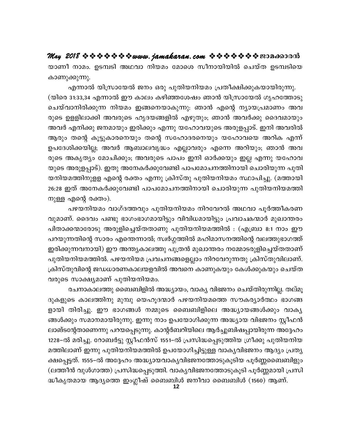യാണീ നാമം. ഉടമ്പടി അഥവാ നിയമം മോശെ സീനായിയിൽ ചെയ്ത ഉടമ്പടിയെ കാണുക്കുന്നു.

എന്നാൽ യിസ്രായേൽ ജനം ഒരു പുതിയനിയമം പ്രതീക്ഷിക്കുകയായിരുന്നു. (യിരെ 31:33,34 എന്നാൽ ഈ കാലം കഴിഞ്ഞശേഷം ഞാൻ യിസ്രായേൽ ഗൃഹത്തോടു ചെയ്വാനിരിക്കുന്ന നിയമം ഇങ്ങനെയാകുന്നു: ഞാൻ എന്റെ ന്യായപ്രമാണം അവ രുടെ ഉളളിലാക്കി അവരുടെ ഹൃദയങ്ങളിൽ എഴുതും; ഞാൻ അവർക്കു ദൈവമായും അവർ എനിക്കു ജനമായും ഇരിക്കും എന്നു യഹോവയുടെ അരുളപ്പാട്. ഇനി അവരിൽ ആരും തന്റെ കൂട്ടുകാരനെയും തന്റെ സഹോദരനെയും യഹോവയെ അറിക എന്ന് ഉപദേശിക്കയില്ല; അവർ ആബാലവൃദ്ധം എല്ലാവരും എന്നെ അറിയും; ഞാൻ അവ രുടെ അകൃത്യം മോചിക്കും; അവരുടെ പാപം ഇനി ഓർക്കയും ഇല്ല എന്നു യഹോവ യുടെ അരുളപ്പാട്). ഇതു അനേകർക്കുവേണ്ടി പാപമോചനത്തിനായി ചൊരിയുന്ന പുതി യനിയമത്തിനുളള എന്റെ രക്തം എന്നു ക്രിസ്തു പുതിയനിയമം സ്ഥാപിച്ചു. (മത്തായി 26:28 ഇത് അനേകർക്കുവേണ്ടി പാപമോചനത്തിനായി ചൊരിയുന്ന പുതിയനിയമത്തി നുള്ള എന്റെ രക്തം).

പഴയനിയമം വാഗ്ദത്തവും പുതിയനിയമം നിറവേറൽ അഥവാ പൂർത്തീകരണ വുമാണ്. ദൈവം പണ്ടു ഭാഗംഭാഗമായിട്ടും വിവിധമായിട്ടും പ്രവാചകന്മാർ മുഖാന്തരം പിതാക്കന്മാരോടു അരുളിച്ചെയ്തതാണു പുതിയനിയമത്തിൽ : (എബ്രാ 8:1 നാം ഈ പറയുന്നതിന്റെ സാരം എന്തെന്നാൽ; സ്വർഗ്ഗത്തിൽ മഹിമാസനത്തിന്റെ വലത്തുഭാഗത്ത് ഇരിക്കുന്നവനായി) ഈ അന്ത്യകാലത്തു പുത്രൻ മുഖാന്തരം നമ്മോടരുളിച്ചെയ്തതാണ് പുതിയനിയമത്തിൽ. പഴയനിയമ പ്രവചനങ്ങളെല്ലാം നിറവേറുന്നതു ക്രിസ്തുവിലാണ്. ക്രിസ്തുവിന്റെ ജഡധാരണകാലയളവിൽ അവനെ കാണുകയും കേൾക്കുകയും ചെയ്ത വരുടെ സാക്ഷ്യമാണ് പുതിയനിയമം.

രചനാകാലത്തു ബൈബിളിൽ അദ്ധ്യായം, വാക്യ വിഭജനം ചെയ്തിരുന്നില്ല. തല്മൂ ദുകളുടെ കാലത്തിനു മുമ്പു യെഹൂദന്മാർ പഴയനിയമത്തെ സൗകര്യാർത്ഥം ഭാഗങ്ങ ളായി തിരിച്ചു. ഈ ഭാഗങ്ങൾ നമ്മുടെ ബൈബിളിലെ അദ്ധ്യായങ്ങൾക്കും വാക്യ ങ്ങൾക്കും സമാനമായിരുന്നു. ഇന്നു നാം ഉപയോഗിക്കുന്ന അദ്ധ്യായ വിഭജനം സ്റ്റീഫൻ ലാങ്ടന്റേതാണെന്നു പറയപ്പെടുന്നു. കാന്റർബറിയിലെ ആർച്ചുബിഷപ്പായിരുന്ന അദ്ദേഹം 1228–ൽ മരിച്ചു. റോബർട്ടു സ്റ്റീഫൻസ് 1551–ൽ പ്രസിദ്ധപ്പെടുത്തിയ ഗ്രീക്കു പുതിയനിയ മത്തിലാണ് ഇന്നു പുതിയനിയമത്തിൽ ഉപയോഗിച്ചിട്ടുള്ള വാകൃവിഭജനം ആദ്യം പ്രത്യ ക്ഷപ്പെട്ടത്. 1555–ൽ അദ്ദേഹം അദ്ധ്യായവാക്യവിഭജനത്തോടുകൂടിയ പൂർണ്ണബൈബിളും (ലത്തീൻ വുൾഗാത്ത) പ്രസിദ്ധപ്പെടുത്തി. വാകൃവിഭജനത്തോടുകൂടി പൂർണ്ണമായി പ്രസി ദ്ധീകൃതമായ ആദ്യത്തെ ഇംഗ്ലീഷ് ബൈബിൾ ജനീവാ ബൈബിൾ (1560) ആണ്.

12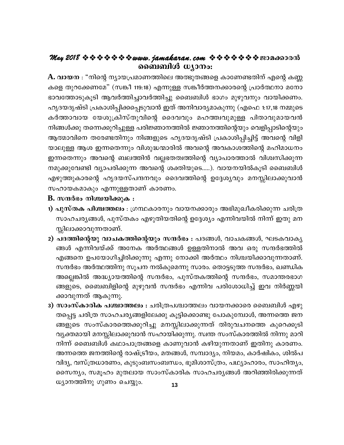## May 2018  $\Leftrightarrow \diamond \diamond \diamond \diamond \diamond \diamond \text{www. jamakaran.com}$   $\Leftrightarrow \diamond \diamond \diamond \diamond \diamond \diamond \diamond \diamond \diamond$ ബൈബിൾ ധ്യാനം:

 $\bf A.$  വായന : "നിന്റെ ന്യായപ്രമാണത്തിലെ അത്ഭുതങ്ങളെ കാണേണ്ടതിന് എന്റെ കണ്ണ കളെ തുറക്കേണമേ" (സങ്കീ 119:18) എന്നുള്ള സങ്കീർത്തനക്കാരന്റെ പ്രാർത്ഥനാ മനോ ഭാവത്തോടുകൂടി ആവർത്തിച്ചാവർത്തിച്ചു ബൈബിൾ ഭാഗം മുഴുവനും വായിക്കണം. ഹൃദയദൃഷ്ടി പ്രകാശിപ്പിക്കപ്പെടുവാൻ ഇത് അനിവാര്യമാകുന്നു (എഫെ 1:17,18 നമ്മുടെ കർത്താവായ യേശുക്രിസ്തുവിന്റെ ദൈവവും മഹത്ത്വവുമുള്ള പിതാവുമായവൻ നിങ്ങൾക്കു തന്നെക്കുറിച്ചുള്ള പരിജ്ഞാനത്തിൽ ജ്ഞാനത്തിന്റെയും വെളിപ്പാടിന്റെയും ആത്മാവിനെ തരേണ്ടതിനും നിങ്ങളുടെ ഹൃദയദൃഷ്ടി പ്രകാശിപ്പിച്ചിട്ട് അവന്റെ വിളി യാലുള്ള ആശ ഇന്നതെന്നും വിശുദ്ധന്മാരിൽ അവന്റെ അവകാശത്തിന്റെ മഹിമാധനം ഇന്നതെന്നും അവന്റെ ബലത്തിൻ വല്ലഭതത്വത്തിന്റെ വ്യാപാരത്താൽ വിശ്വസിക്കുന്ന നമുക്കുവേണ്ടി വ്യാപരിക്കുന്ന അവന്റെ ശക്തിയുടെ.....). വായനയിൽകൂടി ബൈബിൾ എഴുത്തുകാരന്റെ ഹൃദയസ്പന്ദനവും ദൈവത്തിന്റെ ഉദ്ദേശ്യവും മനസ്സിലാക്കുവാൻ സഹായകമാകും എന്നുള്ളതാണ് കാരണം.

#### $\bf{B}$ . സന്ദർഭം നിശ്ചയിക്കുക $\bf{B}$  :

- 1) പുസ്തക പിശ്ചത്തലം : ഗ്രന്ഥകാരനും വായനക്കാരും അഭിമുഖീകരിക്കുന്ന ചരിത്ര സാഹചര്യങ്ങൾ, പുസ്തകം എഴുതിയതിന്റെ ഉദ്ദേശ്യം എന്നിവയിൽ നിന്ന് ഇതു മന സ്സിലാക്കാവുന്നതാണ്.
- 2) പദത്തിന്റെയു വാചകത്തിന്റെയും സന്ദർഭം : പദങ്ങൾ, വാചകങ്ങൾ, ഘടകവാകൃ ങ്ങൾ എന്നിവയ്ക്ക് അനേക അർത്ഥങ്ങൾ ഉള്ളതിനാൽ അവ ഒരു സന്ദർഭത്തിൽ എങ്ങനെ ഉപയോഗിച്ചിരിക്കുന്നു എന്നു നോക്കി അർത്ഥം നിശ്ചയിക്കാവുന്നതാണ്. സന്ദർഭം അർത്ഥത്തിനു സൂചന നൽകുമെന്നു സാരം. തൊട്ടടുത്ത സന്ദർഭം, ഖണ്ഡിക അല്ലെങ്കിൽ അദ്ധ്യായത്തിന്റെ സന്ദർഭം, പുസ്തകത്തിന്റെ സന്ദർഭം, സമാന്തരഭാഗ ങ്ങളുടെ, ബൈബിളിന്റെ മുഴുവൻ സന്ദർഭം എന്നിവ പരിശോധിച്ച് ഇവ നിർണ്ണയി ക്കാവുന്നത് ആകുന്നു.
- 3) സാംസ്കാരിക പശ്ചാത്തലം : ചരിത്രപശ്ചാത്തലം വായനക്കാരെ ബൈബിൾ എഴു തപ്പെട്ട ചരിത്ര സാഹചര്യങ്ങളിലേക്കു കൂട്ടിക്കൊണ്ടു പോകുമ്പോൾ, അന്നത്തെ ജന ങ്ങളുടെ സംസ്കാരത്തെക്കുറിച്ചു മനസ്സിലാക്കുന്നത് തിരുവചനത്തെ കുറെക്കൂടി വൃക്തമായി മനസ്സിലാക്കുവാൻ സഹായിക്കുന്നു. സ്വന്ത സംസ്കാരത്തിൽ നിന്നു മാറി നിന്ന് ബൈബിൾ കഥാപാത്രങ്ങളെ കാണുവാൻ കഴിയുന്നതാണ് ഇതിനു കാരണം. അന്നത്തെ ജനത്തിന്റെ രാഷ്ട്രീയം, മതങ്ങൾ, സമ്പാദ്യം, നിയമം, കാർഷികം, ശിൽപ വിദ്യ, വസ്ത്രധാരണം, കുടുംബസംബന്ധം, ഭൂമിശാസ്ത്രം, പഥ്യാഹാരം, സാഹിത്യം, സൈന്യം, സമൂഹം മുതലായ സാംസ്കാരിക സാഹചര്യങ്ങൾ അറിഞ്ഞിരിക്കുന്നത് ധ്യാനത്തിനു ഗുണം ചെയ്യും.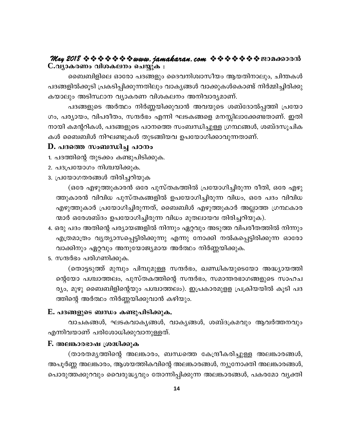### May 2018  $\Leftrightarrow \diamond \diamond \diamond \diamond \diamond \diamond w$ www.jamakaran.com  $\diamond \diamond \diamond \diamond \diamond \diamond \diamond \diamond \diamond \diamond w$ C.വ്യാകരണം വിശകലനം ചെയ്യുക **։**

ബൈബിളിലെ ഓരോ പദങ്ങളും ദൈവനിശ്വാസീയം ആയതിനാലും, ചിന്തകൾ പദങ്ങളിൽക്കൂടി പ്രകടിപ്പിക്കുന്നതിലും വാകൃങ്ങൾ വാക്കുകൾകൊണ്ട് നിർമ്മിച്ചിരിക്കു കയാലും അടിസ്ഥാന വ്യാകരണ വിശകലനം അനിവാര്യമാണ്.

പദങ്ങളുടെ അർത്ഥം നിർണ്ണയിക്കുവാൻ അവയുടെ ശബ്ദോൽപ്പത്തി പ്രയോ ഗം, പര്യായം, വിപരീതം, സന്ദർഭം എന്നി ഘടകങ്ങളെ മനസ്സിലാക്കേണ്ടതാണ്. ഇതി നായി കമന്ററികൾ, പദങ്ങളുടെ പഠനത്തെ സംബന്ധിച്ചുള്ള ഗ്രന്ഥങ്ങൾ, ശബ്ദസൂചിക കൾ ബൈബിൾ നിഘണ്ടുകൾ തുടങ്ങിയവ ഉപയോഗിക്കാവുന്നതാണ്.

#### D. പദത്തെ സംബന്ധിച്ച പഠനം

- 1. പദത്തിന്റെ തുടക്കം കണ്ടുപിടിക്കുക.
- 2. പദപ്രയോഗം നിശ്ചയിക്കുക.
- 3. പ്രയോഗതരങ്ങൾ തിരിച്ചറിയുക

(ഒരേ എഴുത്തുകാരൻ ഒരേ പുസ്തകത്തിൽ പ്രയോഗിച്ചിരുന്ന രീതി, ഒരേ എഴു ത്തുകാരൻ വിവിധ പുസ്തകങ്ങളിൽ ഉപയോഗിച്ചിരുന്ന വിധം, ഒരേ പദം വിവിധ എഴുത്തുകാർ പ്രയോഗിച്ചിരുന്നത്, ബൈബിൾ എഴുത്തുകാർ അല്ലാത്ത ഗ്രന്ഥകാര ന്മാർ ഒരേശബ്ദം ഉപയോഗിച്ചിരുന്ന വിധം മുതലായവ തിരിച്ചറിയുക).

- 4. ഒരു പദം അതിന്റെ പര്യായങ്ങളിൽ നിന്നും ഏറ്റവും അടുത്ത വിപരീതത്തിൽ നിന്നും എത്രമാത്രം വൃത്യാസപ്പെട്ടിരിക്കുന്നു എന്നു നോക്കി നൽകപ്പെട്ടിരിക്കുന്ന ഓരോ വാക്കിനും ഏറ്റവും അനുയോജ്യമായ അർത്ഥം നിർണ്ണയിക്കുക.
- 5. സന്ദർഭം പരിഗണിക്കുക.

(തൊട്ടടുത്ത് മുമ്പും പിമ്പുമുള്ള സന്ദർഭം, ഖണ്ഡികയുടെയോ അദ്ധ്യായത്തി ന്റെയോ പശ്ചാത്തലം, പുസ്തകത്തിന്റെ സന്ദർഭം, സമാന്തരഭാഗങ്ങളുടെ സാഹച ര്യം, മുഴു ബൈബിളിന്റെയും പശ്ചാത്തലം). ഇപ്രകാരമുളള പ്രക്രിയയിൽ കൂടി പദ ത്തിന്റെ അർത്ഥം നിർണ്ണയിക്കുവാൻ കഴിയും.

#### E. പദങ്ങളുടെ ബന്ധം കണ്ടുപിടിക്കുക.

വാചകങ്ങൾ, ഘടകവാകൃങ്ങൾ, വാകൃങ്ങൾ, ശബ്ദക്രമവും ആവർത്തനവും എന്നിവയാണ് പരിശോധിക്കുവാനുള്ളത്.

#### F. അലങ്കാരഭാഷ ശ്രദ്ധിക്കുക

(താരതമൃത്തിന്റെ അലങ്കാരം, ബന്ധത്തെ കേന്ദ്രീകരിച്ചുള്ള അലങ്കാരങ്ങൾ, അപൂർണ്ണ അലങ്കാരം, ആശയത്തികവിന്റെ അലങ്കാരങ്ങൾ, ന്യൂനോക്തി അലങ്കാരങ്ങൾ, പൊരുത്തക്കുറവും വൈരുദ്ധ്യവും തോന്നിപ്പിക്കുന്ന അലങ്കാരങ്ങൾ, പകരമോ വ്യക്തി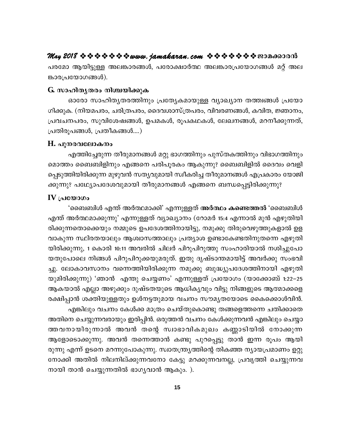പരമോ ആയിട്ടുള്ള അലങ്കാരങ്ങൾ, പരോക്ഷാർത്ഥ അലങ്കാരപ്രയോഗങ്ങൾ മറ്റ് അല ങ്കാരപ്രയോഗങ്ങൾ).

#### G. സാഹിതൃതരം നിശ്ചയിക്കുക

ഓരോ സാഹിതൃതരത്തിനും പ്രത്യേകമായുള്ള വ്യാഖ്യാന തത്ത്വങ്ങൾ പ്രയോ ഗിക്കുക. (നിയമപരം, ചരിത്രപരം, ദൈവശാസ്ത്രപരം, വിവരണങ്ങൾ, കവിത, ജ്ഞാനം, പ്രവചനപരം, സുവിശേഷങ്ങൾ, ഉപമകൾ, രൂപകഥകൾ, ലേഖനങ്ങൾ, മറനീക്കുന്നത്, പ്രതിരൂപങ്ങൾ, പ്രതീകങ്ങൾ....)

#### H. പുനരവലോകനം

എത്തിച്ചേരുന്ന തീരുമാനങ്ങൾ മറ്റു ഭാഗത്തിനും പുസ്തകത്തിനും വിഭാഗത്തിനും മൊത്തം ബൈബിളിനും എങ്ങനെ പരിപൂരകം ആകുന്നു? ബൈബിളിൽ ദൈവം വെളി പ്പെടുത്തിയിരിക്കുന്ന മുഴുവൻ സത്യവുമായി സ്വീകരിച്ച തീരുമാനങ്ങൾ എപ്രകാരം യോജി ക്കുന്നു? പഥ്ര്യോപദേശവുമായി തീരുമാനങ്ങൾ എങ്ങനെ ബന്ധപ്പെട്ടിരിക്കുന്നു?

#### $IV$  (പയോഗം

'ബൈബിൾ എന്ത് അർത്ഥമാക്കി' എന്നുള്ളത് <mark>അർത്ഥം കണ്ടെത്തൽ '</mark>ബൈബിൾ എന്ത് അർത്ഥമാക്കുന്നു' എന്നുള്ളത് വ്യാഖ്യാനം (റോമർ 15:4 എന്നാൽ മുൻ എഴുതിയി രിക്കുന്നതൊക്കെയും നമ്മുടെ ഉപദേശത്തിനായിട്ടു, നമുക്കു തിരുവെഴുത്തുകളാൽ ഉള വാകുന്ന സ്ഥിരതയാലും ആശ്വാസത്താലും പ്രത്യാശ ഉണ്ടാകേണ്ടതിനുതന്നെ എഴുതി യിരിക്കുന്നു, 1 കൊരി 10:11 അവരിൽ ചിലർ പിറുപിറുത്തു സംഹാരിയാൽ നശിച്ചുപോ യതുപോലെ നിങ്ങൾ പിറുപിറുക്കയുമരുത്. ഇതു ദൃഷ്ടാന്തമായിട്ട് അവർക്കു സംഭവി ച്ചു. ലോകാവസാനം വന്നെത്തിയിരിക്കുന്ന നമുക്കു ബുദ്ധ്യുപദേശത്തിനായി എഴുതി യുമിരിക്കുന്നു) 'ഞാൻ എന്തു ചെയ്യണം' എന്നുള്ളത് പ്രയോഗം (യാക്കോബ് 1:22–25 ആകയാൽ എല്ലാ അഴുക്കും ദുഷ്ടതയുടെ ആധികൃവും വിട്ടു നിങ്ങളുടെ ആത്മാക്കളെ രക്ഷിപ്പാൻ ശക്തിയുള്ളതും ഉൾനട്ടതുമായ വചനം സൗമൃതയോടെ കൈക്കൊൾവിൻ. എങ്കിലും വചനം കേൾക്ക മാത്രം ചെയ്തുകൊണ്ടു തങ്ങളെത്തന്നെ ചതിക്കാതെ

അതിനെ ചെയ്യുന്നവരായും ഇരിപ്പിൻ. ഒരുത്തൻ വചനം കേൾക്കുന്നവൻ എങ്കിലും ചെയ്യാ ത്തവനായിരുന്നാൽ അവൻ തന്റെ സ്വാഭാവികമുഖം കണ്ണാടിയിൽ നോക്കുന്ന ആളോടൊക്കുന്നു. അവൻ തന്നെത്താൻ കണ്ടു പുറപ്പെട്ടു താൻ ഇന്ന രൂപം ആയി രുന്നു എന്ന് ഉടനെ മറന്നുപോകുന്നു. സ്വാതന്ത്ര്യത്തിന്റെ തികഞ്ഞ ന്യായപ്രമാണം ഉറ്റു നോക്കി അതിൽ നിലനില്ക്കുന്നവനോ കേട്ടു മറക്കുന്നവനല്ല, പ്രവൃത്തി ചെയ്യുന്നവ നായി താൻ ചെയ്യുന്നതിൽ ഭാഗൃവാൻ ആകും. ).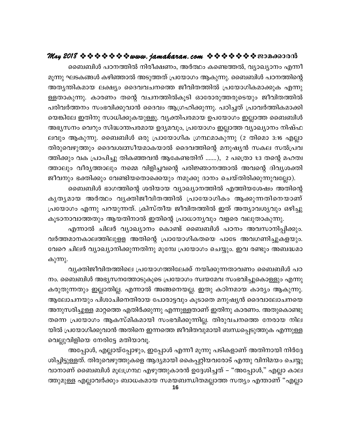ബൈബിൾ പഠനത്തിൽ നിരീക്ഷണം, അർത്ഥം കണ്ടെത്തൽ, വ്യാഖ്യാനം എന്നീ മൂന്നു ഘടകങ്ങൾ കഴിഞ്ഞാൽ അടുത്തത് പ്രയോഗം ആകുന്നു. ബൈബിൾ പഠനത്തിന്റെ അത്യന്തികമായ ലക്ഷ്യം ദൈവവചനത്തെ ജീവിതത്തിൽ പ്രയോഗികമാക്കുക എന്നു ള്ളതാകുന്നു. കാരണം തന്റെ വചനത്തിൽകൂടി ഓരോരുത്തരുടെയും ജീവിതത്തിൽ പരിവർത്തനം സംഭവിക്കുവാൻ ദൈവം ആഗ്രഹിക്കുന്നു. പഠിച്ചത് പ്രാവർത്തികമാക്കി യെങ്കിലേ ഇതിനു സാധിക്കുകയുള്ളൂ. വ്യക്തിപരമായ ഉപയോഗം ഇല്ലാത്ത ബൈബിൾ അഭ്യസനം വെറും സിദ്ധാന്തപരമായ ഉദ്യമവും, പ്രയോഗം ഇല്ലാത്ത വ്യാഖ്യാനം നിഷ്ഫ ലവും ആകുന്നു. ബൈബിൾ ഒരു പ്രായോഗിക ഗ്രന്ഥമാകുന്നു (2 തിമൊ 3:16 എല്ലാ തിരുവെഴുത്തും ദൈവശ്വസീയമാകയാൽ ദൈവത്തിന്റെ മനുഷ്യൻ സകല സൽപ്രവ ത്തിക്കും വക പ്രാപിച്ചു തികഞ്ഞവൻ ആകേണ്ടതിന് .......), 2 പത്രൊ 1:3 തന്റെ മഹത്വ ത്താലും വീര്യത്താലും നമ്മെ വിളിച്ചവന്റെ പരിജ്ഞാനത്താൽ അവന്റെ ദിവ്യശക്തി

ജീവനും ഭക്തിക്കും വേണ്ടിയതൊക്കെയും നമുക്കു ദാനം ചെയ്തിരിക്കുന്നുവല്ലോ). ബൈബിൾ ഭാഗത്തിന്റെ ശരിയായ വ്യാഖ്യാനത്തിൽ എത്തിയശേഷം അതിന്റെ കൃതൃമായ അർത്ഥം വൃക്തിജീവിതത്തിൽ പ്രായോഗികം ആക്കുന്നതിനെയാണ് പ്രയോഗം എന്നു പറയുന്നത്. ക്രിസ്തീയ ജീവിതത്തിൽ ഇത് അത്യാവശ്യവും ഒഴിച്ചു കൂടാനാവാത്തതും ആയതിനാൽ ഇതിന്റെ പ്രാധാന്യവും വളരെ വലുതാകുന്നു.

എന്നാൽ ചിലർ വ്യാഖ്യാനം കൊണ്ട് ബൈബിൾ പഠനം അവസാനിപ്പിക്കും. വർത്തമാനകാലത്തിലുളള അതിന്റെ പ്രായോഗികതയെ പാടേ അവഗണിച്ചുകളയും. വേറെ ചിലർ വ്യാഖ്യാനിക്കുന്നതിനു മുമ്പേ പ്രയോഗം ചെയ്യും. ഇവ രണ്ടും അബദ്ധമാ കുന്നു.

വ്യക്തിജീവിതത്തിലെ പ്രയോഗത്തിലേക്ക് നയിക്കുന്നതാവണം ബൈബിൾ പഠ നം. ബൈബിൾ അഭ്യസനത്തോടുകൂടെ പ്രയോഗം സ്വയമേവ സംഭവിച്ചുകൊള്ളും എന്നു കരുതുന്നതും ഇല്ലാതില്ല. എന്നാൽ അങ്ങനെയല്ല. ഇതു കഠിനമായ കാര്യം ആകുന്നു. ആലോചനയും പിശാചിനെതിരായ പോരാട്ടവും കൂടാതെ മനുഷ്യൻ ദൈവാലോചനയെ അനുസരിച്ചുള്ള മാറ്റത്തെ എതിർക്കുന്നു എന്നുള്ളതാണ് ഇതിനു കാരണം. അതുകൊണ്ടു തന്നെ പ്രയോഗം ആകസ്മികമായി സംഭവിക്കുന്നില്ല. തിരുവചനത്തെ നേരായ നില യിൽ പ്രയോഗിക്കുവാൻ അതിനെ ഇന്നത്തെ ജീവിതവുമായി ബന്ധപ്പെടുത്തുക എന്നുള്ള വെല്ലുവിളിയെ നേരിട്ടേ മതിയാവൂ.

അപ്പോൾ, എല്ലായ്പ്പോഴും, ഇപ്പോൾ എന്നീ മൂന്നു പടികളാണ് അതിനായി നിർദ്ദേ ശിച്ചിട്ടുള്ളത്. തിരുവെഴുത്തുകളെ ആദ്യമായി കൈപ്പറ്റിയവരോട് എന്തു വിനിമയം ചെയ്യു വാനാണ് ബൈബിൾ മൂലഗ്രന്ഥ എഴുത്തുകാരൻ ഉദ്ദേശിച്ചത് – "അപ്പോൾ," എല്ലാ കാല ത്തുമുള്ള എല്ലാവർക്കും ബാധകമായ സമയബന്ധിതമല്ലാത്ത സത്യം എന്താണ് "എല്ലാ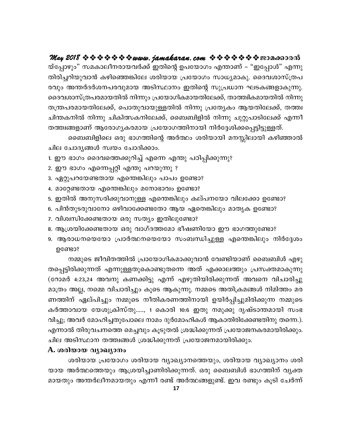May 2018  $\Leftrightarrow \diamond \diamond \diamond \diamond \diamond \diamond \text{www. jamakaran.com}$   $\Leftrightarrow \diamond \diamond \diamond \diamond \diamond \diamond \diamond \diamond$ യ്പ്പോഴും" സമകാലീനരായവർക്ക് ഇതിന്റെ ഉപയോഗം എന്താണ് – "ഇപ്പോൾ" എന്നു തിരിച്ചറിയുവാൻ കഴിഞ്ഞെങ്കിലേ ശരിയായ പ്രയോഗം സാധ്യമാകു. ദൈവശാസ്ത്രപ രവും അന്തർദർശനപരവുമായ അടിസ്ഥാനം ഇതിന്റെ സുപ്രധാന ഘടകങ്ങളാകുന്നു. ദൈവശാസ്ത്രപരമായതിൽ നിന്നും പ്രയോഗികമായതിലേക്ക്, താത്ത്വികമായതിൽ നിന്നു തന്ത്രപരമായതിലേക്ക്, പൊതുവായുള്ളതിൽ നിന്നു പ്രത്യേകം ആയതിലേക്ക്, തത്ത്വ ചിന്തകനിൽ നിന്നു ചികിത്സകനിലേക്ക്, ബൈബിളിൽ നിന്നു ചുറ്റുപാടിലേക്ക് എന്നീ തത്ത്വങ്ങളാണ് ആരോഗ്യകരമായ പ്രയോഗത്തിനായി നിർദ്ദേശിക്കപ്പെട്ടിട്ടുള്ളത്.

ബൈബിളിലെ ഒരു ഭാഗത്തിന്റെ അർത്ഥം ശരിയായി മനസ്സിലായി കഴിഞ്ഞാൽ ചില ചോദ്യങ്ങൾ സ്വയം ചോദിക്കാം.

- 1. ഈ ഭാഗം ദൈവത്തെക്കുറിച്ച് എന്നെ എന്തു പഠിപ്പിക്കുന്നു?
- 2. ഈ ഭാഗം എന്നെപ്പറ്റി എന്തു പറയുന്നു ?
- 3. ഏറ്റുപറയേണ്ടതായ എന്തെങ്കിലും പാപം ഉണ്ടോ?
- 4. മാറ്റേണ്ടതായ എന്തെങ്കിലും മനോഭാവം ഉണ്ടോ?
- 5. ഇതിൽ അനുസരിക്കുവാനുള്ള എന്തെങ്കിലും കല്പനയോ വിലക്കോ ഉണ്ടോ?
- 6. പിൻതുടരുവാനോ ഒഴിവാക്കേണ്ടതോ ആയ ഏതെങ്കിലും മാതൃക ഉണ്ടോ?
- 7. വിശ്വസിക്കേണ്ടതായ ഒരു സത്യം ഇതിലുണ്ടോ?
- 8. ആശ്രയിക്കേണ്ടതായ ഒരു വാഗ്ദത്തമോ ഭീഷണിയോ ഈ ഭാഗത്തുണ്ടോ?
- 9. ആരാധനയെയോ പ്രാർത്ഥനയെയോ സംബന്ധിച്ചുള്ള എന്തെങ്കിലും നിർദ്ദേശം ഉണ്ടോ?

നമ്മുടെ ജീവിതത്തിൽ പ്രായോഗികമാക്കുവാൻ വേണ്ടിയാണ് ബൈബിൾ എഴു തപ്പെട്ടിരിക്കുന്നത് എന്നുള്ളതുകൊണ്ടുതന്നെ അത് എക്കാലത്തും പ്രസക്തമാകുന്നു (റോമർ 4:23,24 അവനു കണക്കിട്ടു എന്ന് എഴുതിയിരിക്കുന്നത് അവനെ വിചാരിച്ചു മാത്രം അല്ല, നമ്മെ വിചാരിച്ചും കൂടെ ആകുന്നു. നമ്മടെ അതിക്രമങ്ങൾ നിമിത്തം മര ണത്തിന് ഏല്പിച്ചും നമ്മുടെ നീതികരണത്തിനായി ഉയിർപ്പിച്ചുമിരിക്കുന്ന നമ്മുടെ കർത്താവായ യേശുക്രിസ്തു....., 1 കൊരി 10:6 ഇതു നമുക്കു ദൃഷ്ടാന്തമായി സംഭ വിച്ചു; അവർ മോഹിച്ചതുപോലെ നാമം ദുർമോഹികൾ ആകാതിരിക്കേണ്ടതിനു തന്നെ.). എന്നാൽ തിരുവചനത്തെ മെച്ചവും കൂടുതൽ ശ്രദ്ധിക്കുന്നത് പ്രയോജനകരമായിരിക്കും. ചില അടിസ്ഥാന തത്ത്വങ്ങൾ ശ്രദ്ധിക്കുന്നത് പ്രയോജനമായിരിക്കും.

#### A. ശരിയായ വ്യാഖ്യാനം

ശരിയായ പ്രയോഗം ശരിയായ വ്യാഖ്യാനത്തെയും, ശരിയായ വ്യാഖ്യാനം ശരി യായ അർത്ഥത്തെയും ആശ്രയിച്ചാണിരിക്കുന്നത്. ഒരു ബൈബിൾ ഭാഗത്തിന് വ്യക്ത മായതും അന്തർലീനമായതും എന്നീ രണ്ട് അർത്ഥങ്ങളുണ്ട്. ഇവ രണ്ടും കൂടി ചേർന്ന്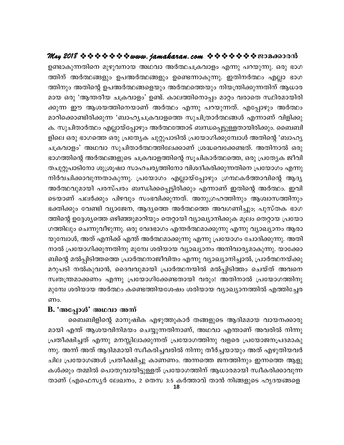## ഉണ്ടാകുന്നതിനെ മുഴുവനായ അഥവാ അർത്ഥചക്രവാളം എന്നു പറയുന്നു. ഒരു ഭാഗ ത്തിന് അർത്ഥങ്ങളും ഉപഅർത്ഥങ്ങളും ഉണ്ടെന്നാകുന്നു. ഇതിനർത്ഥം എല്ലാ ഭാഗ ത്തിനും അതിന്റെ ഉപഅർത്ഥങ്ങളെയും അർത്ഥത്തെയും നിയന്ത്രിക്കുന്നതിന് ആധാര മായ ഒരു 'ആന്തരീയ ചക്രവാളം' ഉണ്ട്. കാലത്തിനൊപ്പം മാറ്റം വരാതെ സ്ഥിരമായിരി ക്കുന്ന ഈ ആശയത്തിനെയാണ് അർത്ഥം എന്നു പറയുന്നത്. എപ്പോഴും അർത്ഥം മാറിക്കൊണ്ടിരിക്കുന്ന 'ബാഹ്യചക്രവാളത്തെ സുചിത്രാർത്ഥങ്ങൾ എന്നാണ് വിളിക്കു ക. സുചിതാർത്ഥം എല്ലായ്പ്പോഴും അർത്ഥത്തോട് ബന്ധപ്പെട്ടുള്ളതായിരിക്കും. ബൈബി ളിലെ ഒരു ഭാഗത്തെ ഒരു പ്രത്യേക ചുറ്റുപാടിൽ പ്രയോഗിക്കുമ്പോൾ അതിന്റെ 'ബാഹ്യ ചക്രവാളം' അഥവാ സുചിതാർത്ഥത്തിലേക്കാണ് ശ്രദ്ധവെക്കേണ്ടത്. അതിനാൽ ഒരു ഭാഗത്തിന്റെ അർത്ഥങ്ങളുടെ ചക്രവാളത്തിന്റെ സൂചികാർത്ഥത്തെ, ഒരു പ്രത്യേക ജീവി തചുറ്റുപാടിനോ ശുശ്രൂഷാ സാഹചര്യത്തിനോ വിശദീകരിക്കുന്നതിനെ പ്രയോഗം എന്നു നിർവചിക്കാവുന്നതാകുന്നു. പ്രയോഗം എല്ലായ്പ്പോഴും ഗ്രന്ഥകർത്താവിന്റെ ആദ്യ അർത്ഥവുമായി പരസ്പരം ബന്ധിക്കപ്പെട്ടിരിക്കും എന്നാണ് ഇതിന്റെ അർത്ഥം. ഇവി ടെയാണ് പലർക്കും പിഴവും സംഭവിക്കുന്നത്. അനുഗ്രഹത്തിനും ആശ്വാസത്തിനും ഭക്തിക്കും വേണ്ടി വ്യാജേന, ആദ്യത്തെ അർത്ഥത്തെ അവഗണിച്ചും; പുസ്തക ഭാഗ ത്തിന്റെ ഉദ്ദേശ്യത്തെ ഒഴിഞ്ഞുമാറിയും തെറ്റായി വ്യാഖ്യാനിക്കുക മൂലം തെറ്റായ പ്രയോ ഗത്തിലും ചെന്നുവീഴുന്നു. ഒരു വേദഭാഗം എന്തർത്ഥമാക്കുന്നു എന്നു വ്യാഖ്യാനം ആരാ യുമ്പോൾ, അത് എനിക്ക് എന്ത് അർത്ഥമാക്കുന്നു എന്നു പ്രയോഗം ചോദിക്കുന്നു. അതി നാൽ പ്രയോഗിക്കുന്നതിനു മുമ്പേ ശരിയായ വ്യാഖ്യാനം അനിവാര്യമാകുന്നു. യാക്കോ ബിന്റെ മൽപ്പിടിത്തത്തെ പ്രാർത്ഥനാജീവിതം എന്നു വ്യാഖ്യാനിച്ചാൽ, പ്രാർത്ഥനയ്ക്കു മറുപടി നൽകുവാൻ, ദൈവവുമായി പ്രാർത്ഥനയിൽ മൽപ്പിടിത്തം ചെയ്ത് അവനെ സ്വതന്ത്രമാക്കണം എന്നു പ്രയോഗിക്കേണ്ടതായി വരും! അതിനാൽ പ്രയോഗത്തിനു മുമ്പേ ശരിയായ അർത്ഥം കണ്ടെത്തിയശേഷം ശരിയായ വ്യാഖ്യാനത്തിൽ എത്തിച്ചേര ണം.

#### B. 'അപ്പോൾ' അഥവാ അന്ന്

ബൈബിളിന്റെ മാനുഷിക എഴുത്തുകാർ തങ്ങളുടെ ആദിമമായ വായനക്കാരു മായി എന്ത് ആശയവിനിമയം ചെയ്യുന്നതിനാണ്, അഥവാ എന്താണ് അവരിൽ നിന്നു പ്രതീക്ഷിച്ചത് എന്നു മനസ്സിലാക്കുന്നത് പ്രയോഗത്തിനു വളരെ പ്രയോജനപ്രദമാകു ന്നു. അന്ന് അത് ആദിമമായി സ്വീകരിച്ചവരിൽ നിന്നു തീർച്ചയായും അത് എഴുതിയവർ ചില പ്രയോഗങ്ങൾ പ്രതീക്ഷിച്ചു കാണണം. അന്നത്തെ ജനത്തിനും ഇന്നത്തെ ആളു കൾക്കും തമ്മിൽ പൊതുവായിട്ടുള്ളത് പ്രയോഗത്തിന് ആധാരമായി സ്വീകരിക്കാവുന്ന താണ് (എഫെസ്യർ ലേഖനം, 2 തെസ 3:5 കർത്താവ് താൻ നിങ്ങളുടെ ഹൃദയങ്ങളെ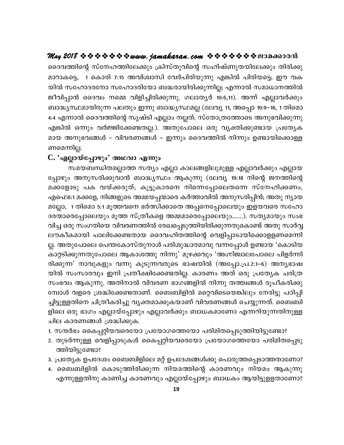ദൈവത്തിന്റെ സ്നേഹത്തിലേക്കും ക്രിസ്തുവിന്റെ സഹിഷ്ണുതയിലേക്കും തിരിക്കു മാറാകട്ടെ, 1 കൊരി 7:15 അവിശ്വാസി വേർപിരിയുന്നു എങ്കിൽ പിരിയട്ടെ; ഈ വക യിൽ സഹോദരനോ സഹോദരിയോ ബദ്ധരായിരിക്കുന്നില്ല; എന്നാൽ സമാധാനത്തിൽ ജീവിപ്പാൻ ദൈവം നമ്മെ വിളിച്ചിരിക്കുന്നു. ഗലാതൃർ 10:6,11). അന്ന് എല്ലാവർക്കും ബാദ്ധ്യസ്ഥമായിരുന്ന പലതും ഇന്നു ബാദ്ധ്യസ്ഥമല്ല (ലേവ്യ 11, അപ്പൊ 10:9–16, 1 തിമൊ 4:4 എന്നാൽ ദൈവത്തിന്റെ സൃഷ്ടി എല്ലാം നല്ലത്; സ്തോത്രത്തോടെ അനുഭവിക്കുന്നു എങ്കിൽ ഒന്നും വർജ്ജിക്കേണ്ടതല്ല.). അതുപോലെ ഒരു വൃക്തിക്കുണ്ടായ പ്രത്യേക മായ അനുഭവങ്ങൾ – വിവരണങ്ങൾ – ഇന്നും ദൈവത്തിൽ നിന്നും ഉണ്ടായിക്കൊള്ള ണമെന്നില്ല.

#### C. 'എല്ലായ്പ്പോഴും' അഥവാ എന്നും

സമയബന്ധിതമല്ലാത്ത സത്യം എല്ലാ കാലങ്ങളിലുമുള്ള എല്ലാവർക്കും എല്ലായ പ്പോഴും അനുസരിക്കുവാൻ ബാദ്ധ്യസ്ഥം ആകുന്നു (ലേവ്യ 19:18 നിന്റെ ജനത്തിന്റെ മക്കളോടു പക വയ്ക്കരുത്; കൂട്ടുകാരനെ നിന്നെപ്പോലെതന്നെ സ്നേഹിക്കണം, എഫെ6:1 മക്കളേ, നിങ്ങളുടെ അമ്മയപ്പന്മാരെ കർത്താവിൽ അനുസരിപ്പിൻ; അതു ന്യായ മല്ലോ, 1 തിമൊ 5:1 മൂത്തവനെ ഭർത്സിക്കാതെ അപ്പനെപ്പോലെയും ഇളയവരെ സഹോ ദരന്മാരെപ്പോലെയും മൂത്ത സ്ത്രീകളെ അമ്മമാരെപ്പോലെയും.......). സത്യമായും സംഭ വിച്ച ഒരു സംഗതിയെ വിവരണത്തിൽ രേഖപ്പെടുത്തിയിരിക്കുന്നതുകൊണ്ട് അതു സാർവ്വ ലൗകീകമായി പാലിക്കേണ്ടതായ ദൈവഹിതത്തിന്റെ വെളിപ്പാടായിക്കൊളളണമെന്നി ല്ല. അതുപോലെ പെന്തകോസ്തുനാൾ പരിശുദ്ധാത്മാവു വന്നപ്പോൾ ഉണ്ടായ 'കൊടിയ കാറ്റടിക്കുന്നതുപോലെ ആകാശത്തു നിന്നു' മുഴക്കവും 'അഗ്നിജ്വാലപോലെ പിളർന്നി രിക്കുന്ന' നാവുകളും വന്നു കൂടുന്നവരുടെ ഭാഷയിൽ (അപ്പോ.പ്ര.2:1–6) അനൃഭാഷ യിൽ സംസാരവും ഇനി പ്രതീക്ഷിക്കേണ്ടതില്ല. കാരണം അത് ഒരു പ്രത്യേക ചരിത്ര സംഭവം ആകുന്നു. അതിനാൽ വിവരണ ഭാഗങ്ങളിൽ നിന്നു തത്ത്വങ്ങൾ രൂപീകരിക്കു മ്പോൾ വളരെ ശ്രദ്ധിക്കേണ്ടതാണ്. ബൈബിളിൽ മറ്റെവിടെയെങ്കിലും നേരിട്ടു പഠിപ്പി ച്ചിട്ടുള്ളതിനെ ചിത്രീകരിച്ചു വൃക്തമാക്കുകയാണ് വിവരണങ്ങൾ ചെയ്യുന്നത്. ബൈബി ളിലെ ഒരു ഭാഗം എല്ലായ്പ്പോഴും എല്ലാവർക്കും ബാധകമാണോ എന്നറിയുന്നതിനുള്ള ചില കാരണങ്ങൾ ശ്രദ്ധിക്കുക.

- 1. സന്ദർഭം കൈപ്പറ്റിയവരെയോ പ്രയോഗത്തെയോ പരിമിതപ്പെടുത്തിയിട്ടുണ്ടോ?
- 2. തുടർന്നുള്ള വെളിപ്പാടുകൾ കൈപ്പറ്റിയവരെയോ പ്രയോഗത്തെയോ പരിമിതപ്പെടു ത്തിയിട്ടുണ്ടോ?
- 3. പ്രത്യേക ഉപദേശം ബൈബിളിലെ മറ്റ് ഉപദേശങ്ങൾക്കു പൊരുത്തപ്പെടാത്തതാണോ?
- 4. ബൈബിളിൽ കൊടുത്തിരിക്കുന്ന നിയമത്തിന്റെ കാരണവും നിയമം ആകുന്നു എന്നുള്ളതിനു കാണിച്ച കാരണവും എല്ലായ്പ്പോഴും ബാധകം ആയിട്ടുളളതാണോ?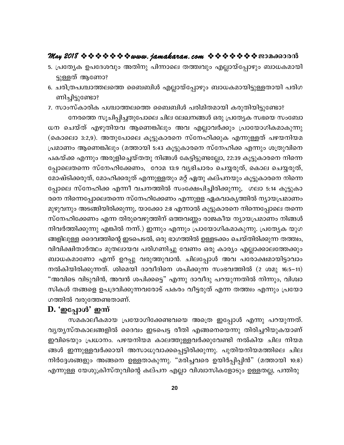## May 2018 \* \* \* \* \* \* \* \* www. jamakaran.com \* \* \* \* \* \* \* \* \* 2018

- 5. പ്രത്യേക ഉപദേശവും അതിനു പിന്നാലെ തത്ത്വവും എല്ലായ്പ്പോഴും ബാധകമായി ട്ടുള്ളത് ആണോ?
- 6. ചരിത്രപശ്ചാത്തലത്തെ ബൈബിൾ എല്ലായ്പ്പോഴും ബാധകമായിട്ടുള്ളതായി പരിഗ ണിച്ചിട്ടുണ്ടോ?

7. സാംസ്കാരിക പശ്ചാത്തലത്തെ ബൈബിൾ പരിമിതമായി കരുതിയിട്ടുണ്ടോ? നേരത്തെ സൂചിപ്പിച്ചതുപോലെ ചില ലേഖനങ്ങൾ ഒരു പ്രത്യേക സഭയെ സംബോ ധന ചെയ്ത് എഴുതിയവ ആണെങ്കിലും അവ എല്ലാവർക്കും പ്രായോഗികമാകുന്നു (കൊലൊ 3:2,9). അതുപോലെ കൂട്ടുകാരനെ സ്നേഹിക്കുക എന്നുള്ളത് പഴയനിയമ പ്രമാണം ആണെങ്കിലും (മത്തായി 5:43 കൂട്ടുകാരനെ സ്നേഹിക്ക എന്നും ശത്രുവിനെ പകയ്ക്ക എന്നും അരുളിച്ചെയ്തതു നിങ്ങൾ കേട്ടിട്ടുണ്ടല്ലോ, 22:39 കൂട്ടുകാരനെ നിന്നെ പ്പോലെതന്നെ സ്നേഹിക്കേണം, റോമ 13:9 വൃഭിചാരം ചെയ്യരുത്, കൊല ചെയ്യരുത്, മോഷ്ടിക്കരുത്, മോഹിക്കരുത് എന്നുള്ളതും മറ്റ് ഏതു കല്പനയും കൂട്ടുകാരനെ നിന്നെ പ്പോലെ സ്നേഹിക്ക എന്നീ വചനത്തിൽ സംക്ഷേപിച്ചിരിക്കുന്നു, ഗലാ 5:14 കൂട്ടുകാ രനെ നിന്നെപ്പോലെതന്നെ സ്നേഹിക്കേണം എന്നുളള ഏകവാകൃത്തിൽ ന്യായപ്രമാണം മുഴുവനും അടങ്ങിയിരിക്കുന്നു, യാക്കോ 2:8 എന്നാൽ കൂട്ടുകാരനെ നിന്നെപ്പോലെ തന്നെ സ്നേഹിക്കേണം എന്ന തിരുവെഴുത്തിന് ഒത്തവണ്ണം രാജകീയ ന്യായപ്രമാണം നിങ്ങൾ നിവർത്തിക്കുന്നു എങ്കിൽ നന്ന്.) ഇന്നും എന്നും പ്രായോഗികമാകുന്നു. പ്രത്യേക യുഗ ങ്ങളിലുള്ള ദൈവത്തിന്റെ ഇടപെടൽ, ഒരു ഭാഗത്തിൽ ഉള്ളടക്കം ചെയ്തിരിക്കുന്ന തത്ത്വം, വിവിക്ഷിതാർത്ഥം മുതലായവ പരിഗണിച്ചു വേണം ഒരു കാര്യം എല്ലാക്കാലത്തേക്കും ബാധകമാണോ എന്ന് ഉറപ്പു വരുത്തുവാൻ. ചിലപ്പോൾ അവ പരോക്ഷമായിട്ടാവാം നൽകിയിരിക്കുന്നത്. ശിമെയി ദാവീദിനെ ശപിക്കുന്ന സംഭവത്തിൽ (2 ശമു 16:5–11) "അവിടെ വിടുവിൻ, അവൻ ശപിക്കട്ടെ" എന്നു ദാവീദു പറയുന്നതിൽ നിന്നും, വിശ്വാ സികൾ തങ്ങളെ ഉപദ്രവിക്കുന്നവരോട് പകരം വീട്ടരുത് എന്ന തത്ത്വം എന്നും പ്രയോ ഗത്തിൽ വരുത്തേണ്ടതാണ്.

## D. 'ഇപ്പോൾ' ഇന്ന്

സമകാലീകമായ പ്രയോഗിക്കേണ്ടവയെ അത്രെ ഇപ്പോൾ എന്നു പറയുന്നത്. വൃതൃസ്തകാലങ്ങളിൽ ദൈവം ഇടപെട്ട രീതി എങ്ങനെയെന്നു തിരിച്ചറിയുകയാണ് ഇവിടെയും പ്രധാനം. പഴയനിയമ കാലത്തുള്ളവർക്കുവേണ്ടി നൽകിയ ചില നിയമ ങ്ങൾ ഇന്നുള്ളവർക്കായി അസാധുവാക്കപ്പെട്ടിരിക്കുന്നു. പുതിയനിയമത്തിലെ ചില നിർദ്ദേശങ്ങളും അങ്ങനെ ഉള്ളതാകുന്നു. "മരിച്ചവരെ ഉയിർപ്പിപ്പിൻ" (മത്തായി 10:8) എന്നുള്ള യേശുക്രിസ്തുവിന്റെ കല്പന എല്ലാ വിശ്വാസികളോടും ഉള്ളതല്ല, പന്തിരു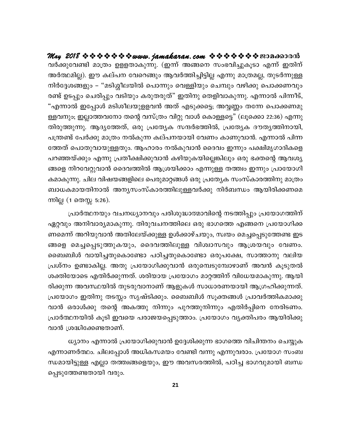വർക്കുവേണ്ടി മാത്രം ഉളളതാകുന്നു. (ഇന്ന് അങ്ങനെ സംഭവിച്ചുകൂടാ എന്ന് ഇതിന് അർത്ഥമില്ല). ഈ കല്പന വേറെങ്ങും ആവർത്തിച്ചിട്ടില്ല എന്നു മാത്രമല്ല, തുടർന്നുള്ള നിർദ്ദേശങ്ങളും – "മടിശ്ശീലയിൽ പൊന്നും വെള്ളിയും ചെമ്പും വഴിക്കു പൊക്കണവും രണ്ട് ഉടപ്പും ചെരിപ്പും വടിയും കരുതരുത്" ഇതിനു തെളിവാകുന്നു. എന്നാൽ പിന്നീട്, "എന്നാൽ ഇപ്പോൾ മടിശീലയുളളവൻ അത് എടുക്കട്ടെ; അവ്വണ്ണം തന്നേ പൊക്കണമു ള്ളവനും; ഇല്ലാത്തവനോ തന്റെ വസ്ത്രം വിറ്റു വാൾ കൊള്ളട്ടെ" (ലൂക്കൊ 22:36) എന്നു തിരുത്തുന്നു. ആദ്യത്തേത്, ഒരു പ്രത്യേക സന്ദർഭത്തിൽ, പ്രത്യേക ദൗതൃത്തിനായി, പന്ത്രണ്ട് പേർക്കു മാത്രം നൽകുന്ന കല്പനയായി വേണം കാണുവാൻ. എന്നാൽ പിന്ന ത്തേത് പൊതുവായുള്ളതും. ആഹാരം നൽകുവാൻ ദൈവം ഇന്നും പക്ഷിമൃഗാദികളെ പറഞ്ഞയ്ക്കും എന്നു പ്രതീക്ഷിക്കുവാൻ കഴിയുകയില്ലെങ്കിലും ഒരു ഭക്തന്റെ ആവശ്യ ങ്ങളെ നിറവേറ്റുവാൻ ദൈവത്തിൽ ആശ്രയിക്കാം എന്നുള്ള തത്ത്വം ഇന്നും പ്രായോഗി കമാകുന്നു. ചില വിഷയങ്ങളിലെ പെരുമാറ്റങ്ങൾ ഒരു പ്രത്യേക സംസ്കാരത്തിനു മാത്രം ബാധകമായതിനാൽ അന്യസംസ്കാരത്തിലുള്ളവർക്കു നിർബന്ധം ആയിരിക്കണമെ ന്നില്ല (1 തെസ്സ 5:26).

പ്രാർത്ഥനയും വചനധ്യാനവും പരിശുദ്ധാത്മാവിന്റെ നടത്തിപ്പും പ്രയോഗത്തിന് ഏറ്റവും അനിവാര്യമാകുന്നു. തിരുവചനത്തിലെ ഒരു ഭാഗത്തെ എങ്ങനെ പ്രയോഗിക്ക ണമെന്ന് അറിയുവാൻ അതിലേയ്ക്കുള്ള ഉൾക്കാഴ്ചയും, സ്വയം മെച്ചപ്പെടുത്തേണ്ട ഇട ങ്ങളെ മെച്ചപ്പെടുത്തുകയും, ദൈവത്തിലുള്ള വിശ്വാസവും ആശ്രയവും വേണം. ബൈബിൾ വായിച്ചതുകൊണ്ടോ പഠിച്ചതുകൊണ്ടോ ഒരുപക്ഷേ, സാത്താനു വലിയ പ്രശ്നം ഉണ്ടാകില്ല. അതു പ്രയോഗിക്കുവാൻ ഒരുമ്പെടുമ്പോഴാണ് അവൻ കൂടുതൽ ശക്തിയോടെ എതിർക്കുന്നത്. ശരിയായ പ്രയോഗം മാറ്റത്തിന് വിധേയമാകുന്നു. ആയി രിക്കുന്ന അവസ്ഥയിൽ തുടരുവാനാണ് ആളുകൾ സാധാരണയായി ആഗ്രഹിക്കുന്നത്. പ്രയോഗം ഇതിനു തടസ്സം സൃഷ്ടിക്കും. ബൈബിൾ സൂക്തങ്ങൾ പ്രാവർത്തികമാക്കു വാൻ ഒരാൾക്കു തന്റെ അകത്തു നിന്നും പുറത്തുനിന്നും എതിർപ്പിനെ നേരിടണം. പ്രാർത്ഥനയിൽ കൂടി ഇവയെ പരാജയപ്പെടുത്താം. പ്രയോഗം വ്യക്തിപരം ആയിരിക്കു വാൻ ശ്രദ്ധിക്കേണ്ടതാണ്.

ധ്യാനം എന്നാൽ പ്രയോഗിക്കുവാൻ ഉദ്ദേശിക്കുന്ന ഭാഗത്തെ വിചിന്തനം ചെയ്യുക എന്നാണർത്ഥം. ചിലപ്പോൾ അധികസമയം വേണ്ടി വന്നു എന്നുവരാം. പ്രയോഗ സംബ ന്ധമായിട്ടുള്ള എല്ലാ തത്ത്വങ്ങളെയും, ഈ അവസരത്തിൽ, പഠിച്ച ഭാഗവുമായി ബന്ധ പ്പെടുത്തേണ്ടതായി വരും.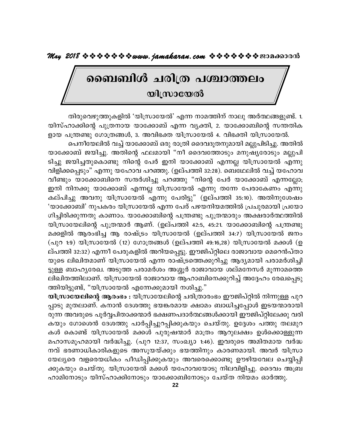## ബൈബിൾ ചരിത്ര പശ്ചാത്തലം **യിസ്രായേൽ**

തിരുവെഴുത്തുകളിൽ 'യിസ്രായേൽ' എന്ന നാമത്തിന് നാലു അർത്ഥങ്ങളുണ്ട്. 1. യിസ്ഹാക്കിന്റെ പുത്രനായ യാക്കോബ് എന്ന വ്യക്തി, 2. യാക്കോബിന്റെ സന്തതിക ളായ പന്ത്രണ്ടു ഗോത്രങ്ങൾ, 3. അവിഭക്ത യിസ്രായേൽ 4. വിഭക്തി യിസ്രായേൽ.

പെനീയേലിൽ വച്ച് യാക്കോബ് ഒരു രാത്രി ദൈവദൂതനുമായി മല്ലുപിടിച്ചു. അതിൽ യാക്കോബ് ജയിച്ചു. അതിന്റെ ഫലമായി "നീ ദൈവത്തോടും മനുഷ്യരോടും മല്ലുപി ടിച്ചു ജയിച്ചതുകൊണ്ടു നിന്റെ പേർ ഇനി യാക്കോബ് എന്നല്ല യിസ്രായേൽ എന്നു വിളിക്കപ്പെടും" എന്നു യഹോവ പറഞ്ഞു. (ഉല്പത്തി 32:28). ബെഥേലിൽ വച്ച് യഹോവ വീണ്ടും യാക്കോബിനെ സന്ദർശിച്ചു പറഞ്ഞു "നിന്റെ പേർ യാക്കോബ് എന്നല്ലോ; ഇനി നിനക്കു യാക്കോബ് എന്നല്ല യിസ്രായേൽ എന്നു തന്നേ പേരാകേണം എന്നു കല്പിച്ചു അവനു യിസ്രായേൽ എന്നു പേരിട്ടു" (ഉല്പത്തി 35:10). അതിനുശേഷം 'യാക്കോബി' നുപകരം യിസ്രായേൽ എന്ന പേര് പഴയനിയമത്തിൽ പ്രചുരമായി പ്രയോ ഗിച്ചിരിക്കുന്നതു കാണാം. യാക്കോബിന്റെ പന്ത്രണ്ടു പുത്രന്മാരും അക്ഷരാർത്ഥത്തിൽ യിസ്രായേലിന്റെ പുത്രന്മാർ ആണ്. (ഉല്പത്തി 42:5, 45:21. യാക്കോബിന്റെ പന്ത്രണ്ടു മക്കളിൽ ആരംഭിച്ച ആ രാഷ്ട്രം യിസ്രായേൽ (ഉല്പത്തി 34:7) യിസ്രായേൽ ജനം (പുറ 1:9) യിസ്രായേൽ (12) ഗോത്രങ്ങൾ (ഉല്പത്തി 49:16,28) യിസ്രായേൽ മക്കൾ (ഉ ല്പത്തി 32:32) എന്നീ പേരുകളിൽ അറിയപ്പെട്ടു. ഈജിപ്റ്റിലെ രാജാവായ മെറെൻപ്താ യുടെ ലിഖിതമാണ് യിസ്രായേൽ എന്ന രാഷ്ട്രത്തെക്കുറിച്ചു ആദ്യമായി പരാമർശിച്ചി ട്ടുള്ള ബാഹൃരേഖ. അടുത്ത പരാമർശം അശ്ശൂർ രാജാവായ ശല്മനേസർ മൂന്നാമത്തെ ലിഖിതത്തിലാണ്. യിസ്രായേൽ രാജാവായ ആഹാബിനെക്കുറിച്ച് അദ്ദേഹം രേഖപ്പെടു ത്തിയിട്ടുണ്ട്, "യിസ്രായേൽ എന്നേക്കുമായി നശിച്ചു."

യിസ്രായേലിന്റെ ആരംഭം : യിസ്രായേലിന്റെ ചരിത്രാരംഭം ഈജിപ്റ്റിൽ നിന്നുള്ള പുറ പ്പാടു മുതലാണ്. കനാൻ ദേശത്തു ഭയങ്കരമായ ക്ഷാമം ബാധിച്ചപ്പോൾ ഇടയന്മാരായി രുന്ന അവരുടെ പൂർവ്വപിതാക്കന്മാർ ഭക്ഷണപദാർത്ഥങ്ങൾക്കായി ഈജിപ്റ്റിലേക്കു വരി കയും ഗോശെൻ ദേശത്തു പാർപ്പിച്ചുറപ്പിക്കുകയും ചെയ്തു. ഉദ്ദേശം പത്തു തലമുറ കൾ കൊണ്ട് യിസ്രായേൽ മക്കൾ പുരുഷന്മാർ മാത്രം ആറുലക്ഷം ഉൾക്കൊള്ളുന്ന മഹാസമൂഹമായി വർദ്ധിച്ചു. (പുറ 12:37, സംഖ്യാ 1:46). ഇവരുടെ അമിതമായ വർദ്ധ നവ് ഭരണാധികാരികളുടെ അസൂയയ്ക്കും ഭയത്തിനും കാരണമായി. അവർ യിസ്രാ യേല്യരെ വളരെയധികം പീഡിപ്പിക്കുകയും അവരെക്കൊണ്ടു ഊഴിയവേല ചെയ്യിപ്പി ക്കുകയും ചെയ്തു. യിസ്രായേൽ മക്കൾ യഹോവയോടു നിലവിളിച്ചു. ദൈവം അബ്ര ഹാമിനോടും യിസ്ഹാക്കിനോടും യാക്കോബിനോടും ചേയ്ത നിയമം ഓർത്തു.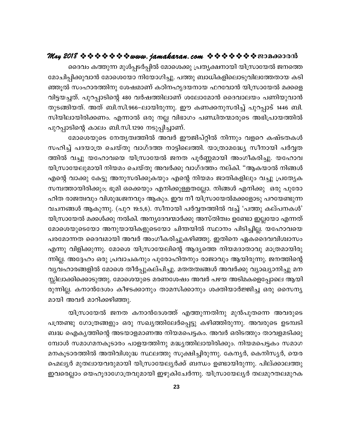## **May 2018 www.jamakaran.com Pma¡mc³**

ദെവം കത്തുന്ന മുൾപ്പടർപ്പിൽ മോശെക്കു പ്രതൃക്ഷനായി യിസ്രായേൽ ജനത്തെ മോചിപ്പിക്കുവാൻ മോശെയോ നിയോഗിച്ചു. പത്തു ബാധികളിലൊടുവിലത്തേതായ കടി ªq kwlm-c -¯n\p tij-amWv ITn-\-lr-Z-b-\mb ^d-thm³ bn{km-tb a¡sf hn«-b -¨-Xv. ]pd-¸m-Snsâ 480 hÀj -¯n -emWv item-tam³ ssZhmebw ]Wn -bp-hm³ ഞ്ഞൂൽ സംഹാരത്തിനു ശേഷമാണ് കഠിനഹൃദയനായ ഫറവോൻ യിസ്രായേൽ മക്കളെ<br>വിട്ടയച്ചത്. പുറപ്പാടിന്റെ 480 വർഷത്തിലാണ് ശലോമോൻ ദൈവാലയം പണിയുവാൻ<br>തുടങ്ങിയത്. അത് ബി.സി.966–ലായിരുന്നു. ഈ കണക്കനുസരിച്ച് പുറപ്പാട് 1446 ബി.<br>സിയിലായിരിക്കണം. എന മോചിപ്പിക്കുവാനു മോശെയോ നിയോഗിച്ചു. പത്തു ബാധികളിലൊടുവിലത്തേതായ കടി<br>ഞ്ഞൂൽ സംഹാരത്തിനു ശേഷമാണ് കഠിനഹൃദയനായ ഫറവോൻ യിസ്രായേൽ മക്കളെ<br>വിട്ടയച്ചത്. പുറപ്പാടിന്റെ 480 വർഷത്തിലാണ് ശലോമോൻ ദൈവാലയം പണിയുവാൻ<br>തുടങ്ങിയത്. അത് ബി.സി.966 തുടങ്ങിയത്. അത് ബി.സി.966–ലായിരുന്നു. ഈ കണക്കനുസരിച്ച് പുറപ്പാട് 1446 ബി.<br>സിയിലായിരിക്കണം. എന്നാൽ ഒരു നല്ല വിഭാഗം പണ്ഡിതന്മാരുടെ അഭിപ്രായത്തിൽ<br>പുറപ്പാടിന്റെ കാലം ബി.സി.1290 നടുപ്പിച്ചാണ്.<br>അവിച്ച് പദയാത്ര ചെയ്തു വാഗ്ദത്ത ന ച്ചത. പുറപ്പാടിന്റെ 480 വരഷത്തിലാണ ശലോമോര ദൈവാലയം പണിയുവാര<br>ദിയത്. അത് ബി.സി.966–ലായിരുന്നു. ഈ കണക്കനുസരിച്ച് പുറപ്പാട് 1446 ബി.<br>ലായിരിക്കണം. എന്നാൽ ഒരു നല്ല വിഭാഗം പണ്ഡിതന്മാരുടെ അഭിപ്രായത്തിൽ<br>ടിന്റെ കാലം ബി.സി.1290 നടുപ്

തുടങ്ങിയത. അത ബി.സി.966–ലായിരുന്നു. ഈ കണക്കനുസരിച്ച പുറപ്പാട 1446 ബി.<br>സിയിലായിരിക്കണം. എന്നാൽ ഒരു നല്ല വിഭാഗം പണ്ഡിതന്മാരുടെ അഭിപ്രായത്തിൽ<br>പുറപ്പാടിന്റെ കാലം ബി.സി.1290 നടുപ്പിച്ചാണ്.<br>സഹിച്ച് പദയാത്ര ചെയ്തു വാഗ്ദത്ത നാട്ട സയലായത്രക്കണം. എന്നാരു ഒരു നല്ല വിഭാഗം പണ്ഡത്രന്മാരുടെ അഭിപ്രായത്തിരു<br>പുറപ്പാടിന്റെ കാലം ബി.സി.1290 നടുപ്പിച്ചാണ്.<br>- മോശെയുടെ നേതൃത്വത്തിൽ അവർ ഈജിപ്റ്റിൽ നിന്നും വളറെ കഷ്ടതകൾ<br>സഹിച്ച് പദയാത്ര ചെയ്തു വാഗ്ദത്ത നാട്ടിലെത്തി. യിസ്രായേലുമായി നിയമം ചെയ്തു അവർക്കു വാഗ്ദത്തം നല്കി. "ആകയാൽ നിങ്ങൾ ്രമാശെയുടെ നേതൃതിത്തിരു അവര് ഈജിപറ്റിരു നിന്നും വളറെ കഷടതകശ<br>സഹിച്ച് പദയാത്ര ചെയ്തു വാഗ്ദത്ത നാട്ടിലെത്തി. യാത്രാമദ്ധ്യേ സീനായി പർവ്വത<br>ത്തിൽ വച്ചു യഹോവയെ യിസ്രായേൽ ജനത പൂർണ്ണമായി അംഗീകരിച്ചു. യഹോവ<br>രിസ്രായേലുമായി നിയമം ചെയ് സഹിച്ച പദയാത്ര ചെയതു വാഗദത്ത നാട്ടിലെത്തി. യാത്രാമദ്ധ്യേ സിനായി പരവ്വത<br>ത്തിൽ വച്ചു യഹോവയെ യിസ്രായേൽ ജനത പൂർണ്ണമായി അംഗീകരിച്ചു. യഹോവ<br>യിസ്രായേലുമായി നിയമം ചെയ്തു അവർക്കു വാഗ്ദത്തം നല്കി. "ആകയാൽ നിങ്ങൾ<br>എന്റെ വാക്കു കേട്ടു അ ഹിത രാജത്വവും വിശുദ്ധജനവും ആകും. ഇവ നീ യിസ്രായേൽമക്കളോടു പറയേണ്ടുന്ന യിസ്രായേലുമായി നിയമം ചെയതു അവരക്കു വാഗദത്തം നലകി. "ആകയാരം നിങ്ങശ<br>എന്റെ വാക്കു കേട്ടു അനുസരിക്കുകയും എന്റെ നിയമം ജാതികളിലും വച്ചു പ്രത്യേക<br>സമ്പത്തായിരിക്കും; ഭൂമി ഒക്കെയും എനിക്കുള്ളതല്ലോ. നിങ്ങൾ എനിക്കു ഒരു പുരോ<br>ഹിത രാജത യിസ്രായേൽ മക്കൾക്കു നൽകി. അനൃദേവന്മാർക്കു അസ്തിത്വം ഉണ്ടോ ഇല്ലയോ എന്നത് സമ്പത്തായത്രിക്കും; ഭൂമി ഒക്കെയും എനിക്കുള്ളതല്ലോ. നിങ്ങശ എനിക്കു 'ഒരു പുരോ<br>ഹിത രാജത്വവും വിശുദ്ധജനവും ആകും. ഇവ നീ യിസ്രായേൽമക്കളോടു പറയേണ്ടുന്ന<br>വചനങ്ങൾ ആകുന്നു. (പുറ 19:5,6). സീനായി പർവ്വതത്തിൽ വച്ച് 'പത്തു കല്പനകൾ'<br>യിസ് ഹിത രാജതിവും വിശുദ്ധജനവും ആകും. ഇവ നി യിസ്രായേരമക്കളോടു പറയേണ്ടുന്ന<br>വചനങ്ങൾ ആകുന്നു. (പുറ 19:5,6). സീനായി പർവ്വതത്തിൽ വച്ച് 'പത്തു കല്പനകൾ'<br>യിസ്രായേൽ മക്കൾക്കു നൽകി. അന്യദേവന്മാർക്കു അസ്തിത്വം ഉണ്ടോ ഇല്ലയോ എന്നത്<br>മോശെയുടെ വചനങ്ങശ ആകുന്നു. (പുറ 19:5,6). സിനായി പരവ്വതത്തിരു വച്ച പത്തു കലപനകശ<br>യിസ്രായേൽ മക്കൾക്കു നൽകി. അന്യദേവന്മാർക്കു അസ്തിത്വം ഉണ്ടോ ഇല്ലയോ എന്നത്<br>മോശെയുടെയോ അനുയായികളുടെയോ ചിന്തയിൽ സ്ഥാനം പിടിച്ചില്ല. യഹോവയെ<br>പരമോന്നത ദൈവമായി യിസ്രായേരു മക്കശക്കു നരുകി. അന്യദേവന്മാരക്കു അസതിതിം ഉണ്ടോ ഇല്ലയോ എന്നത<br>മോശെയുടെയോ അനുയായികളുടെയോ ചിന്തയിൽ സ്ഥാനം പിടിച്ചില്ല. യഹോവയെ<br>പരമോന്നത ദൈവമായി അവർ അംഗീകരിച്ചുകഴിഞ്ഞു. ഇതിനെ ഏകദൈവവിശ്വാസം<br>എന്നു വിളിക്കുന്നു. മോശെ യ മോശെയുടെയോ അനുയായികളുടെയോ ചിന്തയിൽ സ്ഥാനം പിടിച്ചില്ല. യഹോവയെ<br>പരമോന്നത ദൈവമായി അവർ അംഗീകരിച്ചുകഴിഞ്ഞു. ഇതിനെ ഏകദൈവവിശ്വാസം<br>എന്നു വിളിക്കുന്നു. മോശെ യിസ്രായേലിന്റെ ആദ്യത്തെ നിയമദാതാവു മാത്രമായിരു<br>ന്നില്ല. അദ്ദേഹം ഒരു പ്രവാ സ്സിലാക്കിക്കൊടുത്തു. മോശെയുടെ മരണശേഷം അവർ പഴയ അടിമകളെപ്പോലെ ആയി എന്നു വിളിക്കുന്നു. മോശെ യിസ്രായേലിന്റെ ആദ്യത്തെ നിയമദാതാവു മാത്രമായിരു<br>ന്നില്ല. അദ്ദേഹം ഒരു പ്രവാചകനും പുരോഹിതനും രാജാവും ആയിരുന്നു. ജനത്തിന്റെ<br>വ്യവഹാരങ്ങളിൽ മോശെ തീർപ്പുകല്പിച്ചു. മതതത്വങ്ങൾ അവർക്കു വ്യാഖ്യാനിച്ചു മന<br>സ് ന്നില്ല. അദ്ദേഹം ഒരു പ്രവാചകനും പുരോഹ<br>വ്യവഹാരങ്ങളിൽ മോശെ തീർപ്പുകല്പിച്ചു. മ<br>സ്സിലാക്കിക്കൊടുത്തു. മോശെയുടെ മരണശേ<br>രുന്നില്ല. കനാൻദേശം കീഴടക്കാനും താമസ<br>മായി അവർ മാറിക്കഴിഞ്ഞു.<br>രിസ്രായേൽ ജനത കനാൻദേശത്ത്<br>പത്രണ്ടു. ശോത്രങ്ങും കികൊടുത്തു. മോശെയുടെ മരണശേഷം അവർ പഴയ അടിമകളെപ്പോലെ ആയി<br>പ്ല. കനാൻദേശം കീഴടക്കാനും താമസിക്കാനും ശക്തിയാർജ്ജിച്ച ഒരു സൈന്യ<br>അവർ മാറിക്കഴിഞ്ഞു.<br>യിസ്രായേൽ ജനത കനാൻദേശത്ത് എത്തുന്നതിനു മുൻപുതന്നെ അവരുടെ<br>nദു ഗോത്രങ്ങളും ഒരു

സ്<br>രുന്നില്ല. കനാൻദേശം കീഴടക്കാനും താമസിക്കാനും ശക്തിയാർജ്ജിച്ച ഒരു സൈന്യ<br>മായി അവർ മാറിക്കഴിഞ്ഞു.<br>പന്ത്രണ്ടു ഗോത്രങ്ങളും ഒരു സഖ്യത്തിലേർപ്പെട്ടു കഴിഞ്ഞിരുന്നു. അവരുടെ ഉടമ്പടി<br>ബദ്ധ ഐക്യത്തിന്റെ അടയാളമാണഅ നിയമപെട്ടകം. അവർ ഒ \_² sFIy-¯nsâ AS-bm-f-am-WA \nb -a-s]-«-Iw. AhÀ Hcn -S¯pw Xmh -f-a-Sn -¡p-യിസ്രായേൽ ജനത കനാൻദേശത്ത് എത്തുന്നതിനു മുൻപുതന്നെ അവരുടെ<br>പന്ത്രണ്ടു ഗോത്രങ്ങളും ഒരു സഖ്യത്തിലേർപ്പെട്ടു കഴിഞ്ഞിരുന്നു. അവരുടെ ഉടമ്പടി<br>ബദ്ധ ഐകൃത്തിന്റെ അടയാളമാണഅ നിയമപെട്ടകം. അവർ ഒരിടത്തും താവളമടിക്കു<br>മനകൂടാരത്തിൽ അതിവിശുദ യിസ്രായേരു ജനത കനാരദേശത്ത എത്തുന്നതിനു മുരപുതന്നെ അവരുടെ<br>പന്ത്രണ്ടു ഗോത്രങ്ങളും ഒരു സഖ്യത്തിലേർപ്പെട്ടു കഴിഞ്ഞിരുന്നു. അവരുടെ ഉടമ്പടി<br>ബദ്ധ ഐക്യത്തിന്റെ അടയാളമാണഅ നിയമപെട്ടകം. അവർ ഒരിടത്തും താവളമടിക്കു<br>മേകൂടാരത്തിൽ അതിവിശു പന്ത്രണ്ടു ഗോത്രങ്ങളും ഒരു സഖ്യത്തലേരപ്പെട്ടു കഴഞ്ഞതുന്നു. അവരുടെ ഉടമ്പട<br>ബദ്ധ ഐക്യത്തിന്റെ അടയാളമാണഅ നിയമപെട്ടകം. അവർ ഒരിടത്തും താവളമടിക്കു<br>മ്പോൾ സമാഗമനകൂടാരം പാളയത്തിനു മദ്ധ്യത്തിലായിരിക്കും. നിയമപെട്ടകം സമാഗ<br>മനകൂടാരത്തി ബദ്ധ ഐകൃത്തിന്റെ അടയാളമാണഅ നിയമപെട്ടകാ. അവര ഒരിടത്തുറ താവളമടിക്കു<br>മ്പോൾ സമാഗമനകൂടാരം പാളയത്തിനു മദ്ധൃത്തിലായിരിക്കും. നിയമപെട്ടകം സമാഗ<br>മനകൂടാരത്തിൽ അതിവിശുദ്ധ സ്ഥലത്തു സൂക്ഷിച്ചിരുന്നു. കേനൃർ, കെനിസൃർ, യെര<br>ഫെലൃർ മുതലായവരു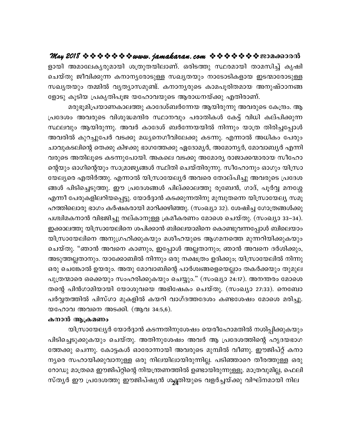ളായി അമാലേകൃരുമായി ശത്രുതയിലാണ്. ഒരിടത്തു സ്ഥരമായി താമസിച്ച് കൃഷി ചെയ്തു ജീവിക്കുന്ന കനാനൃരോടുള്ള സഖ്യതയും നാടോടികളായ ഇടന്മാരോടുള്ള സഖ്യതയും തമ്മിൽ വ്യത്യാസമുണ്ട്. കനാന്യരുടെ കാമപൂരിതമായ അനുഷ്ഠാനങ്ങ ളോടു കൂടിയ പ്രകൃതിപൂജ യഹോവയുടെ ആരാധനയ്ക്കു എതിരാണ്.

മരുഭൂമിപ്രയാണകാലത്തു കാദേശ്ബർന്നേയ ആയിരുന്നു അവരുടെ കേന്ദ്രം. ആ പ്രദേശം അവരുടെ വിശുദ്ധമന്ദിര സ്ഥാനവും പരാതികൾ കേട്ട് വിധി കല്പിക്കുന്ന സ്ഥലവും ആയിരുന്നു. അവർ കാദേശ് ബർന്നേയയിൽ നിന്നും യാത്ര തിരിച്ചപ്പോൾ അവരിൽ കുറച്ചുപേർ വടക്കു മധ്യനെഗീവിലേക്കു കടന്നു. എന്നാൽ അധികം പേരും ചാവുകടലിന്റെ തെക്കു കിഴക്കു ഭാഗത്തേക്കു ഏദോമ്യർ, അമോന്യർ, മോവാബ്യർ എന്നി വരുടെ അതിലൂടെ കടന്നുപോയി. അകലെ വടക്കു അമോര്യ രാജാക്കന്മാരായ സീഹോ ന്റെയും ഓഗിന്റെയും സാമ്രാജ്യങ്ങൾ സ്ഥിതി ചെയ്തിരുന്നു. സീഹോനും ഓഗും യിസ്രാ യേല്യരെ എതിർത്തു. എന്നാൽ യിസ്രായേല്യർ അവരെ തോല്പിച്ചു അവരുടെ പ്രദേശ ങ്ങൾ പിടിച്ചെടുത്തു. ഈ പ്രദേശങ്ങൾ പില്ക്കാലത്തു രൂബേൻ, ഗാദ്, പൂർവ്വ മനശ്ശേ എന്നീ പേരുകളിലറിയപ്പെട്ടു. യോർദ്ദാൻ കടക്കുന്നതിനു മുമ്പുതന്നെ യിസ്രായേല്യ സമൂ ഹത്തിലൊരു ഭാഗം കർഷകരായി മാറിക്കഴിഞ്ഞു. (സംഖ്യാ 32). ശേഷിച്ച ഗോത്രങ്ങൾക്കു പശ്ചിമകനാൻ വിഭജിച്ചു നല്കാനുള്ള ക്രമീകരണം മോശെ ചെയ്തു. (സംഖ്യാ 33–34). ഇക്കാലത്തു യിസ്രായേലിനെ ശപിക്കാൻ ബിലെയാമിനെ കൊണ്ടുവന്നപ്പോൾ ബിലെയാം യിസ്രായേലിനെ അനുഗ്രഹിക്കുകയും മശീഹയുടെ ആഗമനത്തെ മുന്നറിയിക്കുകയും ചെയ്തു. "ഞാൻ അവനെ കാണും, ഇപ്പോൾ അല്ലതാനും; ഞാൻ അവനെ ദർശിക്കും, അടുത്തല്ലതാനും. യാക്കോബിൽ നിന്നും ഒരു നക്ഷത്രം ഉദിക്കും; യിസ്രായേലിൽ നിന്നു ഒരു ചെങ്കോൽ ഉയരും. അതു മോവാബിന്റെ പാർശ്വങ്ങളെയെല്ലാം തകർക്കയും തുമുല പുത്രന്മാരെ ഒക്കെയും സംഹരിക്കുകയും ചെയ്യും." (സംഖ്യാ 24:17). അനന്തരം മോശെ തന്റെ പിൻഗാമിയായി യോശുവയെ അഭിഷേകം ചെയ്തു. (സംഖ്യാ 27:33). നെബോ പർവ്വതത്തിൽ പിസ്ഗാ മുകളിൽ കയറി വാഗ്ദത്തദേശം കണ്ടശേഷം മോശെ മരിച്ചു. യഹോവ അവനെ അടക്കി. (ആവ 34:5,6).

#### കനാൻ ആക്രമണം

യിസ്രായേല്യർ യോർദ്ദാൻ കടന്നതിനുശേഷം യെരീഹോമതിൽ നശിപ്പിക്കുകയും പിടിച്ചെടുക്കുകയും ചെയ്തു. അതിനുശേഷം അവർ ആ പ്രദേശത്തിന്റെ ഹൃദയഭാഗ ത്തേക്കു ചെന്നു. കോട്ടകൾ ഓരോന്നായി അവരുടെ മുമ്പിൽ വീണു. ഈജിപ്റ്റ് കനാ ന്യരെ സഹായിക്കുവാനുള്ള ഒരു നിലയിലായിരുന്നില്ല. പടിഞ്ഞാറെ തീരത്തുള്ള ഒരു റോഡു മാത്രമെ ഈജിപ്റ്റിന്റെ നിയന്ത്രണത്തിൽ ഉണ്ടായിരുന്നുള്ളൂ. മാത്രവുമില്ല, ഫെലി സ്തൃർ ഈ പ്രദേശത്തു ഈജിപ്ഷൃൻ ശക്ക്തിയുടെ വളർച്ചയ്ക്കു വിഘ്നമായി നില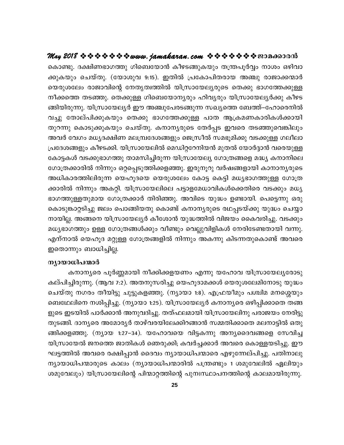## കൊണ്ടു. ദക്ഷിണഭാഗത്തു ഗിബെയോൻ കീഴടങ്ങുകയും തന്ത്രപൂർവ്വം നാശം ഒഴിവാ ക്കുകയും ചെയ്തു. (യോശുവ 9:15). ഇതിൽ പ്രകോപിതരായ അഞ്ചു രാജാക്കന്മാർ യെരുശലേം രാജാവിന്റെ നേതൃത്വത്തിൽ യിസ്രായേല്യരുടെ തെക്കു ഭാഗത്തേക്കുള്ള നീക്കത്തെ തടഞ്ഞു. തെക്കുള്ള ഗിബെയോന്യരും ഹിവ്യരും യിസ്രായേല്യർക്കു കീഴട ങ്ങിയിരുന്നു. യിസ്രായേല്യർ ഈ അഞ്ചുപേരടങ്ങുന്ന സഖ്യത്തെ ബേത്ത്–ഹോരെനിൽ വച്ചു തോല്പിക്കുകയും തെക്കു ഭാഗത്തേക്കുള്ള പാത ആക്രമണകാരികൾക്കായി തുറന്നു കൊടുക്കുകയും ചെയ്തു. കനാനൃരുടെ തേർപ്പട ഇവരെ തടഞ്ഞുവെങ്കിലും അവർ വേഗം മധ്യദക്ഷിണ മലമ്പ്രദേശങ്ങളും ജെസ്രീൽ സമഭൂമിക്കു വടക്കുള്ള ഗലീലാ പ്രദേശങ്ങളും കീഴടക്കി. യിസ്രായേലിൽ മെഡിറ്ററേനിയൻ മുതൽ യോർദ്ദാൻ വരെയുള്ള കോട്ടകൾ വടക്കുഭാഗത്തു താമസിച്ചിരുന്ന യിസ്രായേല്യ ഗോത്രങ്ങളെ മദ്ധ്യ കനാനിലെ ഗോത്രക്കാരിൽ നിന്നും ഒറ്റപ്പെടുത്തിക്കളഞ്ഞു. ഇരുനൂറു വർഷങ്ങളായി കാനാനൃരുടെ അധികാരത്തിലിരുന്ന യെഹൂദയെ യെരുശലേം കോട്ട കെട്ടി മധ്യഭാഗത്തുള്ള ഗോത്ര ക്കാരിൽ നിന്നും അകറ്റി. യിസ്രായേലിലെ പട്ടാളമേധാവികൾക്കെതിരെ വടക്കും മധ്യ ഭാഗത്തുള്ളതുമായ ഗോത്രക്കാർ തിരിഞ്ഞു. അവിടെ യുദ്ധം ഉണ്ടായി. പെട്ടെന്നു ഒരു കൊടുങ്കാറ്റടിച്ചു ജലം പൊങ്ങിയതു കൊണ്ട് കനാനൃരുടെ രഥപ്പടയ്ക്കു യുദ്ധം ചെയ്യാ നായില്ല. അങ്ങനെ യിസ്രായേല്യർ കീശോൻ യുദ്ധത്തിൽ വിജയം കൈവരിച്ചു. വടക്കും മധ്യഭാഗത്തും ഉള്ള ഗോത്രങ്ങൾക്കും വീണ്ടും വെല്ലുവിളികൾ നേരിടേണ്ടതായി വന്നു. എന്നാൽ യെഹൂദ മറ്റുള്ള ഗോത്രങ്ങളിൽ നിന്നും അകന്നു കിടന്നതുകൊണ്ട് അവരെ ഇതൊന്നും ബാധിച്ചില്ല.

#### ന്യായാധിപന്മാർ

കനാന്യരെ പൂർണ്ണമായി നീക്കിക്കളയണം എന്നു യഹോവ യിസ്രായേല്യരോടു കല്പിച്ചിരുന്നു. (ആവ 7:2). അതനുസരിച്ചു യെഹൂദാമക്കൾ യെരുശലേമിനോടു യുദ്ധം ചെയ്തു നഗരം തീയിട്ടു ചുട്ടുകളഞ്ഞു. (ന്യായാ 1:8). എഫ്രയീമും പശ്ചിമ മനശ്ശെയും ബെഥേലിനെ നശിപ്പിച്ചു. (ന്യായാ 1:25). യിസ്രായേല്യർ കനാന്യരെ ഒഴിപ്പിക്കാതെ തങ്ങ ളുടെ ഇടയിൽ പാർക്കാൻ അനുവദിച്ചു. തത്ഫലമായി യിസ്രായേലിനു പരാജയം നേരിട്ടു തുടങ്ങി. ദാന്യരെ അമോര്യർ താഴ്വരയിലേക്കിറങ്ങാൻ സമ്മതിക്കാതെ മലനാട്ടിൽ ഒതു ങ്ങിക്കളഞ്ഞു. (ന്യായ 1:27–34). യഹോവയെ വിട്ടകന്നു അന്യദൈവങ്ങളെ സേവിച്ച യിസ്രായേൽ ജനത്തെ ജാതികൾ ഞെരുക്കി; കവർച്ചക്കാർ അവരെ കൊള്ളയടിച്ചു. ഈ ഘട്ടത്തിൽ അവരെ രക്ഷിപ്പാൻ ദൈവം ന്യായാധിപന്മാരെ എഴുന്നേല്പിച്ചു. പതിനാലു ന്യായാധിപന്മാരുടെ കാലം (ന്യായാധിപന്മാരിൽ പന്ത്രണ്ടും 1 ശമുവേലിൽ ഏലിയും ശമുവേലും) യിസ്രായേലിന്റെ പിന്മാറ്റത്തിന്റെ പുനഃസ്ഥാപനത്തിന്റെ കാലമായിരുന്നു.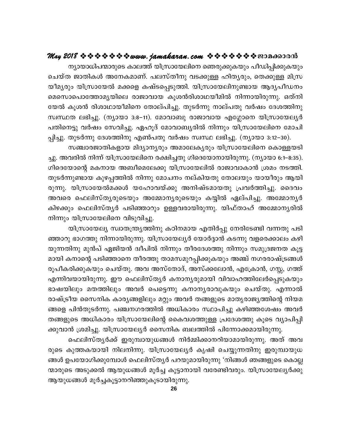## **May 2018 www.jamakaran.com Pma¡mc³**

ന്യായാധിപന്മാരുടെ കാലത്ത് യിസ്രായേലിനെ ഞെരുക്കുകയും പീഡിപ്പിക്കുകയും sNbvX PmXn -IÄ At\ -I-am-Wv. ]e -kvXo\p hS-¡pÅ lnXy-cpw, sX¡pÅ an{k bo-aycpw bn{km-tb a¡sf IjvS-s¸-Sp-¯n. bn{km-tb -en -\p-mb BZy-]o-U\w saskm-s]m-t¯m-ay-bnse cmPm-hmb Iqi³cn -im-Y -bo-an \n¶m-bn -cp-¶p. HXv\n - ്ന്യായാധപ്രമാരുടെ കാലത്ത യന്രായേലിനെ ഞെരുക്കുകയും പിഡിപ്പിക്കുകയും<br>ചെയ്ത ജാതികൾ അനേകമാണ്. പലസ്തീനു വടക്കുള്ള ഹിത്യരും, തെക്കുള്ള മിസ്ര<br>യീമ്യരും യിസ്രായേൽ മക്കളെ കഷ്ടപ്പെടുത്തി. യിസ്രായേലിനുണ്ടായ ആദ്യപീഡനം<br>മെസൊപൊത്തോമ്യയില ചെയത ജാതികശ അനേകമാണ. പലസതിനു വടക്കുള്ള ഹിത്യരും, തെക്കുള്ള മിസ്ര<br>യീമ്യരും യിസ്രായേൽ മക്കളെ കഷ്ടപ്പെടുത്തി. യിസ്രായേലിനുണ്ടായ ആദ്യപീഡനം<br>മെസൊപൊത്തോമ്യയിലെ രാജാവായ കൂശൻരിശാഥയീമിൽ നിന്നായിരുന്നു. ഒത്നി<br>യേൽ കൂശൻ രിശാഥായീമിനെ ത യിമൃരും യിസ്രായേരാ മക്കളെ കഷടപ്പെടുത്തി. യിസ്രായേലിനുണ്ടായ ആദ്യപിഡനം<br>മെസൊപൊത്തോമൃയിലെ രാജാവായ കൂശൻരിശാഥയീമിൽ നിന്നായിരുന്നു. ഒത്നി<br>യേൽ കൂശൻ രിശാഥായീമിനെ തോല്പിച്ചു. തുടർന്നു നാല്പതു വർഷം ദേശത്തിനു<br>സ്വസ്ഥത ലഭിച്ചു. (നൃായാ ഖസൊപൊത്തോമൃയലെ രാജാവായ കൂശനരത്താഥയമിതര നന്നായരുന്നു. ഒരുന<br>യേൽ കൂശൻ രിശാഥായീമിനെ തോല്പിച്ചു. തുടർന്നു നാല്പതു വർഷം ദേശത്തിനു<br>സ്വസ്ഥത ലഭിച്ചു. (ന്യായാ 3:8-11). മോവാബു രാജാവായ എഗ്ലോനെ യിസ്രായേല്യർ<br>പതിനെട്ടു വർഷം സേവിച്ചു. ഏഹ

കൂശന രിശാഥായിമിനെ തോലപിച്ചു. തുടരന്നു നാലപതു വരഷം ദേശത്തിനു<br>രെ ലഭിച്ചു. (ന്യായാ 3:8–11). മോവാബു രാജാവായ എഗ്ലോനെ യിസ്രായേല്യർ<br>നട്ടു വർഷം സേവിച്ചു. ഏഹൂദ് മോവാബ്യരിൽ നിന്നും യിസ്രായേലിനെ മോചി<br>തുടർന്നു ദേശത്തിനു എൺപതു വർഷം സ് ച്ചു. അവരിൽ നിന്ന് യിസ്രായേലിനെ രക്ഷിച്ചതു ഗിദെയോനായിരുന്നു. (ന്യായാ 6:1–8:35). പതിനെട്ടു വര്ഷം സേവിച്ചു. ഏഹൂദ മോവാബൃത്ത നിന്നും യിസ്രായേലിനെ മോചി<br>പ്പിച്ചു. തുടർന്നു ദേശത്തിനു എൺപതു വർഷം സ്വസ്ഥ ലഭിച്ചു. (നൃായാ 3:12–30).<br>സഞ്ചാരജാതികളായ മിദ്യാനൃരും അമാലേകൃരും യിസ്രായേലിനെ കൊള്ളയടി<br>ച്ചു. അവരിൽ നിന്ന് യി പ്പച്ചു. തുടരന്നു ദേശത്തനു എണ്ടപതു വര്ഷാ സിസ്ഥ ലഭിച്ചു. (നൃായാ 3:12–30).<br>സഞ്ചാരജാതികളായ മിദ്യാന്യരും അമാലേകൃരും യിസ്രായേലിനെ കൊള്ളയടി<br>ച്ചു. അവരിൽ നിന്ന് യിസ്രായേലിനെ രക്ഷിച്ചതു ഗിദെയോനായിരുന്നു. (നൃായാ 6:1–8:35).<br>ഗിദെയോന് ് സഞ്ചാരജാതികളായ മിദ്യാന്യരും അമാലേക്യരും യിസ്രായേലിനെ കൊള്ളയടി<br>ച്ചു. അവരിൽ നിന്ന് യിസ്രായേലിനെ രക്ഷിച്ചതു ഗിദെയോനായിരുന്നു. (ന്യായാ 6:1–8:35).<br>ഗിദെയോന്റെ മകനായ അബീമെലേക്കു യിസ്രായേലിൽ രാജാവാകാൻ ശ്രമം നടത്തി.<br>തുടർന്നുണ്ടാ ച്ചു. അവരരം നന്ന യസ്രായേലിനെ രക്ഷിച്ചതു ഗ്വദെയോനായരുന്നു. (ന്യായാ 6:1–8:35).<br>ഗിദെയോന്റെ മകനായ അബീമെലേക്കു യിസ്രായേലിൽ രാജാവാകാൻ ശ്രമം നടത്തി.<br>തുടർന്നുണ്ടായ കുഴപ്പത്തിൽ നിന്നു മോചനം നല്കിയതു തോലയും യായീരും ആയി<br>രുന്നു. യിസ ഗങ്ങയോന്റെ മകനായ അബ്വമെലേക്കു യിസ്രായേലിരാ രാജാവാകാന ശ്രമം നടത്തി.<br>തുടർന്നുണ്ടായ കുഴപ്പത്തിൽ നിന്നു മോചനം നല്കിയതു തോലയും യായീരും ആയി<br>രുന്നു. യിസ്രായേൽമക്കൾ യഹോവയ്ക്കു അനിഷ്ടമായതു പ്രവർത്തിച്ചു. ദൈവം<br>അവരെ ഫെലിസ്തൃരു തുടരന്നുണ്ടായ കുഴപ്പത്തിരം നിന്നു മോചനം നലകിയ<br>രുന്നു. യിസ്രായേൽമക്കൾ യഹോവയ്ക്കു അനിഷ്ട<br>അവരെ ഫെലിസ്തൃരുടെയും അമ്മോനൃരുടെയും ക<br>കിഴക്കും ഫെലിസ്തൃര് പടിഞ്ഞാറും ഉള്ളവരായിരുന്ന<br>നിന്നും യിസ്രായേല്വനെ വിടുവിച്ചു.<br>ഞ്ഞാറു ഭാഗത്തു ന യിസ്രായേരാമക്കശ യഹോവയക്കു അനിഷടമായതു പ്രവരത്തിച്ചു. ദൈവം<br>? ഫെലിസ്തൃരുടെയും അമ്മോനൃരുടെയും കയ്യിൽ ഏല്പിച്ചു. അമ്മോനൃർ<br>ും ഫെലിസ്തൃർ പടിഞ്ഞാറും ഉള്ളവരായിരുന്നു. യിഫ്താഹ് അമ്മോനൃരിൽ<br>› യിസ്രായേല്യ സ്വാതന്ത്ര്യത്തിനു കഠിനമായ എത

അവരെ ഫെലിസ്തൃരുടെയും അമ്മോനൃരുടെയും കയ്യരം ഏലപിച്ചു. അമ്മോനൃര<br>കിഴക്കും ഫെലിസ്തൃർ പടിഞ്ഞാറും ഉള്ളവരായിരുന്നു. യിഫ്താഹ് അമ്മോനൃരിൽ<br>നിന്നും യിസ്രായേലിനെ വിടുവിച്ചു.<br>തിന്നും യിസ്രായേല്യ സ്വാതന്ത്ര്യത്തിനു കഠിനമായ എതിർപ്പു നേര കിഴക്കും ഫെലിസതൃര പടിഞ്ഞാറും ഉള്ളവരായിരുന്നു. യിഫ്താഹ അമ്മോനൃരിരു<br>നിന്നും യിസ്രായേലിനെ വിടുവിച്ചു.<br>- യിസ്രായേല്യ സ്വാതന്ത്ര്യത്തിനു കഠിനമായ എതിർപ്പു നേരിടേണ്ടി വന്നതു പടി<br>ഞ്ഞാറു ഭാഗത്തു നിന്നായിരുന്നു. യിസ്രായേല്യർ യോർദ്ദ ambn I\msâ ]Sn -ªms\ Xoc¯p Xma-k -ap-d-¸n -¡p-Ibpw A©v \K-c -cm-jv{S-§Ä ്യിസ്രായേല്യ സ്വാതന്ത്ര്യത്തിനു കഠിനമായ എതിരപ്പു നേരിടേണ്ടി വന്നതു പടി<br>ഞ്ഞാറു ഭാഗത്തു നിന്നായിരുന്നു. യിസ്രായേല്യർ യോർദ്ദാൻ കടന്നു വളരെക്കാലം കഴി<br>യുന്നതിനു മുൻപ് ഏജിയൻ ദ്വീപിൽ നിന്നും തീരദേശത്തു നിന്നും സമുദ്രജനത കൂട്ട<br>മാ ഞ്ഞാറു ഭാഗത്തു നിന്നായരുന്നു. യിസ്രായേല്യര യോരദ്ദാര കടന്നു വളരെക്കാലം കഴി<br>യുന്നതിനു മുൻപ് ഏജിയൻ ദിീപിൽ നിന്നും തീരദേശത്തു നിന്നും സമുദ്രജനത കൂട്ട<br>മായി കനാന്റെ പടിഞ്ഞാനെ തീരത്തു താമസമുറപ്പിക്കുകയും അഞ്ച് നഗരരാഷ്ട്രങ്ങൾ<br>രൂപ യുന്നതിനു മുൻപ ഏജിയൻ ദിവിൽ നിന്നും തിരദേശത്തു നിന്നും സമുദ്രജനത കൂട്ട<br>മായി കനാന്റെ പടിഞ്ഞാനെ തീരത്തു താമസമുറപ്പിക്കുകയും അഞ്ച് നഗരരാഷ്ട്രങ്ങൾ<br>രൂപീകരിക്കുകയും ചെയ്തു. അവ അസ്തോദ്, അസ്ക്കലോൻ, എക്രോൻ, ഗസ്സ, ഗത്ത്<br>എന്നിവയായിരു മായി കനാന്റെ പടിഞ്ഞാനെ തിരത്തു താമസമുറപ്പിക്കുകയും അഞ്ച നഗരരാഷ്ട്രങ്ങൾ<br>രൂപീകരിക്കുകയും ചെയ്തു. അവ അസ്തോദ്, അസ്ക്കലോൻ, എക്രോൻ, ഗസ്സ, ഗത്ത്<br>എന്നിവയായിരുന്നു. ഈ ഫെലിസ്തൃർ കനാനൃരുമായി വിവാഹത്തിലേർപ്പെടുകയും<br>ഭാഷയിലും മതത്തിലു രൂപക്രരിക്കുകയും ചെയതു. അവ അസരോദ, അസക്കലോന, എക്രോന, ഗസ്സ, ഗത്ത<br>എന്നിവയായിരുന്നു. ഈ ഫെലിസ്തൃർ കനാനൃരുമായി വിവാഹത്തിലേർപ്പെടുകയും<br>ഭാഷയിലും മതത്തിലും അവർ പെട്ടെന്നു കനാനൃരാവുകയും ചെയ്തു. എന്നാൽ<br>രാഷ്ട്രീയ സൈനിക കാരൃങ്ങള എന്നവയായതുന്നു. ഈ ഫെലസത്യര് കനാന്യരുമായി വിവാഹത്തിലേരപ്പെടുകയും<br>ഭാഷയിലും മതത്തിലും അവർ പെട്ടെന്നു കനാന്യരാവുകയും ചെയ്തു. എന്നാൽ<br>രാഷ്ട്രീയ സൈനിക കാര്യങ്ങളിലും മറ്റും അവർ തങ്ങളുടെ മാതൃരാജ്യത്തിന്റെ നിയമ<br>ങ്ങളെ പിൻതുടർന്നു. പ ഭാഷയിലും മതത്തിലും അവർ പെട്ടെന്നു കനാന്യരാവുകയും ചെയ്തു. എന്നാൽ<br>രാഷ്ട്രീയ സൈനിക കാര്യങ്ങളിലും മറ്റും അവർ തങ്ങളുടെ മാതൃരാജ്യത്തിന്റെ നിയമ<br>ങ്ങളെ പിൻതുടർന്നു. പഞ്ചനഗരത്തിൽ അധികാരം സ്ഥാപിച്ചു കഴിഞ്ഞശേഷം അവർ<br>തങ്ങളുടെ അധികാരം യ ിയ സൈനിക കാരൃങ്ങളിലും മറ്റും അവര തങ്ങളുടെ മാതൃരാജൃത്തിന്റെ നിയമ<br>പിൻതുടർന്നു. പഞ്ചനഗരത്തിൽ അധികാരം സ്ഥാപിച്ചു കഴിഞ്ഞശേഷം അവർ<br>ുടെ അധികാരം യിസ്രായേലിന്റെ കൈവശത്തുള്ള പ്രദേശത്തു കൂടെ വ്യാപിപ്പി<br>ൻ ശ്രമിച്ചു. യിസ്രായേലൃർ സൈനിക

ങ്ങളെ പിന്തുടരന്നു. പഞ്ചനഗരത്തിരാ അധികാരാ സ്ഥാപിച്ചു കഴിഞ്ഞശേഷാ അവര<br>തങ്ങളുടെ അധികാരാ യിസ്രായേലിന്റെ കൈവശത്തുള്ള പ്രദേശത്തു കൂടെ വ്യാപിപ്പി<br>ക്കുവാൻ ശ്രമിച്ചു. യിസ്രായേല്യർ സൈനിക ബലത്തിൽ പിന്നോക്കമായിരുന്നു.<br>\_\_\_\_\_\_\_\_\_\_\_\_\_\_\_ ങ്ങൾ ഉപയോഗിക്കുമ്പോൾ ഫെലിസ്തൃർ പറയുമായിരുന്നു 'നിങ്ങൾ ഞങ്ങളുടെ കൊല്ല ക്കുവാന ശ്രമിച്ചു. യിസ്രായേല്യര് സൈനിക് ബലര്തിര് പിന്നോക്കമായിരുന്നു.<br>• ഫെലിസ്ത്യർക്ക് ഇരുമ്പായുധങ്ങൾ നിർമ്മിക്കാനറിയാമായിരുന്നു. അത് അവ<br>രുടെ കുത്തകയായി നിലനിന്നു. യിസ്രായേല്യർ കൃഷി ചെയ്യുന്നതിനു ഇരുമ്പായുധ<br>ങ്ങൾ ഉപയോഗിക്ക ന്മാരുടെ അടുക്കൽ ആയുധങ്ങൾ മൂർച്ച കൂട്ടാനായി വരേണ്ടിവരും. യിസ്രായേല്യർക്കു<br>ആയുധങ്ങൾ മൂർച്ചകൂട്ടാനറിഞ്ഞുകൂടായിരുന്നു.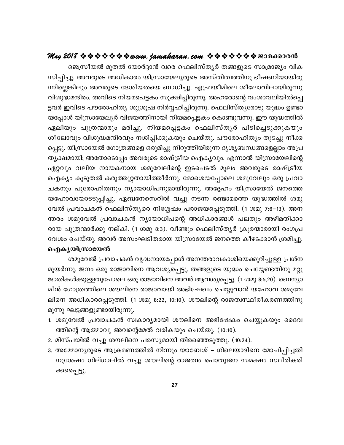ജെസ്രീയൽ മുതൽ യോർദ്ദാൻ വരെ ഫെലിസ്തൃർ തങ്ങളുടെ സാമ്രാജ്യം വിക സിപ്പിച്ചു. അവരുടെ അധികാരം യിസ്രായേല്യരുടെ അസ്തിത്വത്തിനു ഭീഷണിയായിരു ന്നില്ലെങ്കിലും അവരുടെ ദേശീയതയെ ബാധിച്ചു. എഫ്രയീമിലെ ശീലോവിലായിരുന്നു വിശുദ്ധമന്ദിരം. അവിടെ നിയമപെട്ടകം സൂക്ഷിച്ചിരുന്നു. അഹരോന്റെ വംശാവലിയിൽപ്പെ ട്ടവർ ഇവിടെ പൗരോഹിത്യ ശുശ്രൂഷ നിർവ്വഹിച്ചിരുന്നു. ഫെലിസ്ത്യരോടു യുദ്ധം ഉണ്ടാ യപ്പോൾ യിസ്രായേല്യർ വിജയത്തിനായി നിയമപ്പെട്ടകം കൊണ്ടുവന്നു. ഈ യുദ്ധത്തിൽ ഏലിയും പുത്രന്മാരും മരിച്ചു. നിയമപ്പെട്ടകം ഫെലിസ്തൃർ പിടിച്ചെടുക്കുകയും ശീലോവും വിശുദ്ധമന്ദിരവും നശിപ്പിക്കുകയും ചെയ്തു. പൗരോഹിത്യം തുടച്ചു നീക്ക പ്പെട്ടു. യിസ്രായേൽ ഗോത്രങ്ങളെ ഒരുമിച്ചു നിറുത്തിയിരുന്ന ദൃശൃബന്ധങ്ങളെല്ലാം അപ്ര തൃക്ഷമായി; അതോടൊപ്പം അവരുടെ രാഷ്ട്രീയ ഐകൃവും. എന്നാൽ യിസ്രായേലിന്റെ ഏറ്റവും വലിയ നായകനായ ശമുവേലിന്റെ ഇടപെടൽ മൂലം അവരുടെ രാഷ്ട്രീയ ഐക്യം കൂടുതൽ കരുത്തുറ്റതായിത്തീർന്നു. മോശെയപ്പോലെ ശമുവേലും ഒരു പ്രവാ ചകനും പുരോഹിതനും ന്യായാധിപനുമായിരുന്നു. അദ്ദേഹം യിസ്രായേൽ ജനത്തെ യഹോവയോടടുപ്പിച്ചു. ഏബനേസെറിൽ വച്ചു നടന്ന രണ്ടാമത്തെ യുദ്ധത്തിൽ ശമു വേൽ പ്രവാചകൻ ഫെലിസ്ത്യരെ നിശ്ശേഷം പരാജയപ്പെടുത്തി. (1 ശമു 7:6–13). അന ന്തരം ശമുവേൽ പ്രവാചകൻ ന്യായാധിപന്റെ അധികാരങ്ങൾ പലതും അഴിമതിക്കാ രായ പുത്രന്മാർക്കു നല്കി. (1 ശമു 8:3). വീണ്ടും ഫെലിസ്തൃർ ക്രൂരന്മാരായി രംഗപ്ര വേശം ചെയ്തു. അവർ അസംഘടിതരായ യിസ്രായേൽ ജനത്തെ കീഴടക്കാൻ ശ്രമിച്ചു. ഐകൃയിസ്രായേൽ

ശമുവേൽ പ്രവാചകൻ വൃദ്ധനായപ്പോൾ അനന്തരാവകാശിയെക്കുറിച്ചുള്ള പ്രശ്ന മുയർന്നു. ജനം ഒരു രാജാവിനെ ആവശ്യപ്പെട്ടു. തങ്ങളുടെ യുദ്ധം ചെയ്യേണ്ടതിനു മറ്റു ജാതികൾക്കുള്ളതുപോലെ ഒരു രാജാവിനെ അവർ ആവശ്യപ്പെട്ടു. (1 ശമു 8:5,20). ബെന്യാ മീൻ ഗോത്രത്തിലെ ശൗലിനെ രാജാവായി അഭിഷേഖം ചെയ്യുവാൻ യഹോവ ശമുവേ ലിനെ അധികാരപ്പെടുത്തി. (1 ശമു 8:22, 10:10). ശൗലിന്റെ രാജത്വസ്ഥീരീകരണത്തിനു മൂന്നു ഘട്ടങ്ങളുണ്ടായിരുന്നു.

- 1. ശമുവേൽ പ്രവാചകൻ സ്വകാര്യമായി ശൗലിനെ അഭിഷേകം ചെയ്യുകയും ദൈവ ത്തിന്റെ ആത്മാവു അവന്റെമേൽ വരികയും ചെയ്തു. (10:10).
- 2. മിസ്പയിൽ വച്ചു ശൗലിനെ പരസ്യമായി തിരഞ്ഞെടുത്തു. (10:24).
- 3. അമ്മോന്യരുടെ ആക്രമണത്തിൽ നിന്നും യാബേശ് ഗിലെയാദിനെ മോചിപ്പിച്ചതി നുശേഷം ഗില്ഗാലിൽ വച്ചു ശൗലിന്റെ രാജത്വം പൊതുജന സമക്ഷം സ്ഥീരികരി ക്കപ്പെട്ടു.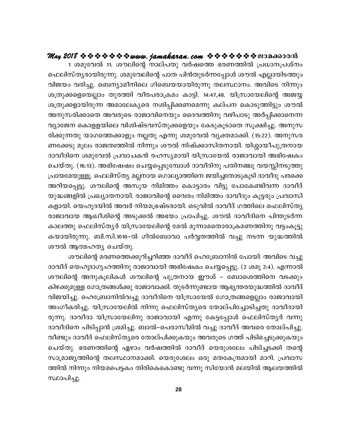1 ശമുവേൽ 11. ശൗലിന്റെ നാല്പതു വർഷത്തെ ഭരണത്തിൽ പ്രധാനപ്രശ്നം ഫെലിസ്തൃരായിരുന്നു. ശമുവേലിന്റെ പാത പിൻതുടർന്നപ്പോൾ ശൗൽ എല്ലായിടത്തും വിജയം വരിച്ചു. ബെന്യാമീനിലെ ഗിബെയയായിരുന്നു തലസ്ഥാനം. അവിടെ നിന്നും ശത്രുക്കളെയെല്ലാം തുരത്തി വീരപരാക്രമം കാട്ടി. 14:47,48. യിസ്രായേലിന്റെ അജയ്യ ശത്രുക്കളായിരുന്ന അമാലേക്യരെ നശിപ്പിക്കണമെന്നു കല്പന കൊടുത്തിട്ടും ശൗൽ അനുസരിക്കാതെ അവരുടെ രാജാവിനെയും ദൈവത്തിനു വഴിപാടു അർപ്പിക്കാനെന്ന വ്യാജേന കൊളളയിലെ വിശിഷ്ടവസ്തുക്കളെയും കേടുകൂടാതെ സൂക്ഷിച്ചു. അനുസ രിക്കുന്നതു യാഗത്തെക്കാളും നല്ലതു എന്നു ശമുവേൽ വ്യക്തമാക്കി. (15:22). അനുസര ണക്കേടു മൂലം രാജത്വത്തിൽ നിന്നും ശൗൽ നിഷ്ക്കാസിതനായി. യിശ്ശായീപുത്രനായ ദാവീദിനെ ശമുവേൽ പ്രവാചകൻ രഹസ്യമായി യിസ്രായേൽ രാജാവായി അഭിഷേകം ചെയ്തു. (16:13). അഭിഷേഷം ചെയ്യപ്പെടുമ്പോൾ ദാവീദിനു പതിനഞ്ചു വയസ്സിനടുത്തു പ്രായമേയുള്ളൂ. ഫെലിസ്ത്യ മല്ലനായ ഗൊല്യാത്തിനെ ജയിച്ചതോടുകൂടി ദാവീദു പരക്കെ അറിയപ്പെട്ടു. ശൗലിന്റെ അസൂയ നിമിത്തം കൊട്ടാരം വിട്ടു പോകേണ്ടിവന്ന ദാവീദ് യുദ്ധങ്ങളിൽ പ്രഖ്യാതനായി. രാജാവിന്റെ വൈരം നിമിത്തം ദാവീദും കൂട്ടരും പ്രവാസി കളായി. യെഹൂദയിൽ അവർ നിയമഭ്രഷ്ടരായി. ഒടുവിൽ ദാവീദ് ഗത്തിലെ ഫെലിസ്തൃ രാജാവായ ആഖീശിന്റെ അടുക്കൽ അഭയം പ്രാപിച്ചു. ശൗൽ ദാവീദിനെ പിന്തുടർന്ന കാലത്തു ഫെലിസ്തൃർ യിസ്രായേലിന്റെ മേൽ മൂന്നാമതൊരാക്രമണത്തിനു വട്ടംകൂട്ടു കയായിരുന്നു. ബി.സി.1010–ൽ ഗിൽബോവാ പർവ്വതത്തിൽ വച്ചു നടന്ന യുദ്ധത്തിൽ ശൗൽ ആത്മഹതൃ ചെയ്തു.

ശൗലിന്റെ മരണത്തെക്കുറിച്ചറിഞ്ഞ ദാവീദ് ഹെബ്രോനിൽ പോയി. അവിടെ വച്ചു ദാവീദ് യെഹൂദാഗൃഹത്തിനു രാജാവായി അഭിഷേകം ചെയ്യപ്പെട്ടു. (2 ശമു 2:4). എന്നാൽ ശൗലിന്റെ അനുകൂലികൾ ശൗലിന്റെ പുത്രനായ ഈശ് – ബോശെത്തിനെ വടക്കും കിഴക്കുമുള്ള ഗോത്രങ്ങൾക്കു രാജാവാക്കി. തുടർന്നുണ്ടായ ആഭ്യന്തരയുദ്ധത്തിൽ ദാവീദ് വിജയിച്ചു. ഹെബ്രോനിൽവച്ചു ദാവീദിനെ യിസ്രായേൽ ഗോത്രങ്ങളെല്ലാം രാജാവായി അംഗീകരിച്ചു. യിസ്രായേലിൽ നിന്നു ഫെലിസ്തൃരെ തോല്പിച്ചോടിച്ചതു ദാവീദായി രുന്നു. ദാവീദാ യിസ്രായേലിനു രാജാവായി എന്നു കേട്ടപ്പോൾ ഫെലിസ്ത്യർ വന്നു ദാവീദിനെ പിടിപ്പാൻ ശ്രമിച്ചു. ബാൽ–പെരാസീമിൽ വച്ചു ദാവീദ് അവരെ തോല്പിച്ചു. വീണ്ടും ദാവീദ് ഫെലിസ്തൃരെ തോല്പിക്കുകയും അവരുടെ ഗത്ത് പിടിച്ചെടുക്കുകയും ചെയ്തു. ഭരണത്തിന്റെ ഏഴാം വർഷത്തിൽ ദാവീദ് യെരുശലേം പിടിച്ചടക്കി തന്റെ സാമ്രാജ്യത്തിന്റെ തലസ്ഥാനമാക്കി. യെരുശേലം ഒരു മതകേന്ദ്രമായി മാറി. പ്രവാസ ത്തിൽ നിന്നും നിയമപെട്ടകം തിരികെകൊണ്ടു വന്നു സിയോൻ മലയിൽ ആലയത്തിൽ സ്ഥാപിച്ചു.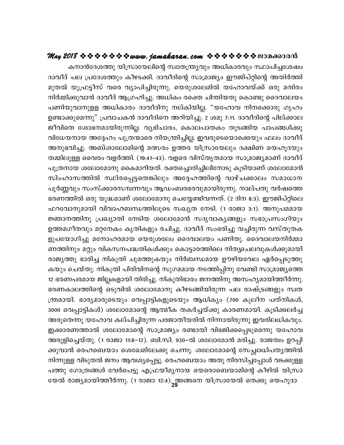കനാൻദേശത്തു യിസ്രായേലിന്റെ സ്വാതന്ത്ര്യവും അധികാരവും സ്ഥാപിച്ചശേഷം ദാവീദ് പല പ്രദേശത്തും കീഴടക്കി. ദാവീദിന്റെ സാമ്രാജ്യം ഈജിപ്റ്റിന്റെ അതിർത്തി മുതൽ യൂഫ്രട്ടീസ് വരെ വ്യാപിച്ചിരുന്നു. യെരുശലേമിൽ യഹോവയ്ക്ക് ഒരു മന്ദിരം നിർമ്മിക്കുവാൻ ദാവീദ് ആഗ്രഹിച്ചു. അധികം രക്തെ ചിന്തിയതു കൊണ്ടു ദൈവാലയം പണിയുവാനുളള അധികാരം ദാവീദിനു നല്കിയില്ല. "യഹോവ നിനക്കൊരു ഗൃഹം ഉണ്ടാക്കുമെന്നു" പ്രവാചകൻ ദാവീദിനെ അറിയിച്ചു. 2 ശമു 7:11. ദാവീദിന്റെ പില്ക്കാല ജീവിതെ ശോഭനമായിരുന്നില്ല. വൃഭിചാരം, കൊലപാതകം തുടങ്ങിയ പാപങ്ങൾക്കു വിധേയനായ അദ്ദേഹം പുത്രന്മാരെ നിയന്ത്രിച്ചില്ല. ഇവരുടെയൊക്കെയും ഫലം ദാവീദ് അനുഭവിച്ചു. അബ്ശാലോമിന്റെ മത്സരം ഉത്തര യിസ്രായേലും ദക്ഷിണ യെഹൂദയും തമ്മിലുള്ള വൈരം വളർത്തി. (19:41–43). വളരെ വിസ്തൃതമായ സാമ്രാജ്യമാണ് ദാവീദ് പുത്രനായ ശലോമോനു കൈമാറിയത്. രക്തച്ചൊരിച്ചിലിനോടു കൂടിയാണ് ശലോമോൻ സിംഹാസത്തിൽ സ്ഥിരപ്പെട്ടതെങ്കിലും അദ്ദേഹത്തിന്റെ വാഴ്ചക്കാലം സമാധാന ്പൂർണ്ണവും സംസ്ക്കാരസമ്പന്നവും ആഡംബരഭരവുമായിരുന്നു. നാല്പതു വർഷത്തെ ഭരണത്തിൽ ഒരു യുദ്ധമാണ് ശലോമോനു ചെയ്യേണ്ടിവന്നത്. (2 ദിന 8:3). ഈജിപ്റ്റിലെ ഫറവോനുമായി വിവാഹബന്ധത്തിലൂടെ സഖ്യത നേടി. (1 രാജാ 3:1). അനുപമമായ ജ്ഞാനത്തിനു പ്രഖ്യാതി നേടിയ ശലോമോൻ സദൃവാകൃങ്ങളും സഭാപ്രസംഗിയും ഉത്തമഗീതവും മറ്റനേകം കൃതികളും രചിച്ചു. ദാവീദ് സംഭരിച്ചു വച്ചിരുന്ന വസ്തുതക ളുപയോഗിച്ചു മനോഹരമായ യെരുശലേം ദൈവാലയം പണിതു. ദൈവാലയനിർമ്മാ ണത്തിനും മറ്റും വികസനപദ്ധതികൾക്കും കൊട്ടാരത്തിലെ നിതൃചെലവുകൾക്കുമായി രാജ്യത്തു ഭാരിച്ച നികുതി ചുമത്തുകയും നിർബന്ധമായ ഊഴിയവേല ഏർപ്പെടുത്തു കയും ചെയ്തു. നികുതി പിരിവിനന്റെ സുഗമമായ നടത്തിപ്പിനു വേണ്ടി സാമ്രാജ്യത്തെ 12 ഭരണപരമായ ജില്ലകളായി തിരിച്ചു. നികുതിഭാരം ജനത്തിനു അസഹ്യമായിത്തീർന്നു. ഭരണകാലത്തിന്റെ ഒടുവിൽ ശലോമോനു കീഴടങ്ങിയിരുന്ന പല രാഷ്ട്രങ്ങളും സ്വത ന്ത്രമായി. ഭാര്യമാരുടെയും വെപ്പാട്ടികളുടെയും ആധിക്യം (700 കുലീന പത്നികൾ, 3000 വെപ്പാട്ടികൾ) ശലോമോന്റെ ആത്മീക തകർച്ചയ്ക്കു കാരണമായി. കൂടിക്കലർച്ച അരുതെന്നു യഹോവ കല്പിച്ചിരുന്ന പരജാതീയരിൽ നിന്നായിരുന്നു ഇവരിലധികവും. ഇക്കാരണത്താൽ ശലോമോന്റെ സാമ്രാജ്യം രണ്ടായി വിഭജിക്കപ്പെടുമെന്നു യഹോവ അരുളിച്ചെയ്തു. (1 രാജാ 11:8–12). ബി.സി. 930–ൽ ശലോമോൻ മരിച്ചു. രാജത്വം ഉറപ്പി ക്കുവാൻ രെഹബെയാം ശെഖേമിലേക്കു ചെന്നു. ശലോമോന്റെ സേച്ഛ്വാധിപത്യത്തിൽ നിന്നുള്ള വിടുതൽ ജനം ആവശ്യപ്പെട്ടു. രെഹബെയാം അതു നിരസിച്ചപ്പോൾ വടക്കുള്ള പത്തു ഗോത്രങ്ങൾ വേർപെട്ടു എഫ്രയീമൃനായ യെരൊബെയാമിന്റെ കീഴിൽ യിസ്രാ യേൽ രാജ്യമായിത്തീർന്നു. (1 രാജാ 12:4). അങ്ങനെ യിസ്രായേൽ തെക്കു യെഹൂദാ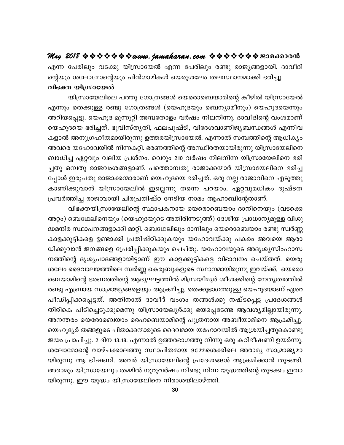എന്ന പേരിലും വടക്കു യിസ്രായേൽ എന്ന പേരിലും രണ്ടു രാജ്യങ്ങളായി. ദാവീദി ന്റെയും ശലോമോന്റെയും പിൻഗാമികൾ യെരുശലേം തലസ്ഥാനമാക്കി ഭരിച്ചു. വിഭക്ത യിസ്രായേൽ

യിസ്രായേലിലെ പത്തു ഗോത്രങ്ങൾ യെരൊബെയാമിന്റെ കീഴിൽ യിസ്രായേൽ എന്നും തെക്കുള്ള രണ്ടു ഗോത്രങ്ങൾ (യെഹൂദയും ബെന്യാമീനും) യെഹൂദയെന്നും അറിയപ്പെട്ടു. യെഹൂദ മുന്നൂറ്റി അമ്പതോളം വർഷം നിലനിന്നു. ദാവീദിന്റെ വംശമാണ് യെഹൂദയെ ഭരിച്ചത്. ഭൂവിസ്തൃതി, ഫലപുഷ്ടി, വിദേശവാണിജ്യബന്ധങ്ങൾ എന്നിവ കളാൽ അനുഗ്രഹീതമായിരുന്നു ഉത്തരയിസ്രായേൽ. എന്നാൽ സമ്പത്തിന്റെ ആധികൃം അവരെ യഹോവയിൽ നിന്നകറ്റി. ഭരണത്തിന്റെ അസ്ഥിരതയായിരുന്നു യിസ്രായേലിനെ ബാധിച്ച ഏറ്റവും വലിയ പ്രശ്നം. വെറും 210 വർഷം നിലനിന്ന യിസ്രായേലിനെ ഭരി ച്ചതു ഒമ്പതു രാജവംശങ്ങളാണ്. പത്തൊമ്പതു രാജാക്കന്മാർ യിസ്രായേലിനെ ഭരിച്ച പ്പോൾ ഇരുപതു രാജാക്കന്മാരാണ് യെഹൂദയെ ഭരിച്ചത്. ഒരു നല്ല രാജാവിനെ എടുത്തു കാണിക്കുവാൻ യിസ്രായേലിൽ ഇല്ലെന്നു തന്നെ പറയാം. ഏറ്റവുമധികം ദുഷ്ടത പ്രവർത്തിച്ച രാജമ്പായി ചിരപ്രതിഷ്ഠ നേടിയ നാമം ആഹാബിന്റേതാണ്.

വിഭക്തയിസ്രായേലിന്റെ സ്ഥാപകനായ യെരൊബെയാം ദാനിനെയും (വടക്കെ അറ്റം) ബെഥേലിനെയും (യെഹൂദയുടെ അതിരിന്നടുത്ത്) ദേശീയ പ്രാധാന്യമുള്ള വിശു ദ്ധമന്ദിര സ്ഥാപനങ്ങളാക്കി മാറ്റി. ബെഥേലിലും ദാനിലും യെരൊബെയാം രണ്ടു സ്വർണ്ണ കാളക്കുട്ടികളെ ഉണ്ടാക്കി പ്രതിഷ്ഠിക്കുകയും യഹോവയ്ക്കു പകരം അവയെ ആരാ ധിക്കുവാൻ ജനങ്ങളെ പ്രേരിപ്പിക്കുകയും ചെച്തു. യഹോവയുടെ അദൃശൃസിംഹാസ നത്തിന്റെ ദൃശൃപാദങ്ങളായിട്ടാണ് ഈ കാളക്കുട്ടികളെ വിഭാവനം ചെയ്തത്. യെരു ശലേം ദൈവാലയത്തിലെ സ്വർണ്ണ കെരൂബുകളുടെ സ്ഥാനമായിരുന്നു ഇവയ്ക്ക്. യെരൊ ബെയാമിന്റെ ഭരണത്തിന്റെ ആദ്യഘട്ടത്തിൽ മിസ്രയീമൃർ ശീശക്കിന്റെ നേതൃത്വത്തിൽ രണ്ടു എബ്രായ സാമ്രാജ്യങ്ങളെയും ആക്രമിച്ചു. തെക്കുഭാഗത്തുള്ള യെഹൂദയാണ് ഏറെ പീഡിപ്പിക്കപ്പെട്ടത്. അതിനാൽ ദാവീദ് വംശം തങ്ങൾക്കു നഷ്ടപ്പെട്ട പ്രദേശങ്ങൾ തിരികെ പിടിച്ചെടുക്കുമെന്നു യിസ്രായേല്യർക്കു ഭയപ്പെടേണ്ട ആവശ്യമില്ലായിരുന്നു. അനന്തരം യെരോബെയാം രെഹബെയാമിന്റെ പുത്രനായ അബീയാമിനെ ആക്രമിച്ചു. യെഹൂദ്യർ തങ്ങളുടെ പിതാക്കന്മാരുടെ ദൈവമായ യഹോവയിൽ ആശ്രയിച്ചതുകൊണ്ടു ജയം പ്രാപിച്ചു. 2 ദിന 13:18. എന്നാൽ ഉത്തരഭാഗത്തു നിന്നു ഒരു കഠിഭീഷണി ഉയർന്നു. ശലോമോന്റെ വാഴ്ചക്കാലത്തു സ്ഥാപിതമായ ദമ്മേശെക്കിലെ അരാമൃ സാമ്രാജ്യമാ യിരുന്നു ആ ഭീഷണി. അവർ യിസ്രായേലിന്റെ പ്രദേശങ്ങൾ ആക്രമിക്കാൻ തുടങ്ങി. അരാമും യിസ്രായേലും തമ്മിൽ നൂറുവർഷം നീണ്ടു നിന്ന യുദ്ധത്തിന്റെ തുടക്കം ഇതാ യിരുന്നു. ഈ യുദ്ധം യിസ്രായേലിനെ നിരാശയിലാഴ്ത്തി.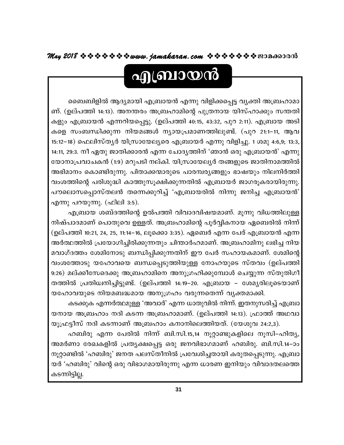# എബ്രായൻ

ബൈബിളിൽ ആദ്യമായി എബ്രായൻ എന്നു വിളിക്കപ്പെട്ട വൃക്തി അബ്രഹാമാ ണ്. (ഉല്പത്തി 14:13). അനന്തരം അബ്രഹാമിന്റെ പുത്രനായ യിസ്ഹാക്കും സന്തതി കളും എബ്രായൻ എന്നറിയപ്പെട്ടു. (ഉല്പത്തി 40:15, 43:32, പുറ 2:11). എബ്രായ അടി കളെ സംബന്ധിക്കുന്ന നിയമങ്ങൾ ന്യായപ്രമാണത്തിലുണ്ട്. (പുറ 21:1–11, ആവ 15:12–18) ഫെലിസ്തൃർ യിസ്രായേല്യരെ എബ്രായർ എന്നു വിളിച്ചു. 1 ശമു 4:6,9; 13:3, 14:11, 29:3. നീ ഏതു ജാതിക്കാരൻ എന്ന ചോദൃത്തിന് 'ഞാൻ ഒരു എബ്രായൻ' എന്നു യോനാപ്രവാചകൻ (1:9) മറുപടി നല്കി. യിസ്രായേല്യർ തങ്ങളുടെ ജാതിനാമത്തിൽ അഭിമാനം കൊണ്ടിരുന്നു. പിതാക്കന്മാരുടെ പാരമ്പര്യങ്ങളും ഭാഷയും നിലനിർത്തി വംശത്തിന്റെ പരിശുദ്ധി കാത്തുസൂക്ഷിക്കുന്നതിൽ എബ്രായർ ജാഗരൂകരായിരുന്നു. പൗലൊസപ്പൊസ്തലൻ തന്നെക്കുറിച്ച് 'എബ്രായരിൽ നിന്നു ജനിച്ച എബ്രായൻ' എന്നു പറയുന്നു. (ഫിലി 3:5).

എബ്രായ ശബ്ദത്തിന്റെ ഉൽപത്തി വിവാദവിഷയമാണ്. മൂന്നു വിധത്തിലുള്ള നിഷ്പാദമാണ് പൊതുവെ ഉള്ളത്. അബ്രഹാമിന്റെ പൂർവ്വികനായ ഏബെരിൽ നിന്ന് (ഉല്പത്തി 10:21, 24, 25, 11:14–16, ലൂക്കൊ 3:35). ഏബെർ എന്ന പേര് എബ്രായൻ എന്ന അർത്ഥത്തിൽ പ്രയോഗിച്ചിരിക്കുന്നതും ചിന്താർഹമാണ്. അബ്രഹാമിനു ലഭിച്ച നിയ മവാഗ്ദത്തം ശേമിനോടു ബന്ധിപ്പിക്കുന്നതിന് ഈ പേർ സഹായകമാണ്. ശേമിന്റെ വംശത്തോടു യഹോവയെ ബന്ധപ്പെടുത്തിയുള്ള നോഹയുടെ സ്തവം (ഉല്പത്തി 9:26) മല്ക്കീസേദെക്കു അബ്രഹാമിനെ അനുഗ്രഹിക്കുമ്പോൾ ചെയ്യുന്ന സ്തുതിഗീ തത്തിൽ പ്രതിധ്വനിച്ചിട്ടുണ്ട്. (ഉല്പത്തി 14:19–20. എബ്രായ – ശേമൃരിലൂടെയാണ് യഹോവയുടെ നിയമബദ്ധമായ അനുഗ്രഹം വരുന്നതെന്ന് വ്യക്തമാക്കി.

കടക്കുക എന്നർത്ഥമുള്ള 'അവാർ' എന്ന ധാതുവിൽ നിന്ന്. ഇതനുസരിച്ച് എബ്രാ യനായ അബ്രഹാം നദി കടന്ന അബ്രഹാമാണ്. (ഉല്പത്തി 14:13). ഫ്രാത്ത് അഥവാ യൂഫ്രട്ടീസ് നദി കടന്നാണ് അബ്രഹാം കനാനിലെത്തിയത്. (യേശുവ 24:2,3).

ഹബിരു എന്ന പേരിൽ നിന്ന് ബി.സി.15,14 നൂറ്റാണ്ടുകളിലെ നൂസി–ഹിത്യ, അമർണാ രേഖകളിൽ പ്രത്യക്ഷപ്പെട്ട ഒരു ജനവിഭാഗമാണ് ഹബിരു. ബി.സി.14–ാം നൂറ്റാണ്ടിൽ 'ഹബിരു' ജനത പലസ്തീനിൽ പ്രവേശിച്ചതായി കരുതപ്പെടുന്നു. എബ്രാ യർ 'ഹബിരു' വിന്റെ ഒരു വിഭാഗമായിരുന്നു എന്ന ധാരണ ഇനിയും വിവാദതലത്തെ കടന്നിട്ടില്ല.